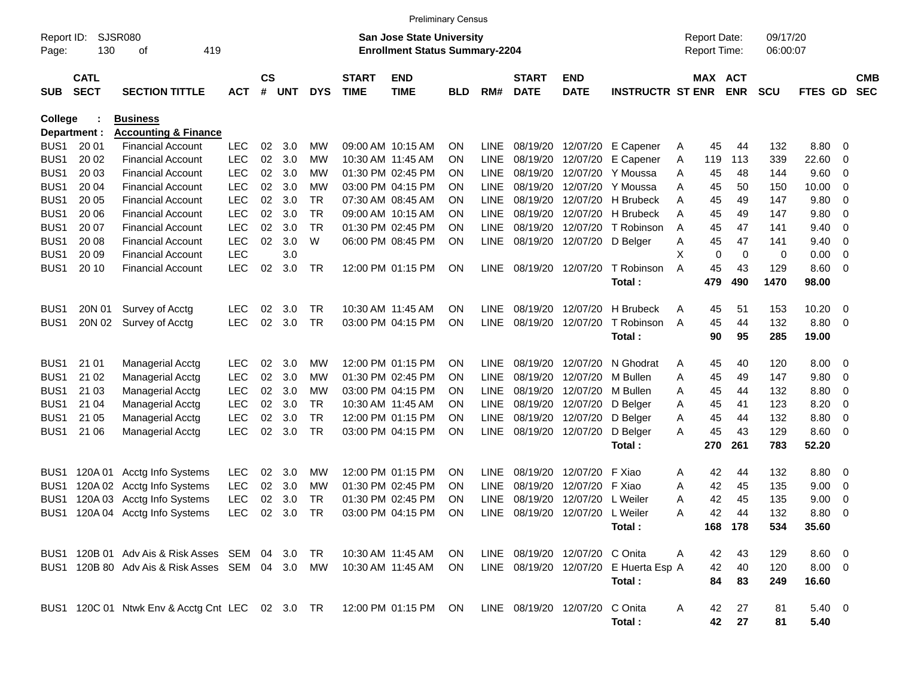|                     |                            |                                                                      |            |                    |            |            |                             | <b>Preliminary Census</b>                                                 |            |             |                             |                                |                                       |                                     |                       |            |                      |                         |                          |
|---------------------|----------------------------|----------------------------------------------------------------------|------------|--------------------|------------|------------|-----------------------------|---------------------------------------------------------------------------|------------|-------------|-----------------------------|--------------------------------|---------------------------------------|-------------------------------------|-----------------------|------------|----------------------|-------------------------|--------------------------|
| Report ID:<br>Page: | 130                        | SJSR080<br>419<br>οf                                                 |            |                    |            |            |                             | <b>San Jose State University</b><br><b>Enrollment Status Summary-2204</b> |            |             |                             |                                |                                       | <b>Report Date:</b><br>Report Time: |                       |            | 09/17/20<br>06:00:07 |                         |                          |
| <b>SUB</b>          | <b>CATL</b><br><b>SECT</b> | <b>SECTION TITTLE</b>                                                | <b>ACT</b> | $\mathsf{cs}$<br># | <b>UNT</b> | <b>DYS</b> | <b>START</b><br><b>TIME</b> | <b>END</b><br><b>TIME</b>                                                 | <b>BLD</b> | RM#         | <b>START</b><br><b>DATE</b> | <b>END</b><br><b>DATE</b>      | <b>INSTRUCTR ST ENR</b>               |                                     | MAX ACT<br><b>ENR</b> | <b>SCU</b> | FTES GD              |                         | <b>CMB</b><br><b>SEC</b> |
| <b>College</b>      |                            | <b>Business</b>                                                      |            |                    |            |            |                             |                                                                           |            |             |                             |                                |                                       |                                     |                       |            |                      |                         |                          |
|                     | Department :               | <b>Accounting &amp; Finance</b>                                      |            |                    |            |            |                             |                                                                           |            |             |                             |                                |                                       |                                     |                       |            |                      |                         |                          |
| BUS <sub>1</sub>    | 20 01                      | <b>Financial Account</b>                                             | <b>LEC</b> | 02                 | 3.0        | МW         |                             | 09:00 AM 10:15 AM                                                         | <b>ON</b>  | <b>LINE</b> |                             | 08/19/20 12/07/20              | E Capener                             | A                                   | 45                    | 132<br>44  | 8.80                 | - 0                     |                          |
| BUS <sub>1</sub>    | 20 02                      | <b>Financial Account</b>                                             | <b>LEC</b> | 02                 | 3.0        | МW         |                             | 10:30 AM 11:45 AM                                                         | <b>ON</b>  | <b>LINE</b> | 08/19/20                    | 12/07/20                       | E Capener                             | Α                                   | 113<br>119            | 339        | 22.60                | 0                       |                          |
| BUS <sub>1</sub>    | 20 03                      | <b>Financial Account</b>                                             | <b>LEC</b> | 02                 | 3.0        | МW         |                             | 01:30 PM 02:45 PM                                                         | <b>ON</b>  | <b>LINE</b> | 08/19/20                    | 12/07/20                       | Y Moussa                              | A                                   | 45                    | 48<br>144  | 9.60                 | 0                       |                          |
| BUS <sub>1</sub>    | 20 04                      | <b>Financial Account</b>                                             | <b>LEC</b> | 02                 | 3.0        | МW         |                             | 03:00 PM 04:15 PM                                                         | <b>ON</b>  | <b>LINE</b> | 08/19/20                    | 12/07/20                       | Y Moussa                              | A                                   | 45                    | 50<br>150  | 10.00                | 0                       |                          |
| BUS <sub>1</sub>    | 20 05                      | <b>Financial Account</b>                                             | <b>LEC</b> | 02                 | 3.0        | <b>TR</b>  |                             | 07:30 AM 08:45 AM                                                         | <b>ON</b>  | <b>LINE</b> | 08/19/20                    | 12/07/20                       | <b>H</b> Brubeck                      | A                                   | 45                    | 147<br>49  | 9.80                 | 0                       |                          |
| BUS <sub>1</sub>    | 20 06                      | <b>Financial Account</b>                                             | <b>LEC</b> | 02                 | 3.0        | <b>TR</b>  |                             | 09:00 AM 10:15 AM                                                         | <b>ON</b>  | <b>LINE</b> | 08/19/20                    | 12/07/20                       | <b>H</b> Brubeck                      | A                                   | 45                    | 147<br>49  | 9.80                 | $\mathbf 0$             |                          |
| BUS <sub>1</sub>    | 20 07                      | <b>Financial Account</b>                                             | <b>LEC</b> | 02                 | 3.0        | <b>TR</b>  |                             | 01:30 PM 02:45 PM                                                         | <b>ON</b>  | <b>LINE</b> | 08/19/20                    | 12/07/20                       | T Robinson                            | A                                   | 45                    | 47<br>141  | 9.40                 | 0                       |                          |
| BUS <sub>1</sub>    | 20 08                      | <b>Financial Account</b>                                             | <b>LEC</b> | 02                 | 3.0        | W          |                             | 06:00 PM 08:45 PM                                                         | <b>ON</b>  | <b>LINE</b> | 08/19/20                    | 12/07/20                       | D Belger                              | Α                                   | 45                    | 47<br>141  | 9.40                 | 0                       |                          |
| BUS <sub>1</sub>    | 20 09                      | <b>Financial Account</b>                                             | <b>LEC</b> |                    | 3.0        |            |                             |                                                                           |            |             |                             |                                |                                       | X                                   | $\mathbf 0$           | 0          | 0.00<br>0            | 0                       |                          |
| BUS <sub>1</sub>    | 20 10                      | <b>Financial Account</b>                                             | <b>LEC</b> | 02                 | 3.0        | TR         |                             | 12:00 PM 01:15 PM                                                         | <b>ON</b>  | <b>LINE</b> |                             | 08/19/20 12/07/20              | T Robinson                            | A                                   | 45                    | 129<br>43  | 8.60                 | 0                       |                          |
|                     |                            |                                                                      |            |                    |            |            |                             |                                                                           |            |             |                             |                                | Total:                                |                                     | 490<br>479            | 1470       | 98.00                |                         |                          |
| BUS <sub>1</sub>    | 20N 01                     | Survey of Acctg                                                      | <b>LEC</b> | 02                 | 3.0        | <b>TR</b>  |                             | 10:30 AM 11:45 AM                                                         | <b>ON</b>  | LINE.       | 08/19/20                    | 12/07/20                       | <b>H</b> Brubeck                      | A                                   | 45                    | 51<br>153  | 10.20                | $\overline{\mathbf{0}}$ |                          |
| BUS <sub>1</sub>    | 20N 02                     | Survey of Acctg                                                      | <b>LEC</b> | 02                 | 3.0        | <b>TR</b>  |                             | 03:00 PM 04:15 PM                                                         | <b>ON</b>  | <b>LINE</b> | 08/19/20                    | 12/07/20                       | T Robinson                            | A                                   | 45                    | 132<br>44  | 8.80                 | 0                       |                          |
|                     |                            |                                                                      |            |                    |            |            |                             |                                                                           |            |             |                             |                                | Total:                                |                                     | 90                    | 285<br>95  | 19.00                |                         |                          |
| BUS <sub>1</sub>    | 21 01                      | <b>Managerial Acctg</b>                                              | <b>LEC</b> | 02                 | 3.0        | МW         |                             | 12:00 PM 01:15 PM                                                         | <b>ON</b>  | LINE.       | 08/19/20                    | 12/07/20                       | N Ghodrat                             | A                                   | 45                    | 40<br>120  | 8.00                 | $\mathbf 0$             |                          |
| BUS <sub>1</sub>    | 21 02                      | <b>Managerial Acctg</b>                                              | <b>LEC</b> | 02                 | 3.0        | МW         |                             | 01:30 PM 02:45 PM                                                         | <b>ON</b>  | <b>LINE</b> | 08/19/20                    | 12/07/20                       | M Bullen                              | A                                   | 45                    | 49<br>147  | 9.80                 | 0                       |                          |
| BUS <sub>1</sub>    | 21 03                      | Managerial Acctg                                                     | <b>LEC</b> | 02                 | 3.0        | МW         |                             | 03:00 PM 04:15 PM                                                         | <b>ON</b>  | <b>LINE</b> | 08/19/20                    | 12/07/20                       | M Bullen                              | A                                   | 45                    | 132<br>44  | 8.80                 | 0                       |                          |
| BUS <sub>1</sub>    | 21 04                      | <b>Managerial Acctg</b>                                              | <b>LEC</b> | 02                 | 3.0        | <b>TR</b>  |                             | 10:30 AM 11:45 AM                                                         | <b>ON</b>  | <b>LINE</b> | 08/19/20 12/07/20           |                                | D Belger                              | A                                   | 45                    | 123<br>41  | 8.20                 | 0                       |                          |
| BUS <sub>1</sub>    | 21 05                      | Managerial Acctg                                                     | <b>LEC</b> | 02                 | 3.0        | <b>TR</b>  |                             | 12:00 PM 01:15 PM                                                         | <b>ON</b>  | <b>LINE</b> | 08/19/20                    | 12/07/20                       | D Belger                              | A                                   | 45                    | 132<br>44  | 8.80                 | 0                       |                          |
| BUS1                | 21 06                      | <b>Managerial Acctg</b>                                              | <b>LEC</b> | 02                 | 3.0        | <b>TR</b>  |                             | 03:00 PM 04:15 PM                                                         | <b>ON</b>  | <b>LINE</b> |                             | 08/19/20 12/07/20              | D Belger                              | A                                   | 45                    | 43<br>129  | 8.60                 | $\overline{\mathbf{0}}$ |                          |
|                     |                            |                                                                      |            |                    |            |            |                             |                                                                           |            |             |                             |                                | Total:                                |                                     | 270<br>261            | 783        | 52.20                |                         |                          |
| BUS <sub>1</sub>    | 120A 01                    | Acctg Info Systems                                                   | <b>LEC</b> | 02                 | 3.0        | МW         |                             | 12:00 PM 01:15 PM                                                         | <b>ON</b>  | LINE.       | 08/19/20                    | 12/07/20                       | F Xiao                                | Α                                   | 42                    | 132<br>44  | 8.80                 | 0                       |                          |
| BUS <sub>1</sub>    | 120A 02                    | Acctg Info Systems                                                   | <b>LEC</b> | 02                 | 3.0        | МW         |                             | 01:30 PM 02:45 PM                                                         | <b>ON</b>  | <b>LINE</b> | 08/19/20                    | 12/07/20                       | F Xiao                                | A                                   | 42                    | 45<br>135  | 9.00                 | 0                       |                          |
| BUS <sub>1</sub>    | 120A03                     | Acctg Info Systems                                                   | <b>LEC</b> | 02                 | 3.0        | <b>TR</b>  |                             | 01:30 PM 02:45 PM                                                         | <b>ON</b>  | <b>LINE</b> | 08/19/20                    | 12/07/20                       | L Weiler                              | A                                   | 42                    | 45<br>135  | 9.00                 | 0                       |                          |
| BUS <sub>1</sub>    |                            | 120A 04 Acctg Info Systems                                           | <b>LEC</b> | 02                 | 3.0        | <b>TR</b>  |                             | 03:00 PM 04:15 PM                                                         | <b>ON</b>  | <b>LINE</b> | 08/19/20                    | 12/07/20                       | L Weiler                              | A                                   | 42                    | 132<br>44  | 8.80                 | 0                       |                          |
|                     |                            |                                                                      |            |                    |            |            |                             |                                                                           |            |             |                             |                                | Total:                                |                                     | 168 178               | 534        | 35.60                |                         |                          |
|                     |                            | BUS1 120B 01 Adv Ais & Risk Asses SEM 04 3.0                         |            |                    |            | TR         |                             | 10:30 AM 11:45 AM                                                         | ON         |             |                             | LINE 08/19/20 12/07/20 C Onita |                                       | A                                   | 42                    | 43<br>129  | 8.60 0               |                         |                          |
|                     |                            | BUS1 120B 80 Adv Ais & Risk Asses SEM 04 3.0                         |            |                    |            | MW         |                             | 10:30 AM 11:45 AM                                                         | ON.        |             |                             |                                | LINE 08/19/20 12/07/20 E Huerta Esp A |                                     | 42                    | 40<br>120  | $8.00 \t 0$          |                         |                          |
|                     |                            |                                                                      |            |                    |            |            |                             |                                                                           |            |             |                             |                                | Total:                                |                                     | 84                    | 83<br>249  | 16.60                |                         |                          |
|                     |                            | BUS1 120C 01 Ntwk Env & Acctg Cnt LEC 02 3.0 TR 12:00 PM 01:15 PM ON |            |                    |            |            |                             |                                                                           |            |             | LINE 08/19/20 12/07/20      |                                | C Onita                               | A                                   | 42                    | 27<br>81   | $5.40 \ 0$           |                         |                          |
|                     |                            |                                                                      |            |                    |            |            |                             |                                                                           |            |             |                             |                                | Total:                                |                                     | 42                    | 27<br>81   | 5.40                 |                         |                          |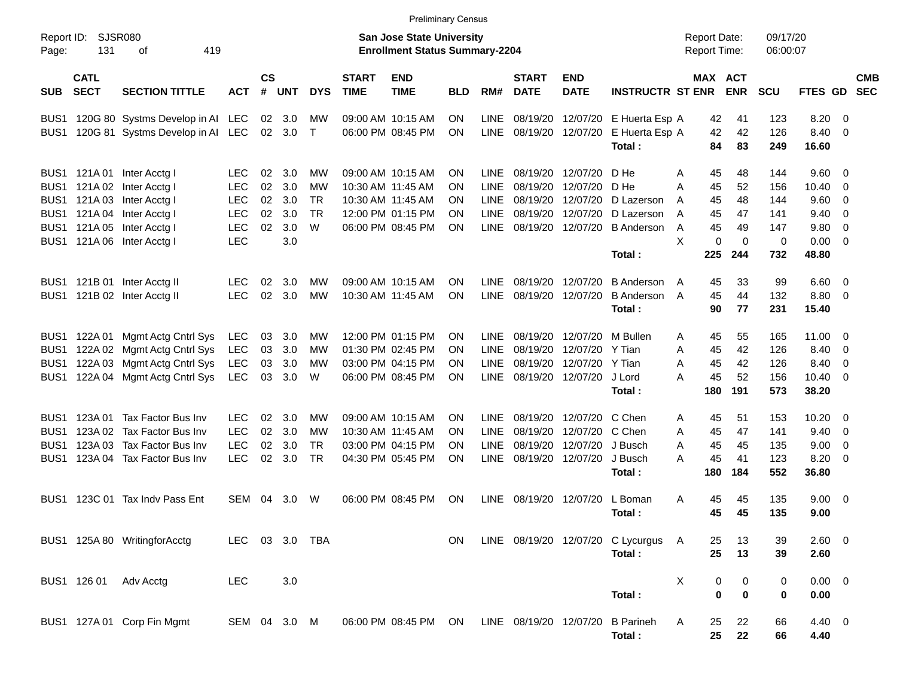|                                                                  |                            |                                                                                                                                                                             |                                                                                  |                            |                                        |                                         |                             | <b>Preliminary Census</b>                                                                             |                            |                                                                         |                                                          |                                                          |                                                                          |                                                                      |                                                  |                                                       |                                                          |                                                                  |                          |
|------------------------------------------------------------------|----------------------------|-----------------------------------------------------------------------------------------------------------------------------------------------------------------------------|----------------------------------------------------------------------------------|----------------------------|----------------------------------------|-----------------------------------------|-----------------------------|-------------------------------------------------------------------------------------------------------|----------------------------|-------------------------------------------------------------------------|----------------------------------------------------------|----------------------------------------------------------|--------------------------------------------------------------------------|----------------------------------------------------------------------|--------------------------------------------------|-------------------------------------------------------|----------------------------------------------------------|------------------------------------------------------------------|--------------------------|
| Report ID:<br>Page:                                              | 131                        | SJSR080<br>419<br>οf                                                                                                                                                        |                                                                                  |                            |                                        |                                         |                             | <b>San Jose State University</b><br><b>Enrollment Status Summary-2204</b>                             |                            |                                                                         |                                                          |                                                          |                                                                          | <b>Report Date:</b><br><b>Report Time:</b>                           |                                                  | 09/17/20<br>06:00:07                                  |                                                          |                                                                  |                          |
| <b>SUB</b>                                                       | <b>CATL</b><br><b>SECT</b> | <b>SECTION TITTLE</b>                                                                                                                                                       | <b>ACT</b>                                                                       | <b>CS</b><br>#             | <b>UNT</b>                             | <b>DYS</b>                              | <b>START</b><br><b>TIME</b> | <b>END</b><br><b>TIME</b>                                                                             | <b>BLD</b>                 | RM#                                                                     | <b>START</b><br><b>DATE</b>                              | <b>END</b><br><b>DATE</b>                                | <b>INSTRUCTR ST ENR</b>                                                  | MAX ACT                                                              | <b>ENR</b>                                       | <b>SCU</b>                                            | FTES GD                                                  |                                                                  | <b>CMB</b><br><b>SEC</b> |
| BUS <sub>1</sub>                                                 |                            | BUS1 120G 80 Systms Develop in AI LEC<br>120G 81 Systms Develop in Al                                                                                                       | LEC                                                                              | 02<br>02                   | 3.0<br>3.0                             | МW<br>$\top$                            |                             | 09:00 AM 10:15 AM<br>06:00 PM 08:45 PM                                                                | ΟN<br>ΟN                   | LINE<br>LINE                                                            | 08/19/20<br>08/19/20                                     |                                                          | 12/07/20 E Huerta Esp A<br>12/07/20 E Huerta Esp A<br>Total:             | 42<br>42<br>84                                                       | 41<br>42<br>83                                   | 123<br>126<br>249                                     | 8.20<br>8.40<br>16.60                                    | - 0<br>- 0                                                       |                          |
| BUS <sub>1</sub>                                                 |                            | BUS1 121A 01 Inter Acctg I<br>121A 02 Inter Acctg I<br>BUS1 121A 03 Inter Acctg I<br>BUS1 121A 04 Inter Acctg I<br>BUS1 121A 05 Inter Acctg I<br>BUS1 121A 06 Inter Acctg I | <b>LEC</b><br><b>LEC</b><br><b>LEC</b><br><b>LEC</b><br><b>LEC</b><br><b>LEC</b> | 02<br>02<br>02<br>02<br>02 | 3.0<br>3.0<br>3.0<br>3.0<br>3.0<br>3.0 | МW<br>МW<br><b>TR</b><br><b>TR</b><br>W |                             | 09:00 AM 10:15 AM<br>10:30 AM 11:45 AM<br>10:30 AM 11:45 AM<br>12:00 PM 01:15 PM<br>06:00 PM 08:45 PM | ΟN<br>ON<br>ON<br>ON<br>ON | <b>LINE</b><br><b>LINE</b><br><b>LINE</b><br><b>LINE</b><br><b>LINE</b> | 08/19/20<br>08/19/20<br>08/19/20<br>08/19/20<br>08/19/20 | 12/07/20<br>12/07/20<br>12/07/20<br>12/07/20<br>12/07/20 | D He<br>D He<br>D Lazerson<br>D Lazerson<br><b>B</b> Anderson<br>Total : | A<br>45<br>45<br>Α<br>45<br>A<br>45<br>A<br>45<br>A<br>X<br>0<br>225 | 48<br>52<br>48<br>47<br>49<br>$\mathbf 0$<br>244 | 144<br>156<br>144<br>141<br>147<br>$\mathbf 0$<br>732 | 9.60 0<br>10.40<br>9.60<br>9.40<br>9.80<br>0.00<br>48.80 | - 0<br>- 0<br>- 0<br>0<br>- 0                                    |                          |
|                                                                  |                            | BUS1 121B 01 Inter Acctg II<br>BUS1 121B 02 Inter Acctg II                                                                                                                  | <b>LEC</b><br><b>LEC</b>                                                         | 02<br>02                   | 3.0<br>3.0                             | МW<br>МW                                |                             | 09:00 AM 10:15 AM<br>10:30 AM 11:45 AM                                                                | ON<br>ΟN                   | <b>LINE</b><br><b>LINE</b>                                              | 08/19/20<br>08/19/20                                     | 12/07/20<br>12/07/20                                     | <b>B</b> Anderson<br><b>B</b> Anderson<br>Total:                         | 45<br>A<br>45<br>A<br>90                                             | 33<br>44<br>77                                   | 99<br>132<br>231                                      | $6.60$ 0<br>8.80<br>15.40                                | - 0                                                              |                          |
| BUS <sub>1</sub><br>BUS <sub>1</sub><br>BUS <sub>1</sub>         | BUS1 122A 01               | Mgmt Actg Cntrl Sys<br>122A 02 Mgmt Actg Cntrl Sys<br>122A 03 Mgmt Actg Cntrl Sys<br>122A 04 Mgmt Actg Cntrl Sys                                                            | <b>LEC</b><br><b>LEC</b><br><b>LEC</b><br><b>LEC</b>                             | 03<br>03<br>03<br>03       | 3.0<br>3.0<br>3.0<br>3.0               | МW<br>МW<br>МW<br>W                     |                             | 12:00 PM 01:15 PM<br>01:30 PM 02:45 PM<br>03:00 PM 04:15 PM<br>06:00 PM 08:45 PM                      | ΟN<br>ΟN<br>ON<br>ON       | <b>LINE</b><br><b>LINE</b><br><b>LINE</b><br><b>LINE</b>                | 08/19/20<br>08/19/20<br>08/19/20<br>08/19/20             | 12/07/20<br>12/07/20<br>12/07/20<br>12/07/20             | M Bullen<br>Y Tian<br>Y Tian<br>J Lord<br>Total:                         | 45<br>A<br>45<br>Α<br>45<br>Α<br>45<br>A<br>180                      | 55<br>42<br>42<br>52<br>191                      | 165<br>126<br>126<br>156<br>573                       | 11.00<br>8.40<br>8.40<br>$10.40 \ 0$<br>38.20            | - 0<br>$\overline{\mathbf{0}}$<br>$\overline{\mathbf{0}}$        |                          |
| BUS1<br>BUS <sub>1</sub><br>BUS <sub>1</sub><br>BUS <sub>1</sub> |                            | 123A 01 Tax Factor Bus Inv<br>123A 02 Tax Factor Bus Inv<br>123A 03 Tax Factor Bus Inv<br>123A 04 Tax Factor Bus Inv                                                        | <b>LEC</b><br><b>LEC</b><br><b>LEC</b><br><b>LEC</b>                             | 02<br>02<br>02<br>02       | 3.0<br>3.0<br>3.0<br>3.0               | МW<br>МW<br><b>TR</b><br><b>TR</b>      |                             | 09:00 AM 10:15 AM<br>10:30 AM 11:45 AM<br>03:00 PM 04:15 PM<br>04:30 PM 05:45 PM                      | ON<br>ΟN<br>ON<br>ON       | <b>LINE</b><br><b>LINE</b><br><b>LINE</b><br><b>LINE</b>                | 08/19/20<br>08/19/20<br>08/19/20<br>08/19/20             | 12/07/20<br>12/07/20<br>12/07/20<br>12/07/20             | C Chen<br>C Chen<br>J Busch<br>J Busch<br>Total:                         | 45<br>A<br>45<br>Α<br>45<br>Α<br>45<br>Α<br>180                      | 51<br>47<br>45<br>41<br>184                      | 153<br>141<br>135<br>123<br>552                       | 10.20<br>9.40<br>9.00<br>8.20<br>36.80                   | - 0<br>$\overline{\mathbf{0}}$<br>$\overline{\mathbf{0}}$<br>- 0 |                          |
| BUS <sub>1</sub>                                                 |                            | 123C 01 Tax Indy Pass Ent                                                                                                                                                   | SEM                                                                              | 04                         | 3.0                                    | W                                       |                             | 06:00 PM 08:45 PM                                                                                     | ΟN                         | <b>LINE</b>                                                             | 08/19/20                                                 | 12/07/20                                                 | L Boman<br>Total:                                                        | 45<br>A<br>45                                                        | 45<br>45                                         | 135<br>135                                            | 9.00<br>9.00                                             | - 0                                                              |                          |
|                                                                  |                            | BUS1 125A 80 WritingforAcctg                                                                                                                                                | LEC                                                                              |                            |                                        | 03 3.0 TBA                              |                             |                                                                                                       | ON                         |                                                                         |                                                          |                                                          | LINE 08/19/20 12/07/20 C Lycurgus A<br>Total:                            | 25<br>25                                                             | 13<br>13                                         | 39<br>39                                              | 2.60 0<br>2.60                                           |                                                                  |                          |
|                                                                  |                            | BUS1 126 01 Adv Acctg                                                                                                                                                       | LEC                                                                              |                            | 3.0                                    |                                         |                             |                                                                                                       |                            |                                                                         |                                                          |                                                          | Total:                                                                   | X<br>0<br>0                                                          | 0<br>$\bf{0}$                                    | 0<br>0                                                | $0.00 \t 0$<br>0.00                                      |                                                                  |                          |
|                                                                  |                            | BUS1 127A 01 Corp Fin Mgmt                                                                                                                                                  | SEM 04 3.0 M                                                                     |                            |                                        |                                         |                             | 06:00 PM 08:45 PM ON                                                                                  |                            |                                                                         | LINE 08/19/20 12/07/20                                   |                                                          | <b>B</b> Parineh<br>Total:                                               | Α<br>25<br>25                                                        | 22<br>22                                         | 66<br>66                                              | 4.40 0<br>4.40                                           |                                                                  |                          |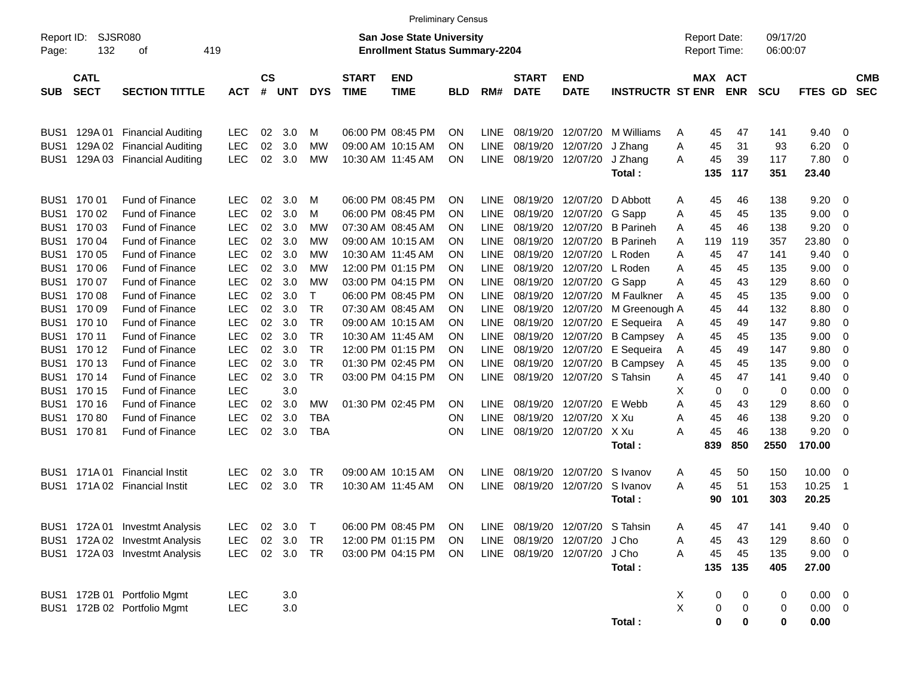|                                  |                                                                                                                                                                                                                                              |                                                                                                                                                                                                                                                                                                                                                                      |                                                                                                                                                                                                                        |                                                                                        |                                                                                                              |                                                                                                                                          |                             | <b>Preliminary Census</b>                                                                                                                                                                                                                                                                                               |                                                                                        |                                                                                                                                                                                                                               |                                                                                                                                  |                                                                                                                                                                                                                               |                                                                                                                                                                                                         |                                                                         |                                                                                              |                                                                                              |                                                                                                            |                                                                                                                               |                                                                                |                          |
|----------------------------------|----------------------------------------------------------------------------------------------------------------------------------------------------------------------------------------------------------------------------------------------|----------------------------------------------------------------------------------------------------------------------------------------------------------------------------------------------------------------------------------------------------------------------------------------------------------------------------------------------------------------------|------------------------------------------------------------------------------------------------------------------------------------------------------------------------------------------------------------------------|----------------------------------------------------------------------------------------|--------------------------------------------------------------------------------------------------------------|------------------------------------------------------------------------------------------------------------------------------------------|-----------------------------|-------------------------------------------------------------------------------------------------------------------------------------------------------------------------------------------------------------------------------------------------------------------------------------------------------------------------|----------------------------------------------------------------------------------------|-------------------------------------------------------------------------------------------------------------------------------------------------------------------------------------------------------------------------------|----------------------------------------------------------------------------------------------------------------------------------|-------------------------------------------------------------------------------------------------------------------------------------------------------------------------------------------------------------------------------|---------------------------------------------------------------------------------------------------------------------------------------------------------------------------------------------------------|-------------------------------------------------------------------------|----------------------------------------------------------------------------------------------|----------------------------------------------------------------------------------------------|------------------------------------------------------------------------------------------------------------|-------------------------------------------------------------------------------------------------------------------------------|--------------------------------------------------------------------------------|--------------------------|
| Report ID:<br>Page:              | 132                                                                                                                                                                                                                                          | SJSR080<br>419<br>οf                                                                                                                                                                                                                                                                                                                                                 |                                                                                                                                                                                                                        |                                                                                        |                                                                                                              |                                                                                                                                          |                             | San Jose State University<br><b>Enrollment Status Summary-2204</b>                                                                                                                                                                                                                                                      |                                                                                        |                                                                                                                                                                                                                               |                                                                                                                                  |                                                                                                                                                                                                                               |                                                                                                                                                                                                         |                                                                         | <b>Report Date:</b><br>Report Time:                                                          |                                                                                              | 09/17/20<br>06:00:07                                                                                       |                                                                                                                               |                                                                                |                          |
| <b>SUB</b>                       | <b>CATL</b><br><b>SECT</b>                                                                                                                                                                                                                   | <b>SECTION TITTLE</b>                                                                                                                                                                                                                                                                                                                                                | <b>ACT</b>                                                                                                                                                                                                             | $\mathsf{cs}$<br>#                                                                     | UNT                                                                                                          | <b>DYS</b>                                                                                                                               | <b>START</b><br><b>TIME</b> | <b>END</b><br><b>TIME</b>                                                                                                                                                                                                                                                                                               | BLD.                                                                                   | RM#                                                                                                                                                                                                                           | <b>START</b><br><b>DATE</b>                                                                                                      | <b>END</b><br><b>DATE</b>                                                                                                                                                                                                     | <b>INSTRUCTR ST ENR</b>                                                                                                                                                                                 |                                                                         | MAX ACT                                                                                      | <b>ENR</b>                                                                                   | <b>SCU</b>                                                                                                 | <b>FTES GD</b>                                                                                                                |                                                                                | <b>CMB</b><br><b>SEC</b> |
| BUS1<br>BUS <sub>1</sub><br>BUS1 | 129A 01                                                                                                                                                                                                                                      | <b>Financial Auditing</b><br>129A 02 Financial Auditing<br>129A 03 Financial Auditing                                                                                                                                                                                                                                                                                | <b>LEC</b><br><b>LEC</b><br><b>LEC</b>                                                                                                                                                                                 | 02<br>02<br>02                                                                         | 3.0<br>3.0<br>3.0                                                                                            | м<br>МW<br>MW                                                                                                                            |                             | 06:00 PM 08:45 PM<br>09:00 AM 10:15 AM<br>10:30 AM 11:45 AM                                                                                                                                                                                                                                                             | ΟN<br>OΝ<br>OΝ                                                                         | <b>LINE</b><br><b>LINE</b><br>LINE                                                                                                                                                                                            | 08/19/20<br>08/19/20<br>08/19/20 12/07/20                                                                                        | 12/07/20<br>12/07/20                                                                                                                                                                                                          | M Williams<br>J Zhang<br>J Zhang<br>Total:                                                                                                                                                              | A<br>Α<br>A                                                             | 45<br>45<br>45<br>135                                                                        | 47<br>31<br>39<br>117                                                                        | 141<br>93<br>117<br>351                                                                                    | 9.40<br>6.20<br>7.80<br>23.40                                                                                                 | 0<br>0<br>0                                                                    |                          |
|                                  | BUS1 170 01<br>BUS1 170 02<br>BUS1 170 03<br>BUS1 170 04<br>BUS1 170 05<br>BUS1 170 06<br>BUS1 170 07<br>BUS1 170 08<br>BUS1 170 09<br>BUS1 170 10<br>BUS1 170 11<br>BUS1 170 12<br>BUS1 170 13<br>BUS1 170 14<br>BUS1 170 15<br>BUS1 170 16 | <b>Fund of Finance</b><br>Fund of Finance<br><b>Fund of Finance</b><br><b>Fund of Finance</b><br><b>Fund of Finance</b><br><b>Fund of Finance</b><br>Fund of Finance<br>Fund of Finance<br>Fund of Finance<br><b>Fund of Finance</b><br>Fund of Finance<br>Fund of Finance<br><b>Fund of Finance</b><br><b>Fund of Finance</b><br>Fund of Finance<br>Fund of Finance | LEC.<br><b>LEC</b><br><b>LEC</b><br><b>LEC</b><br><b>LEC</b><br><b>LEC</b><br><b>LEC</b><br><b>LEC</b><br><b>LEC</b><br><b>LEC</b><br><b>LEC</b><br><b>LEC</b><br><b>LEC</b><br><b>LEC</b><br><b>LEC</b><br><b>LEC</b> | 02<br>02<br>02<br>02<br>02<br>02<br>02<br>02<br>02<br>02<br>02<br>02<br>02<br>02<br>02 | 3.0<br>3.0<br>3.0<br>3.0<br>3.0<br>3.0<br>3.0<br>3.0<br>3.0<br>3.0<br>3.0<br>3.0<br>3.0<br>3.0<br>3.0<br>3.0 | м<br>м<br>МW<br>МW<br>МW<br>МW<br>МW<br>$\mathsf{T}$<br><b>TR</b><br><b>TR</b><br><b>TR</b><br><b>TR</b><br><b>TR</b><br><b>TR</b><br>МW |                             | 06:00 PM 08:45 PM<br>06:00 PM 08:45 PM<br>07:30 AM 08:45 AM<br>09:00 AM 10:15 AM<br>10:30 AM 11:45 AM<br>12:00 PM 01:15 PM<br>03:00 PM 04:15 PM<br>06:00 PM 08:45 PM<br>07:30 AM 08:45 AM<br>09:00 AM 10:15 AM<br>10:30 AM 11:45 AM<br>12:00 PM 01:15 PM<br>01:30 PM 02:45 PM<br>03:00 PM 04:15 PM<br>01:30 PM 02:45 PM | ΟN<br>OΝ<br>OΝ<br>OΝ<br>OΝ<br>OΝ<br>OΝ<br>OΝ<br>OΝ<br>OΝ<br>OΝ<br>OΝ<br>OΝ<br>ΟN<br>ΟN | <b>LINE</b><br><b>LINE</b><br><b>LINE</b><br><b>LINE</b><br><b>LINE</b><br><b>LINE</b><br><b>LINE</b><br><b>LINE</b><br><b>LINE</b><br><b>LINE</b><br><b>LINE</b><br><b>LINE</b><br><b>LINE</b><br><b>LINE</b><br><b>LINE</b> | 08/19/20<br>08/19/20<br>08/19/20<br>08/19/20<br>08/19/20<br>08/19/20<br>08/19/20<br>08/19/20<br>08/19/20<br>08/19/20<br>08/19/20 | 12/07/20<br>12/07/20<br>12/07/20<br>12/07/20<br>12/07/20<br>12/07/20<br>12/07/20<br>12/07/20<br>12/07/20<br>12/07/20<br>08/19/20 12/07/20<br>08/19/20 12/07/20<br>12/07/20<br>08/19/20 12/07/20 S Tahsin<br>08/19/20 12/07/20 | D Abbott<br>G Sapp<br><b>B</b> Parineh<br><b>B</b> Parineh<br>L Roden<br>L Roden<br>G Sapp<br>M Faulkner<br>M Greenough A<br>E Sequeira<br><b>B</b> Campsey<br>E Sequeira<br><b>B Campsey</b><br>E Webb | A<br>A<br>A<br>A<br>A<br>A<br>A<br>A<br>A<br>A<br>A<br>A<br>A<br>Х<br>A | 45<br>45<br>45<br>119<br>45<br>45<br>45<br>45<br>45<br>45<br>45<br>45<br>45<br>45<br>0<br>45 | 46<br>45<br>46<br>119<br>47<br>45<br>43<br>45<br>44<br>49<br>45<br>49<br>45<br>47<br>0<br>43 | 138<br>135<br>138<br>357<br>141<br>135<br>129<br>135<br>132<br>147<br>135<br>147<br>135<br>141<br>0<br>129 | 9.20<br>9.00<br>9.20<br>23.80<br>9.40<br>9.00<br>8.60<br>9.00<br>8.80<br>9.80<br>9.00<br>9.80<br>9.00<br>9.40<br>0.00<br>8.60 | - 0<br>0<br>0<br>0<br>0<br>0<br>0<br>0<br>0<br>0<br>0<br>0<br>0<br>0<br>0<br>0 |                          |
|                                  | BUS1 170 80<br>BUS1 17081                                                                                                                                                                                                                    | <b>Fund of Finance</b><br><b>Fund of Finance</b>                                                                                                                                                                                                                                                                                                                     | <b>LEC</b><br><b>LEC</b>                                                                                                                                                                                               | 02<br>02                                                                               | 3.0<br>3.0                                                                                                   | <b>TBA</b><br>TBA                                                                                                                        |                             |                                                                                                                                                                                                                                                                                                                         | ΟN<br>ΟN                                                                               | <b>LINE</b><br><b>LINE</b>                                                                                                                                                                                                    | 08/19/20<br>08/19/20                                                                                                             | 12/07/20<br>12/07/20                                                                                                                                                                                                          | X Xu<br>X Xu<br>Total:                                                                                                                                                                                  | A<br>A                                                                  | 45<br>45<br>839                                                                              | 46<br>46<br>850                                                                              | 138<br>138<br>2550                                                                                         | 9.20<br>9.20<br>170.00                                                                                                        | 0<br>0                                                                         |                          |
| BUS1                             | BUS1 171A01                                                                                                                                                                                                                                  | <b>Financial Instit</b><br>171A 02 Financial Instit                                                                                                                                                                                                                                                                                                                  | LEC<br><b>LEC</b>                                                                                                                                                                                                      | 02<br>02                                                                               | 3.0<br>3.0                                                                                                   | TR<br><b>TR</b>                                                                                                                          |                             | 09:00 AM 10:15 AM<br>10:30 AM 11:45 AM                                                                                                                                                                                                                                                                                  | OΝ<br>ON                                                                               | <b>LINE</b><br><b>LINE</b>                                                                                                                                                                                                    |                                                                                                                                  | 08/19/20 12/07/20<br>08/19/20 12/07/20                                                                                                                                                                                        | S Ivanov<br>S Ivanov<br>Total:                                                                                                                                                                          | A<br>A                                                                  | 45<br>45<br>90                                                                               | 50<br>51<br>101                                                                              | 150<br>153<br>303                                                                                          | 10.00<br>10.25<br>20.25                                                                                                       | - 0<br>-1                                                                      |                          |
|                                  |                                                                                                                                                                                                                                              | BUS1 172A 01 Investmt Analysis<br>BUS1 172A 02 Investmt Analysis<br>BUS1 172A 03 Investmt Analysis                                                                                                                                                                                                                                                                   | <b>LEC</b><br><b>LEC</b><br><b>LEC</b>                                                                                                                                                                                 | 02                                                                                     | 02 3.0<br>3.0<br>02 3.0 TR                                                                                   | $\top$<br><b>TR</b>                                                                                                                      |                             | 06:00 PM 08:45 PM<br>12:00 PM 01:15 PM<br>03:00 PM 04:15 PM                                                                                                                                                                                                                                                             | <b>ON</b><br>ON.<br>ON                                                                 | LINE                                                                                                                                                                                                                          | 08/19/20 12/07/20 S Tahsin<br>LINE 08/19/20 12/07/20 J Cho<br>LINE 08/19/20 12/07/20                                             |                                                                                                                                                                                                                               | J Cho<br>Total:                                                                                                                                                                                         | Α<br>Α<br>Α                                                             | 45<br>45<br>45<br>135                                                                        | 47<br>43<br>45<br>135                                                                        | 141<br>129<br>135<br>405                                                                                   | $9.40 \quad 0$<br>$8.60$ 0<br>$9.00 \t 0$<br>27.00                                                                            |                                                                                |                          |
|                                  |                                                                                                                                                                                                                                              | BUS1 172B 01 Portfolio Mgmt<br>BUS1 172B 02 Portfolio Mgmt                                                                                                                                                                                                                                                                                                           | <b>LEC</b><br><b>LEC</b>                                                                                                                                                                                               |                                                                                        | 3.0<br>$3.0\,$                                                                                               |                                                                                                                                          |                             |                                                                                                                                                                                                                                                                                                                         |                                                                                        |                                                                                                                                                                                                                               |                                                                                                                                  |                                                                                                                                                                                                                               | Total:                                                                                                                                                                                                  | X<br>X                                                                  | 0<br>0<br>$\pmb{0}$                                                                          | 0<br>0<br>0                                                                                  | 0<br>0<br>0                                                                                                | $0.00 \t 0$<br>$0.00 \t 0$<br>0.00                                                                                            |                                                                                |                          |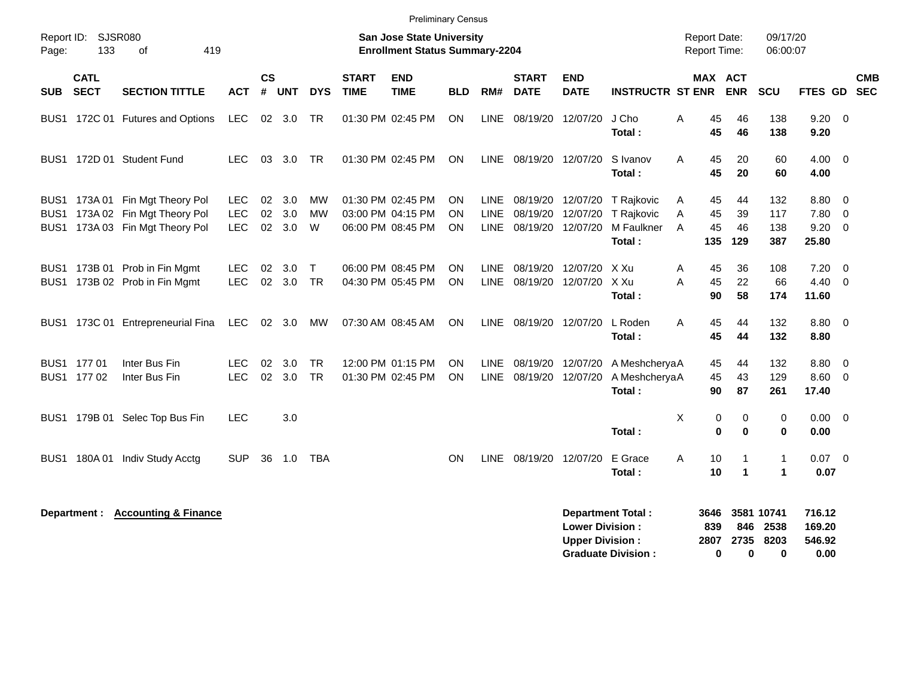|                                      |                            |                                                                                        |                                        |                |                      |                          |                             | <b>Preliminary Census</b>                                                 |                        |                            |                                        |                                                  |                                                                    |                                                   |                                 |                                 |                                    |                                                   |            |
|--------------------------------------|----------------------------|----------------------------------------------------------------------------------------|----------------------------------------|----------------|----------------------|--------------------------|-----------------------------|---------------------------------------------------------------------------|------------------------|----------------------------|----------------------------------------|--------------------------------------------------|--------------------------------------------------------------------|---------------------------------------------------|---------------------------------|---------------------------------|------------------------------------|---------------------------------------------------|------------|
| Page:                                | Report ID: SJSR080<br>133  | 419<br>οf                                                                              |                                        |                |                      |                          |                             | <b>San Jose State University</b><br><b>Enrollment Status Summary-2204</b> |                        |                            |                                        |                                                  |                                                                    | <b>Report Date:</b><br><b>Report Time:</b>        |                                 | 09/17/20<br>06:00:07            |                                    |                                                   |            |
| <b>SUB</b>                           | <b>CATL</b><br><b>SECT</b> | <b>SECTION TITTLE</b>                                                                  | <b>ACT</b>                             | <b>CS</b><br># | <b>UNT</b>           | <b>DYS</b>               | <b>START</b><br><b>TIME</b> | <b>END</b><br><b>TIME</b>                                                 | <b>BLD</b>             | RM#                        | <b>START</b><br><b>DATE</b>            | <b>END</b><br><b>DATE</b>                        | <b>INSTRUCTR ST ENR</b>                                            |                                                   | MAX ACT<br><b>ENR</b>           | SCU                             | FTES GD SEC                        |                                                   | <b>CMB</b> |
| BUS <sub>1</sub>                     |                            | 172C 01 Futures and Options                                                            | LEC                                    |                | 02 3.0               | TR                       |                             | 01:30 PM 02:45 PM                                                         | ON                     | <b>LINE</b>                | 08/19/20                               | 12/07/20                                         | J Cho<br>Total :                                                   | 45<br>Α<br>45                                     | 46<br>46                        | 138<br>138                      | 9.20<br>9.20                       | $\overline{0}$                                    |            |
| BUS <sub>1</sub>                     |                            | 172D 01 Student Fund                                                                   | LEC.                                   | 03             | 3.0                  | TR                       |                             | 01:30 PM 02:45 PM                                                         | ON                     | LINE                       | 08/19/20 12/07/20                      |                                                  | S Ivanov<br>Total:                                                 | 45<br>A<br>45                                     | 20<br>20                        | 60<br>60                        | 4.00<br>4.00                       | $\overline{\mathbf{0}}$                           |            |
| BUS1<br>BUS <sub>1</sub><br>BUS1     |                            | 173A 01 Fin Mgt Theory Pol<br>173A 02 Fin Mgt Theory Pol<br>173A 03 Fin Mgt Theory Pol | <b>LEC</b><br><b>LEC</b><br><b>LEC</b> | 02<br>02       | 3.0<br>3.0<br>02 3.0 | МW<br><b>MW</b><br>W     |                             | 01:30 PM 02:45 PM<br>03:00 PM 04:15 PM<br>06:00 PM 08:45 PM               | ON<br><b>ON</b><br>ΟN  | LINE<br><b>LINE</b>        | LINE 08/19/20 12/07/20                 | 08/19/20 12/07/20                                | 08/19/20 12/07/20 T Rajkovic<br>T Rajkovic<br>M Faulkner<br>Total: | 45<br>A<br>45<br>Α<br>$\overline{A}$<br>45<br>135 | 44<br>39<br>46<br>129           | 132<br>117<br>138<br>387        | 8.80<br>7.80<br>9.20<br>25.80      | $\overline{\phantom{0}}$<br>$\overline{0}$<br>- 0 |            |
| BUS <sub>1</sub><br>BUS <sub>1</sub> |                            | 173B 01 Prob in Fin Mgmt<br>173B 02 Prob in Fin Mgmt                                   | <b>LEC</b><br><b>LEC</b>               | 02             | 3.0<br>02 3.0        | $\mathsf T$<br><b>TR</b> |                             | 06:00 PM 08:45 PM<br>04:30 PM 05:45 PM                                    | ON<br><b>ON</b>        | <b>LINE</b><br><b>LINE</b> |                                        | 08/19/20 12/07/20<br>08/19/20 12/07/20           | X Xu<br>X Xu<br>Total:                                             | Α<br>45<br>45<br>A<br>90                          | 36<br>22<br>58                  | 108<br>66<br>174                | 7.20<br>$4.40 \quad 0$<br>11.60    | $\overline{\mathbf{0}}$                           |            |
| BUS1                                 |                            | 173C 01 Entrepreneurial Fina                                                           | LEC                                    |                | 02 3.0               | МW                       |                             | 07:30 AM 08:45 AM                                                         | <b>ON</b>              |                            | LINE 08/19/20 12/07/20                 |                                                  | L Roden<br>Total:                                                  | A<br>45<br>45                                     | 44<br>44                        | 132<br>132                      | 8.80 0<br>8.80                     |                                                   |            |
|                                      | BUS1 177 01<br>BUS1 177 02 | Inter Bus Fin<br>Inter Bus Fin                                                         | <b>LEC</b><br><b>LEC</b>               | 02<br>02       | 3.0<br>3.0           | <b>TR</b><br><b>TR</b>   |                             | 12:00 PM 01:15 PM<br>01:30 PM 02:45 PM                                    | <b>ON</b><br><b>ON</b> | <b>LINE</b><br><b>LINE</b> | 08/19/20 12/07/20<br>08/19/20 12/07/20 |                                                  | A MeshcheryaA<br>A MeshcheryaA<br>Total :                          | 45<br>45<br>90                                    | 44<br>43<br>87                  | 132<br>129<br>261               | 8.80<br>8.60 0<br>17.40            | $\overline{0}$                                    |            |
| BUS1                                 |                            | 179B 01 Selec Top Bus Fin                                                              | <b>LEC</b>                             |                | 3.0                  |                          |                             |                                                                           |                        |                            |                                        |                                                  | Total:                                                             | X                                                 | 0<br>0<br>0<br>0                | 0<br>$\bf{0}$                   | $0.00 \t 0$<br>0.00                |                                                   |            |
| BUS <sub>1</sub>                     | 180A01                     | Indiv Study Acctg                                                                      | <b>SUP</b>                             | 36             | 1.0                  | <b>TBA</b>               |                             |                                                                           | <b>ON</b>              | <b>LINE</b>                | 08/19/20 12/07/20                      |                                                  | E Grace<br>Total :                                                 | Α<br>10<br>10                                     | $\mathbf 1$<br>$\mathbf 1$      | $\mathbf{1}$<br>1               | $0.07$ 0<br>0.07                   |                                                   |            |
|                                      |                            | Department : Accounting & Finance                                                      |                                        |                |                      |                          |                             |                                                                           |                        |                            |                                        | <b>Lower Division:</b><br><b>Upper Division:</b> | <b>Department Total:</b><br><b>Graduate Division:</b>              | 3646<br>839<br>2807                               | 846<br>2735<br>0<br>$\mathbf 0$ | 3581 10741<br>2538<br>8203<br>0 | 716.12<br>169.20<br>546.92<br>0.00 |                                                   |            |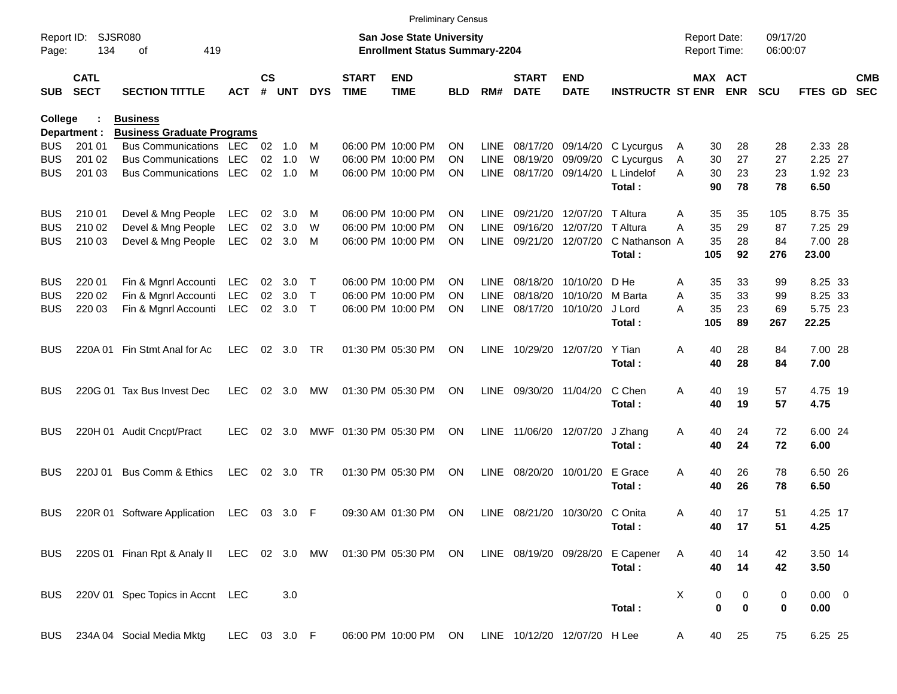|            |                            |                                                                                                  |              |                    |                |              |                             | <b>Preliminary Census</b>                                                 |            |             |                             |                                |                         |   |                                     |                       |                      |                  |                          |
|------------|----------------------------|--------------------------------------------------------------------------------------------------|--------------|--------------------|----------------|--------------|-----------------------------|---------------------------------------------------------------------------|------------|-------------|-----------------------------|--------------------------------|-------------------------|---|-------------------------------------|-----------------------|----------------------|------------------|--------------------------|
| Page:      | Report ID: SJSR080<br>134  | 419<br>οf                                                                                        |              |                    |                |              |                             | <b>San Jose State University</b><br><b>Enrollment Status Summary-2204</b> |            |             |                             |                                |                         |   | <b>Report Date:</b><br>Report Time: |                       | 09/17/20<br>06:00:07 |                  |                          |
| <b>SUB</b> | <b>CATL</b><br><b>SECT</b> | <b>SECTION TITTLE</b>                                                                            | <b>ACT</b>   | $\mathsf{cs}$<br># | <b>UNT</b>     | <b>DYS</b>   | <b>START</b><br><b>TIME</b> | <b>END</b><br><b>TIME</b>                                                 | <b>BLD</b> | RM#         | <b>START</b><br><b>DATE</b> | <b>END</b><br><b>DATE</b>      | <b>INSTRUCTR ST ENR</b> |   |                                     | MAX ACT<br><b>ENR</b> | <b>SCU</b>           | FTES GD          | <b>CMB</b><br><b>SEC</b> |
| College    |                            | <b>Business</b>                                                                                  |              |                    |                |              |                             |                                                                           |            |             |                             |                                |                         |   |                                     |                       |                      |                  |                          |
|            | Department :               | <b>Business Graduate Programs</b>                                                                |              |                    |                |              |                             |                                                                           |            |             |                             |                                |                         |   |                                     |                       |                      |                  |                          |
| <b>BUS</b> | 201 01                     | Bus Communications LEC                                                                           |              |                    | $02 \quad 1.0$ | M            |                             | 06:00 PM 10:00 PM                                                         | <b>ON</b>  | LINE        |                             | 08/17/20 09/14/20              | C Lycurgus              | A | 30                                  | 28                    | 28                   | 2.33 28          |                          |
| <b>BUS</b> | 201 02                     | <b>Bus Communications</b>                                                                        | <b>LEC</b>   | 02                 | 1.0            | W            |                             | 06:00 PM 10:00 PM                                                         | <b>ON</b>  | LINE        | 08/19/20                    | 09/09/20                       | C Lycurgus              | A | 30                                  | 27                    | 27                   | 2.25 27          |                          |
| <b>BUS</b> | 201 03                     | Bus Communications LEC                                                                           |              |                    | $02 \quad 1.0$ | M            |                             | 06:00 PM 10:00 PM                                                         | <b>ON</b>  |             |                             | LINE 08/17/20 09/14/20         | L Lindelof<br>Total:    | A | 30<br>90                            | 23<br>78              | 23<br>78             | 1.92 23<br>6.50  |                          |
| <b>BUS</b> | 210 01                     | Devel & Mng People                                                                               | LEC          | 02                 | 3.0            | M            |                             | 06:00 PM 10:00 PM                                                         | <b>ON</b>  | LINE        |                             | 09/21/20 12/07/20              | T Altura                | A | 35                                  | 35                    | 105                  | 8.75 35          |                          |
| <b>BUS</b> | 210 02                     | Devel & Mng People                                                                               | LEC          | 02                 | 3.0            | W            |                             | 06:00 PM 10:00 PM                                                         | <b>ON</b>  | LINE        | 09/16/20                    | 12/07/20                       | T Altura                | A | 35                                  | 29                    | 87                   | 7.25 29          |                          |
| <b>BUS</b> | 210 03                     | Devel & Mng People                                                                               | LEC          | 02                 | 3.0            | M            |                             | 06:00 PM 10:00 PM                                                         | <b>ON</b>  | LINE        |                             | 09/21/20 12/07/20              | C Nathanson A<br>Total: |   | 35<br>105                           | 28<br>92              | 84<br>276            | 7.00 28<br>23.00 |                          |
|            |                            |                                                                                                  |              |                    |                |              |                             |                                                                           |            |             |                             |                                |                         |   |                                     |                       |                      |                  |                          |
| <b>BUS</b> | 220 01                     | Fin & Mgnrl Accounti                                                                             | LEC          | 02                 | 3.0            | $\top$       |                             | 06:00 PM 10:00 PM                                                         | <b>ON</b>  | LINE        | 08/18/20                    | 10/10/20                       | D He                    | A | 35                                  | 33                    | 99                   | 8.25 33          |                          |
| <b>BUS</b> | 220 02                     | Fin & Mgnrl Accounti                                                                             | <b>LEC</b>   | 02                 | 3.0            | $\mathsf{T}$ |                             | 06:00 PM 10:00 PM                                                         | <b>ON</b>  | <b>LINE</b> | 08/18/20                    | 10/10/20                       | M Barta                 | Α | 35                                  | 33                    | 99                   | 8.25 33          |                          |
| <b>BUS</b> | 220 03                     | Fin & Mgnrl Accounti                                                                             | LEC          | 02                 | 3.0            | $\top$       |                             | 06:00 PM 10:00 PM                                                         | <b>ON</b>  | LINE        |                             | 08/17/20 10/10/20              | J Lord<br>Total:        | Α | 35<br>105                           | 23<br>89              | 69<br>267            | 5.75 23<br>22.25 |                          |
| <b>BUS</b> |                            | 220A 01 Fin Stmt Anal for Ac                                                                     | <b>LEC</b>   |                    | 02 3.0         | <b>TR</b>    |                             | 01:30 PM 05:30 PM                                                         | <b>ON</b>  | LINE        |                             | 10/29/20 12/07/20              | Y Tian                  | A | 40                                  | 28                    | 84                   | 7.00 28          |                          |
|            |                            |                                                                                                  |              |                    |                |              |                             |                                                                           |            |             |                             |                                | Total:                  |   | 40                                  | 28                    | 84                   | 7.00             |                          |
| <b>BUS</b> |                            | 220G 01 Tax Bus Invest Dec                                                                       | <b>LEC</b>   |                    | 02 3.0         | MW           |                             | 01:30 PM 05:30 PM                                                         | <b>ON</b>  |             | LINE 09/30/20 11/04/20      |                                | C Chen                  | A | 40                                  | 19                    | 57                   | 4.75 19          |                          |
|            |                            |                                                                                                  |              |                    |                |              |                             |                                                                           |            |             |                             |                                | Total:                  |   | 40                                  | 19                    | 57                   | 4.75             |                          |
| <b>BUS</b> |                            | 220H 01 Audit Cncpt/Pract                                                                        | <b>LEC</b>   | 02                 | 3.0            |              |                             | MWF 01:30 PM 05:30 PM                                                     | ON         |             |                             | LINE 11/06/20 12/07/20         | J Zhang                 | A | 40                                  | 24                    | 72                   | 6.00 24          |                          |
|            |                            |                                                                                                  |              |                    |                |              |                             |                                                                           |            |             |                             |                                | Total:                  |   | 40                                  | 24                    | 72                   | 6.00             |                          |
| <b>BUS</b> | 220J 01                    | <b>Bus Comm &amp; Ethics</b>                                                                     | <b>LEC</b>   |                    | 02 3.0         | <b>TR</b>    |                             | 01:30 PM 05:30 PM                                                         | ON         | LINE        |                             | 08/20/20 10/01/20              | E Grace                 | A | 40                                  | 26                    | 78                   | 6.50 26          |                          |
|            |                            |                                                                                                  |              |                    |                |              |                             |                                                                           |            |             |                             |                                | Total:                  |   | 40                                  | 26                    | 78                   | 6.50             |                          |
| <b>BUS</b> |                            | 220R 01 Software Application LEC                                                                 |              |                    | 03 3.0         | -F           |                             | 09:30 AM 01:30 PM                                                         | <b>ON</b>  |             |                             | LINE 08/21/20 10/30/20 C Onita |                         | A | 40                                  | 17                    | 51                   | 4.25 17          |                          |
|            |                            |                                                                                                  |              |                    |                |              |                             |                                                                           |            |             |                             |                                | Total:                  |   | 40                                  | 17                    | 51                   | 4.25             |                          |
| <b>BUS</b> |                            | 220S 01 Finan Rpt & Analy II LEC 02 3.0 MW 01:30 PM 05:30 PM ON LINE 08/19/20 09/28/20 E Capener |              |                    |                |              |                             |                                                                           |            |             |                             |                                |                         | A | 40                                  | 14                    | 42                   | 3.50 14          |                          |
|            |                            |                                                                                                  |              |                    |                |              |                             |                                                                           |            |             |                             |                                | Total:                  |   | 40                                  | 14                    | 42                   | 3.50             |                          |
| <b>BUS</b> |                            | 220V 01 Spec Topics in Accnt LEC                                                                 |              |                    | 3.0            |              |                             |                                                                           |            |             |                             |                                |                         | X | 0                                   | 0                     | 0                    | $0.00 \t 0$      |                          |
|            |                            |                                                                                                  |              |                    |                |              |                             |                                                                           |            |             |                             |                                | Total:                  |   | 0                                   | $\mathbf 0$           | $\bf{0}$             | 0.00             |                          |
| <b>BUS</b> |                            | 234A 04 Social Media Mktg                                                                        | LEC 03 3.0 F |                    |                |              |                             | 06:00 PM 10:00 PM ON                                                      |            |             |                             | LINE 10/12/20 12/07/20 H Lee   |                         | A | 40                                  | 25                    | 75                   | 6.25 25          |                          |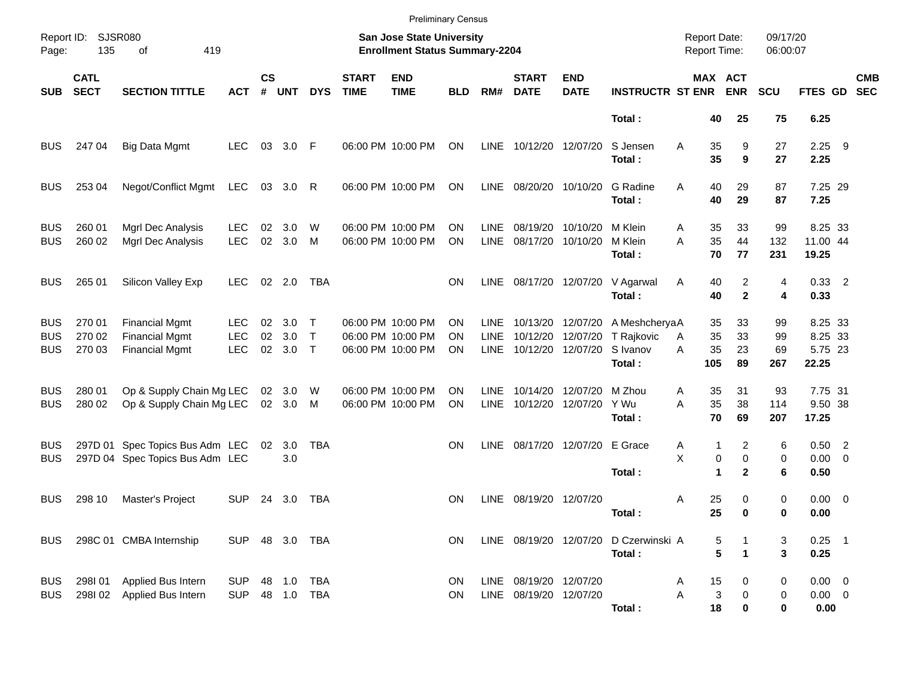|                                        | Report ID: SJSR080         |                                                                         |                                  |                    |                              |                       |                             | <b>Preliminary Census</b><br>San Jose State University      |                 |                              |                                                    |                           |                                                   | <b>Report Date:</b>             |                                       | 09/17/20              |                                        |                          |
|----------------------------------------|----------------------------|-------------------------------------------------------------------------|----------------------------------|--------------------|------------------------------|-----------------------|-----------------------------|-------------------------------------------------------------|-----------------|------------------------------|----------------------------------------------------|---------------------------|---------------------------------------------------|---------------------------------|---------------------------------------|-----------------------|----------------------------------------|--------------------------|
| Page:                                  | 135                        | 419<br>οf                                                               |                                  |                    |                              |                       |                             | <b>Enrollment Status Summary-2204</b>                       |                 |                              |                                                    |                           |                                                   | <b>Report Time:</b>             |                                       | 06:00:07              |                                        |                          |
| <b>SUB</b>                             | <b>CATL</b><br><b>SECT</b> | <b>SECTION TITTLE</b>                                                   | <b>ACT</b>                       | $\mathsf{cs}$<br># | <b>UNT</b>                   | <b>DYS</b>            | <b>START</b><br><b>TIME</b> | <b>END</b><br><b>TIME</b>                                   | <b>BLD</b>      | RM#                          | <b>START</b><br><b>DATE</b>                        | <b>END</b><br><b>DATE</b> | <b>INSTRUCTR ST ENR</b>                           |                                 | MAX ACT<br><b>ENR</b>                 | <b>SCU</b>            | <b>FTES GD</b>                         | <b>CMB</b><br><b>SEC</b> |
|                                        |                            |                                                                         |                                  |                    |                              |                       |                             |                                                             |                 |                              |                                                    |                           | Total:                                            | 40                              | 25                                    | 75                    | 6.25                                   |                          |
| <b>BUS</b>                             | 247 04                     | <b>Big Data Mgmt</b>                                                    | <b>LEC</b>                       | 03                 | 3.0                          | F                     |                             | 06:00 PM 10:00 PM                                           | ON              | LINE                         | 10/12/20 12/07/20                                  |                           | S Jensen<br>Total:                                | Α<br>35<br>35                   | 9<br>9                                | 27<br>27              | $2.25$ 9<br>2.25                       |                          |
| <b>BUS</b>                             | 253 04                     | Negot/Conflict Mgmt                                                     | LEC                              |                    | 03 3.0                       | R                     |                             | 06:00 PM 10:00 PM                                           | ON              | LINE                         | 08/20/20 10/10/20                                  |                           | G Radine<br>Total:                                | A<br>40<br>40                   | 29<br>29                              | 87<br>87              | 7.25 29<br>7.25                        |                          |
| <b>BUS</b><br><b>BUS</b>               | 260 01<br>260 02           | Mgrl Dec Analysis<br>Mgrl Dec Analysis                                  | <b>LEC</b><br><b>LEC</b>         | 02<br>02           | 3.0<br>3.0                   | W<br>М                |                             | 06:00 PM 10:00 PM<br>06:00 PM 10:00 PM                      | ΟN<br>ΟN        | <b>LINE</b><br>LINE          | 08/17/20 10/10/20                                  | 08/19/20 10/10/20         | M Klein<br>M Klein<br>Total:                      | 35<br>A<br>35<br>A<br>70        | 33<br>44<br>77                        | 99<br>132<br>231      | 8.25 33<br>11.00 44<br>19.25           |                          |
| <b>BUS</b>                             | 265 01                     | Silicon Valley Exp                                                      | <b>LEC</b>                       |                    | 02 2.0                       | TBA                   |                             |                                                             | ON              | LINE                         | 08/17/20 12/07/20                                  |                           | V Agarwal<br>Total:                               | 40<br>A<br>40                   | 2<br>$\mathbf{2}$                     | 4<br>4                | $0.33$ 2<br>0.33                       |                          |
| <b>BUS</b><br><b>BUS</b><br><b>BUS</b> | 270 01<br>270 02<br>270 03 | <b>Financial Mgmt</b><br><b>Financial Mgmt</b><br><b>Financial Mgmt</b> | LEC.<br><b>LEC</b><br><b>LEC</b> | 02<br>02<br>02     | 3.0<br>3.0<br>3.0            | Т<br>$\top$<br>$\top$ |                             | 06:00 PM 10:00 PM<br>06:00 PM 10:00 PM<br>06:00 PM 10:00 PM | OΝ<br>ΟN<br>ΟN  | LINE.<br><b>LINE</b><br>LINE | 10/13/20 12/07/20<br>10/12/20<br>10/12/20 12/07/20 | 12/07/20                  | A MeshcheryaA<br>T Rajkovic<br>S Ivanov<br>Total: | 35<br>35<br>A<br>35<br>A<br>105 | 33<br>33<br>23<br>89                  | 99<br>99<br>69<br>267 | 8.25 33<br>8.25 33<br>5.75 23<br>22.25 |                          |
| <b>BUS</b><br><b>BUS</b>               | 280 01<br>280 02           | Op & Supply Chain Mg LEC<br>Op & Supply Chain Mg LEC                    |                                  |                    | 02 3.0<br>02 3.0             | W<br>M                |                             | 06:00 PM 10:00 PM<br>06:00 PM 10:00 PM                      | ΟN<br>ON        | LINE<br>LINE                 | 10/14/20<br>10/12/20 12/07/20                      | 12/07/20                  | M Zhou<br>Y Wu<br>Total:                          | 35<br>A<br>35<br>A<br>70        | 31<br>38<br>69                        | 93<br>114<br>207      | 7.75 31<br>9.50 38<br>17.25            |                          |
| <b>BUS</b><br>BUS                      |                            | 297D 01 Spec Topics Bus Adm LEC<br>297D 04 Spec Topics Bus Adm LEC      |                                  | 02                 | 3.0<br>3.0                   | TBA                   |                             |                                                             | <b>ON</b>       | LINE                         |                                                    | 08/17/20 12/07/20 E Grace | Total:                                            | A<br>X                          | 2<br>1<br>0<br>0<br>1<br>$\mathbf{2}$ | 6<br>0<br>6           | $0.50$ 2<br>$0.00 \t 0$<br>0.50        |                          |
| <b>BUS</b>                             | 298 10                     | Master's Project                                                        | <b>SUP</b>                       | 24                 | 3.0                          | TBA                   |                             |                                                             | ON              | LINE                         | 08/19/20 12/07/20                                  |                           | Total:                                            | Α<br>25<br>25                   | 0<br>$\bf{0}$                         | 0<br>0                | $0.00 \t 0$<br>0.00                    |                          |
| BUSI                                   |                            | 298C 01 CMBA Internship                                                 | SUP 48 3.0 TBA                   |                    |                              |                       |                             |                                                             | ON              |                              |                                                    |                           | LINE 08/19/20 12/07/20 D Czerwinski A<br>Total:   |                                 | 5<br>5<br>1                           | 3<br>3                | $0.25$ 1<br>0.25                       |                          |
| <b>BUS</b><br><b>BUS</b>               | 298101<br>298I02           | Applied Bus Intern<br>Applied Bus Intern                                | <b>SUP</b><br><b>SUP</b>         |                    | 48  1.0  TBA<br>48  1.0  TBA |                       |                             |                                                             | ON<br><b>ON</b> |                              | LINE 08/19/20 12/07/20<br>LINE 08/19/20 12/07/20   |                           | Total:                                            | 15<br>A<br>Α<br>18              | 0<br>3<br>0<br>0                      | 0<br>0<br>0           | $0.00 \t 0$<br>$0.00 \t 0$<br>0.00     |                          |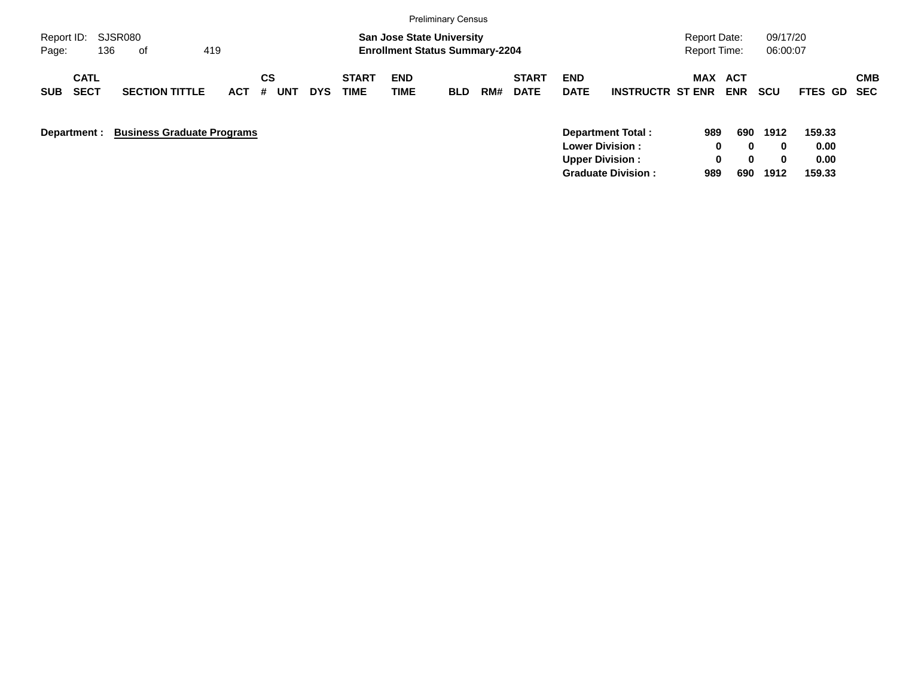| <b>Preliminary Census</b>                                                                                                                                                                        |                                                                                                    |                                                            |                                                                   |
|--------------------------------------------------------------------------------------------------------------------------------------------------------------------------------------------------|----------------------------------------------------------------------------------------------------|------------------------------------------------------------|-------------------------------------------------------------------|
| SJSR080<br><b>San Jose State University</b><br>Report ID:<br>136<br>419<br><b>Enrollment Status Summary-2204</b><br>Page:<br>of                                                                  |                                                                                                    | Report Date:<br><b>Report Time:</b>                        | 09/17/20<br>06:00:07                                              |
| <b>CS</b><br><b>CATL</b><br><b>START</b><br><b>END</b><br><b>SECT</b><br><b>TIME</b><br><b>SECTION TITTLE</b><br>TIME<br>#<br><b>DYS</b><br><b>ACT</b><br><b>UNT</b><br><b>SUB</b><br><b>BLD</b> | <b>END</b><br><b>START</b><br><b>DATE</b><br><b>INSTRUCTR ST ENR</b><br><b>DATE</b><br>RM#         | <b>MAX</b><br>ACT<br><b>ENR</b>                            | <b>CMB</b><br><b>SCU</b><br>FTES GD<br><b>SEC</b>                 |
| <b>Business Graduate Programs</b><br>Department :                                                                                                                                                | Department Total:<br><b>Lower Division:</b><br><b>Upper Division:</b><br><b>Graduate Division:</b> | 690<br>989<br>0<br>$\bf{0}$<br>0<br>$\bf{0}$<br>989<br>690 | 1912<br>159.33<br>0.00<br>0<br>0.00<br>$\bf{0}$<br>1912<br>159.33 |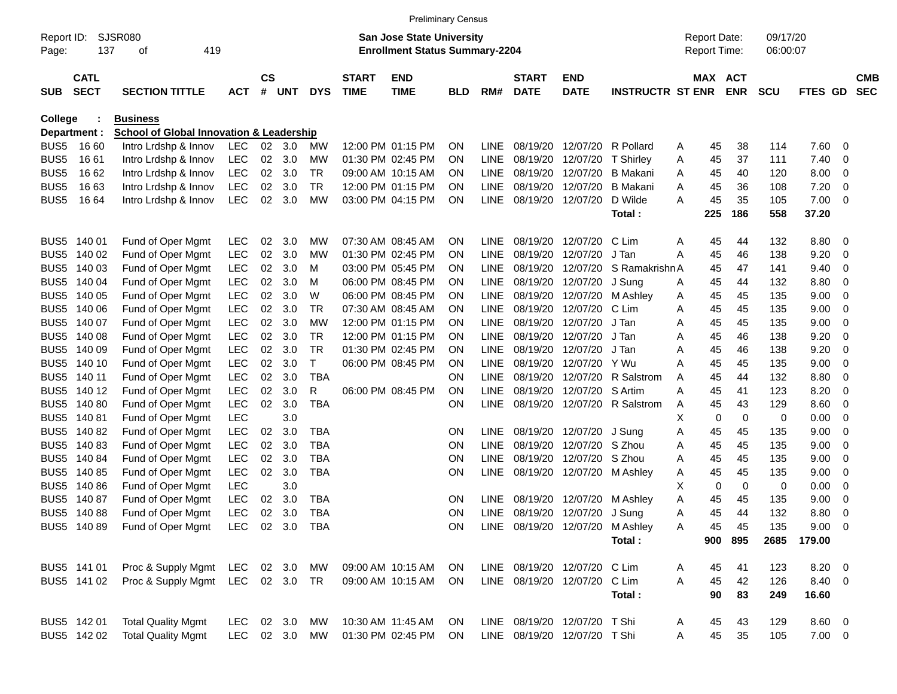|                     |                            |                                                     |                |                |        |               |                             |                                                                           | <b>Preliminary Census</b> |             |                             |                                 |                         |   |                                            |            |                      |                |     |                          |
|---------------------|----------------------------|-----------------------------------------------------|----------------|----------------|--------|---------------|-----------------------------|---------------------------------------------------------------------------|---------------------------|-------------|-----------------------------|---------------------------------|-------------------------|---|--------------------------------------------|------------|----------------------|----------------|-----|--------------------------|
| Report ID:<br>Page: | 137                        | SJSR080<br>419<br>οf                                |                |                |        |               |                             | <b>San Jose State University</b><br><b>Enrollment Status Summary-2204</b> |                           |             |                             |                                 |                         |   | <b>Report Date:</b><br><b>Report Time:</b> |            | 09/17/20<br>06:00:07 |                |     |                          |
| <b>SUB</b>          | <b>CATL</b><br><b>SECT</b> | <b>SECTION TITTLE</b>                               | <b>ACT</b>     | <b>CS</b><br># | UNT    | <b>DYS</b>    | <b>START</b><br><b>TIME</b> | <b>END</b><br><b>TIME</b>                                                 | <b>BLD</b>                | RM#         | <b>START</b><br><b>DATE</b> | <b>END</b><br><b>DATE</b>       | <b>INSTRUCTR ST ENR</b> |   | MAX ACT                                    | <b>ENR</b> | <b>SCU</b>           | <b>FTES GD</b> |     | <b>CMB</b><br><b>SEC</b> |
| <b>College</b>      |                            | <b>Business</b>                                     |                |                |        |               |                             |                                                                           |                           |             |                             |                                 |                         |   |                                            |            |                      |                |     |                          |
|                     | Department :               | <b>School of Global Innovation &amp; Leadership</b> |                |                |        |               |                             |                                                                           |                           |             |                             |                                 |                         |   |                                            |            |                      |                |     |                          |
| BUS <sub>5</sub>    | 16 60                      | Intro Lrdshp & Innov                                | LEC            | 02             | 3.0    | MW            |                             | 12:00 PM 01:15 PM                                                         | ΟN                        | <b>LINE</b> | 08/19/20                    | 12/07/20                        | R Pollard               | A | 45                                         | 38         | 114                  | 7.60           | 0   |                          |
| BUS <sub>5</sub>    | 16 61                      | Intro Lrdshp & Innov                                | LEC            |                | 02 3.0 | MW            |                             | 01:30 PM 02:45 PM                                                         | ON                        | <b>LINE</b> | 08/19/20                    | 12/07/20                        | <b>T</b> Shirley        | A | 45                                         | 37         | 111                  | 7.40           | 0   |                          |
| BUS <sub>5</sub>    | 16 62                      | Intro Lrdshp & Innov                                | <b>LEC</b>     | 02             | 3.0    | TR            |                             | 09:00 AM 10:15 AM                                                         | ON                        | <b>LINE</b> | 08/19/20                    | 12/07/20                        | <b>B</b> Makani         | A | 45                                         | 40         | 120                  | 8.00           | - 0 |                          |
| BUS <sub>5</sub>    | 16 63                      | Intro Lrdshp & Innov                                | <b>LEC</b>     | 02             | 3.0    | TR            |                             | 12:00 PM 01:15 PM                                                         | ON                        | <b>LINE</b> | 08/19/20                    | 12/07/20                        | <b>B</b> Makani         | Α | 45                                         | 36         | 108                  | 7.20           | 0   |                          |
| BUS <sub>5</sub>    | 16 64                      | Intro Lrdshp & Innov                                | <b>LEC</b>     | 02             | 3.0    | МW            |                             | 03:00 PM 04:15 PM                                                         | 0N                        | <b>LINE</b> | 08/19/20                    | 12/07/20                        | D Wilde                 | A | 45                                         | 35         | 105                  | 7.00           | - 0 |                          |
|                     |                            |                                                     |                |                |        |               |                             |                                                                           |                           |             |                             |                                 | Total:                  |   | 225                                        | 186        | 558                  | 37.20          |     |                          |
| BUS <sub>5</sub>    | 140 01                     | Fund of Oper Mgmt                                   | LEC            | 02             | 3.0    | МW            |                             | 07:30 AM 08:45 AM                                                         | ΟN                        | <b>LINE</b> | 08/19/20                    | 12/07/20                        | C Lim                   | A | 45                                         | 44         | 132                  | 8.80           | - 0 |                          |
| BUS <sub>5</sub>    | 140 02                     | Fund of Oper Mgmt                                   | <b>LEC</b>     | 02             | 3.0    | MW            |                             | 01:30 PM 02:45 PM                                                         | ΟN                        | <b>LINE</b> | 08/19/20                    | 12/07/20                        | J Tan                   | Α | 45                                         | 46         | 138                  | 9.20           | 0   |                          |
| BUS <sub>5</sub>    | 140 03                     | Fund of Oper Mgmt                                   | LEC            | 02             | 3.0    | м             |                             | 03:00 PM 05:45 PM                                                         | ON                        | <b>LINE</b> | 08/19/20                    | 12/07/20                        | S Ramakrishn A          |   | 45                                         | 47         | 141                  | 9.40           | 0   |                          |
| BUS <sub>5</sub>    | 140 04                     | Fund of Oper Mgmt                                   | LEC            | 02             | 3.0    | м             |                             | 06:00 PM 08:45 PM                                                         | 0N                        | LINE        | 08/19/20                    | 12/07/20                        | J Sung                  | A | 45                                         | 44         | 132                  | 8.80           | 0   |                          |
| BUS <sub>5</sub>    | 140 05                     | Fund of Oper Mgmt                                   | <b>LEC</b>     | 02             | 3.0    | W             |                             | 06:00 PM 08:45 PM                                                         | ON                        | <b>LINE</b> | 08/19/20                    | 12/07/20                        | M Ashley                | A | 45                                         | 45         | 135                  | 9.00           | 0   |                          |
| BUS <sub>5</sub>    | 140 06                     | Fund of Oper Mgmt                                   | LEC            | 02             | 3.0    | TR            |                             | 07:30 AM 08:45 AM                                                         | ΟN                        | <b>LINE</b> | 08/19/20                    | 12/07/20                        | C Lim                   | Α | 45                                         | 45         | 135                  | 9.00           | 0   |                          |
| BUS <sub>5</sub>    | 140 07                     | Fund of Oper Mgmt                                   | <b>LEC</b>     | 02             | 3.0    | МW            |                             | 12:00 PM 01:15 PM                                                         | ΟN                        | <b>LINE</b> | 08/19/20                    | 12/07/20                        | J Tan                   | Α | 45                                         | 45         | 135                  | 9.00           | 0   |                          |
| BUS <sub>5</sub>    | 140 08                     | Fund of Oper Mgmt                                   | <b>LEC</b>     | 02             | 3.0    | TR            |                             | 12:00 PM 01:15 PM                                                         | ΟN                        | <b>LINE</b> | 08/19/20                    | 12/07/20                        | J Tan                   | A | 45                                         | 46         | 138                  | 9.20           | 0   |                          |
| BUS <sub>5</sub>    | 140 09                     | Fund of Oper Mgmt                                   | <b>LEC</b>     | 02             | 3.0    | TR            |                             | 01:30 PM 02:45 PM                                                         | ΟN                        | <b>LINE</b> | 08/19/20                    | 12/07/20                        | J Tan                   | A | 45                                         | 46         | 138                  | 9.20           | 0   |                          |
| BUS <sub>5</sub>    | 140 10                     | Fund of Oper Mgmt                                   | <b>LEC</b>     | 02             | 3.0    | т             |                             | 06:00 PM 08:45 PM                                                         | ΟN                        | <b>LINE</b> | 08/19/20                    | 12/07/20                        | Y Wu                    | A | 45                                         | 45         | 135                  | 9.00           | 0   |                          |
| BUS <sub>5</sub>    | 140 11                     | Fund of Oper Mgmt                                   | <b>LEC</b>     | 02             | 3.0    | <b>TBA</b>    |                             |                                                                           | ΟN                        | <b>LINE</b> | 08/19/20                    | 12/07/20                        | R Salstrom              | A | 45                                         | 44         | 132                  | 8.80           | 0   |                          |
| BUS <sub>5</sub>    | 140 12                     | Fund of Oper Mgmt                                   | <b>LEC</b>     | 02             | 3.0    | R             |                             | 06:00 PM 08:45 PM                                                         | ΟN                        | <b>LINE</b> | 08/19/20                    | 12/07/20 S Artim                |                         | A | 45                                         | 41         | 123                  | 8.20           | 0   |                          |
| BUS <sub>5</sub>    | 140 80                     | Fund of Oper Mgmt                                   | <b>LEC</b>     | 02             | 3.0    | <b>TBA</b>    |                             |                                                                           | ON                        | <b>LINE</b> | 08/19/20                    |                                 | 12/07/20 R Salstrom     | A | 45                                         | 43         | 129                  | 8.60           | 0   |                          |
| BUS <sub>5</sub>    | 140 81                     | Fund of Oper Mgmt                                   | <b>LEC</b>     |                | 3.0    |               |                             |                                                                           |                           |             |                             |                                 |                         | х | 0                                          | 0          | 0                    | 0.00           | 0   |                          |
| BUS <sub>5</sub>    | 140 82                     | Fund of Oper Mgmt                                   | <b>LEC</b>     | 02             | 3.0    | <b>TBA</b>    |                             |                                                                           | ON                        | <b>LINE</b> | 08/19/20                    | 12/07/20                        | J Sung                  | Α | 45                                         | 45         | 135                  | 9.00           | 0   |                          |
| BUS <sub>5</sub>    | 14083                      | Fund of Oper Mgmt                                   | <b>LEC</b>     | 02             | 3.0    | <b>TBA</b>    |                             |                                                                           | ON                        | <b>LINE</b> | 08/19/20                    | 12/07/20                        | S Zhou                  | Α | 45                                         | 45         | 135                  | 9.00           | 0   |                          |
| BUS <sub>5</sub>    | 140 84                     | Fund of Oper Mgmt                                   | <b>LEC</b>     | 02             | 3.0    | <b>TBA</b>    |                             |                                                                           | ON                        | <b>LINE</b> | 08/19/20                    | 12/07/20                        | S Zhou                  | Α | 45                                         | 45         | 135                  | 9.00           | 0   |                          |
| BUS <sub>5</sub>    | 140 85                     | Fund of Oper Mgmt                                   | <b>LEC</b>     | 02             | 3.0    | <b>TBA</b>    |                             |                                                                           | ON                        | LINE        | 08/19/20                    | 12/07/20                        | M Ashley                | A | 45                                         | 45         | 135                  | 9.00           | 0   |                          |
| BUS <sub>5</sub>    | 140 86                     | Fund of Oper Mgmt                                   | <b>LEC</b>     |                | 3.0    |               |                             |                                                                           |                           |             |                             |                                 |                         | х | 0                                          | 0          | 0                    | 0.00           | 0   |                          |
| BUS <sub>5</sub>    | 140 87                     | Fund of Oper Mgmt                                   | <b>LEC</b>     | 02             | 3.0    | TBA           |                             |                                                                           | ON                        | <b>LINE</b> | 08/19/20                    | 12/07/20                        | M Ashley                | Α | 45                                         | 45         | 135                  | 9.00           | 0   |                          |
|                     | BUS5 140 88                | Fund of Oper Mgmt                                   | <b>LEC</b>     | 02             | 3.0    | TBA           |                             |                                                                           | ΟN                        | <b>LINE</b> |                             | 08/19/20 12/07/20 J Sung        |                         | A | 45                                         | 44         | 132                  | 8.80           | 0   |                          |
|                     | BUS5 140 89                | Fund of Oper Mgmt                                   | LEC 02 3.0 TBA |                |        |               |                             |                                                                           | ON                        |             |                             | LINE 08/19/20 12/07/20 M Ashley |                         | Α | 45                                         | 45         | 135                  | $9.00 \t 0$    |     |                          |
|                     |                            |                                                     |                |                |        |               |                             |                                                                           |                           |             |                             |                                 | Total:                  |   | 900                                        | 895        | 2685                 | 179.00         |     |                          |
|                     | BUS5 141 01                | Proc & Supply Mgmt LEC 02 3.0                       |                |                |        | MW            |                             | 09:00 AM 10:15 AM                                                         | ON.                       |             |                             | LINE 08/19/20 12/07/20 C Lim    |                         | A | 45                                         | 41         | 123                  | 8.20 0         |     |                          |
|                     | BUS5 141 02                | Proc & Supply Mgmt LEC 02 3.0 TR                    |                |                |        |               |                             | 09:00 AM 10:15 AM                                                         | ON                        |             |                             | LINE 08/19/20 12/07/20          | C Lim                   | A | 45                                         | 42         | 126                  | 8.40 0         |     |                          |
|                     |                            |                                                     |                |                |        |               |                             |                                                                           |                           |             |                             |                                 | Total:                  |   | 90                                         | 83         | 249                  | 16.60          |     |                          |
|                     | BUS5 142 01                | <b>Total Quality Mgmt</b>                           | LEC            |                | 02 3.0 | MW            |                             | 10:30 AM 11:45 AM                                                         | ON.                       |             |                             | LINE 08/19/20 12/07/20 T Shi    |                         | A | 45                                         | 43         | 129                  | 8.60 0         |     |                          |
|                     | BUS5 142 02                | <b>Total Quality Mgmt</b>                           |                |                |        | LEC 02 3.0 MW |                             | 01:30 PM 02:45 PM                                                         | ON                        |             |                             | LINE 08/19/20 12/07/20 T Shi    |                         | Α | 45                                         | 35         | 105                  | $7.00 \t 0$    |     |                          |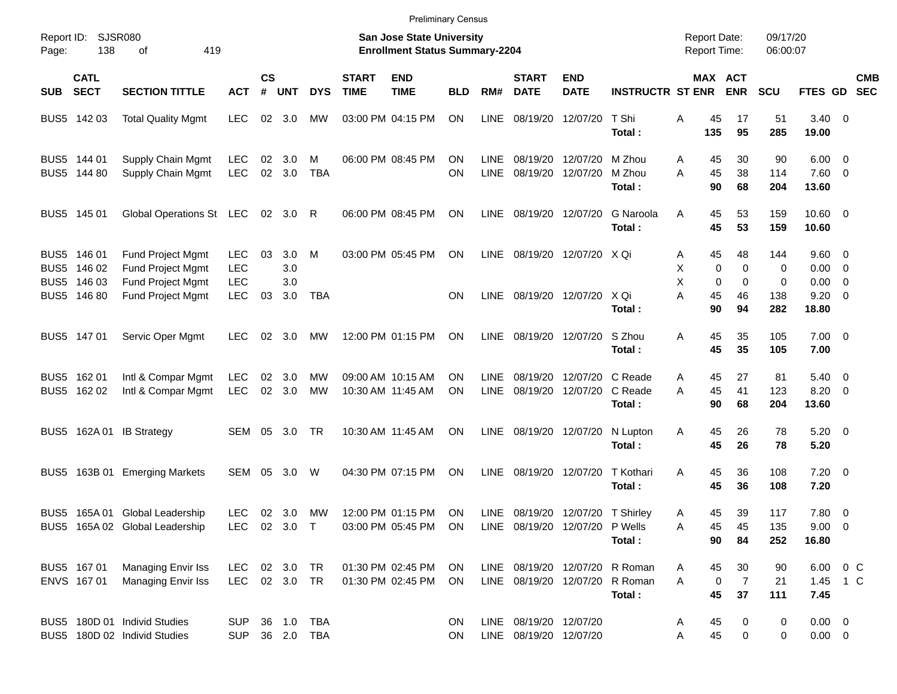|                     |                                                          |                                                                                         |                                               |                    |                          |                          |                             | <b>Preliminary Census</b>                                                 |                        |                            |                                                  |                                                               |                                                                            |                                            |                                         |                      |                                                     |                          |            |
|---------------------|----------------------------------------------------------|-----------------------------------------------------------------------------------------|-----------------------------------------------|--------------------|--------------------------|--------------------------|-----------------------------|---------------------------------------------------------------------------|------------------------|----------------------------|--------------------------------------------------|---------------------------------------------------------------|----------------------------------------------------------------------------|--------------------------------------------|-----------------------------------------|----------------------|-----------------------------------------------------|--------------------------|------------|
| Report ID:<br>Page: | 138                                                      | SJSR080<br>419<br>οf                                                                    |                                               |                    |                          |                          |                             | <b>San Jose State University</b><br><b>Enrollment Status Summary-2204</b> |                        |                            |                                                  |                                                               |                                                                            | <b>Report Date:</b><br><b>Report Time:</b> |                                         | 09/17/20<br>06:00:07 |                                                     |                          |            |
| <b>SUB</b>          | <b>CATL</b><br><b>SECT</b>                               | <b>SECTION TITTLE</b>                                                                   | <b>ACT</b>                                    | $\mathsf{cs}$<br># | <b>UNT</b>               | <b>DYS</b>               | <b>START</b><br><b>TIME</b> | <b>END</b><br><b>TIME</b>                                                 | <b>BLD</b>             | RM#                        | <b>START</b><br><b>DATE</b>                      | <b>END</b><br><b>DATE</b>                                     | <b>INSTRUCTR ST ENR</b>                                                    |                                            | MAX ACT<br><b>ENR</b>                   | <b>SCU</b>           | FTES GD SEC                                         |                          | <b>CMB</b> |
|                     | BUS5 142 03                                              | <b>Total Quality Mgmt</b>                                                               | <b>LEC</b>                                    | 02                 | 3.0                      | МW                       |                             | 03:00 PM 04:15 PM                                                         | <b>ON</b>              | <b>LINE</b>                | 08/19/20                                         | 12/07/20                                                      | T Shi<br>Total:                                                            | Α<br>45<br>135                             | 17<br>95                                | 51<br>285            | $3.40 \ 0$<br>19.00                                 |                          |            |
|                     | BUS5 144 01<br>BUS5 144 80                               | Supply Chain Mgmt<br>Supply Chain Mgmt                                                  | LEC<br><b>LEC</b>                             | 02<br>02           | 3.0<br>3.0               | м<br><b>TBA</b>          |                             | 06:00 PM 08:45 PM                                                         | <b>ON</b><br><b>ON</b> | <b>LINE</b><br><b>LINE</b> | 08/19/20<br>08/19/20                             | 12/07/20<br>12/07/20                                          | M Zhou<br>M Zhou<br>Total:                                                 | 45<br>A<br>45<br>A<br>90                   | 30<br>38<br>68                          | 90<br>114<br>204     | $6.00 \quad 0$<br>7.60 0<br>13.60                   |                          |            |
|                     | BUS5 145 01                                              | Global Operations St LEC                                                                |                                               |                    | 02 3.0                   | R                        |                             | 06:00 PM 08:45 PM                                                         | <b>ON</b>              | <b>LINE</b>                |                                                  | 08/19/20 12/07/20                                             | G Naroola<br>Total:                                                        | 45<br>Α<br>45                              | 53<br>53                                | 159<br>159           | $10.60 \t 0$<br>10.60                               |                          |            |
|                     | BUS5 146 01<br>BUS5 146 02<br>BUS5 146 03<br>BUS5 146 80 | <b>Fund Project Mgmt</b><br>Fund Project Mgmt<br>Fund Project Mgmt<br>Fund Project Mgmt | <b>LEC</b><br><b>LEC</b><br><b>LEC</b><br>LEC | 03<br>03           | 3.0<br>3.0<br>3.0<br>3.0 | M<br><b>TBA</b>          |                             | 03:00 PM 05:45 PM                                                         | <b>ON</b><br><b>ON</b> | <b>LINE</b><br><b>LINE</b> |                                                  | 08/19/20 12/07/20 X Qi<br>08/19/20 12/07/20 X Qi              |                                                                            | 45<br>Α<br>Χ<br>Χ<br>A<br>45               | 48<br>0<br>0<br>0<br>0<br>46            | 144<br>0<br>0<br>138 | $9.60 \quad 0$<br>$0.00 \t 0$<br>0.00<br>$9.20 \ 0$ | $\overline{\phantom{0}}$ |            |
|                     | BUS5 147 01                                              | Servic Oper Mgmt                                                                        | LEC                                           | 02                 | 3.0                      | MW                       |                             | 12:00 PM 01:15 PM                                                         | <b>ON</b>              | <b>LINE</b>                | 08/19/20                                         | 12/07/20                                                      | Total:<br>S Zhou                                                           | 90<br>45<br>Α                              | 94<br>35                                | 282<br>105           | 18.80<br>$7.00 \t 0$                                |                          |            |
|                     |                                                          |                                                                                         |                                               |                    |                          |                          |                             |                                                                           |                        |                            |                                                  |                                                               | Total:                                                                     | 45                                         | 35                                      | 105                  | 7.00                                                |                          |            |
|                     | BUS5 162 01<br>BUS5 162 02                               | Intl & Compar Mgmt<br>Intl & Compar Mgmt                                                | LEC<br><b>LEC</b>                             | 02<br>02           | 3.0<br>3.0               | МW<br><b>MW</b>          |                             | 09:00 AM 10:15 AM<br>10:30 AM 11:45 AM                                    | ΟN<br><b>ON</b>        | <b>LINE</b><br><b>LINE</b> | 08/19/20<br>08/19/20                             |                                                               | 12/07/20 C Reade<br>12/07/20 C Reade<br>Total:                             | 45<br>A<br>45<br>A<br>90                   | 27<br>41<br>68                          | 81<br>123<br>204     | $5.40 \ 0$<br>$8.20 \ 0$<br>13.60                   |                          |            |
|                     |                                                          | BUS5 162A 01 IB Strategy                                                                | SEM                                           | 05                 | 3.0                      | TR                       |                             | 10:30 AM 11:45 AM                                                         | ON                     | <b>LINE</b>                | 08/19/20                                         | 12/07/20                                                      | N Lupton<br>Total:                                                         | 45<br>Α<br>45                              | 26<br>26                                | 78<br>78             | $5.20 \ 0$<br>5.20                                  |                          |            |
| BUS5                | 163B 01                                                  | <b>Emerging Markets</b>                                                                 | SEM                                           | 05                 | 3.0                      | W                        |                             | 04:30 PM 07:15 PM                                                         | ON                     | <b>LINE</b>                | 08/19/20                                         | 12/07/20                                                      | T Kothari<br>Total:                                                        | 45<br>Α<br>45                              | 36<br>36                                | 108<br>108           | $7.20 \t 0$<br>7.20                                 |                          |            |
|                     |                                                          | BUS5 165A 01 Global Leadership<br>BUS5 165A 02 Global Leadership                        | <b>LEC</b><br>LEC 02 3.0 T                    |                    | 02 3.0                   | МW                       |                             | 12:00 PM 01:15 PM<br>03:00 PM 05:45 PM ON                                 | ON                     | LINE                       |                                                  | 08/19/20 12/07/20 T Shirley<br>LINE 08/19/20 12/07/20 P Wells | Total:                                                                     | 45<br>A<br>Α<br>45<br>90                   | 39<br>45<br>84                          | 117<br>135<br>252    | 7.80 0<br>$9.00 \t 0$<br>16.80                      |                          |            |
|                     | BUS5 167 01<br>ENVS 167 01                               | Managing Envir Iss<br>Managing Envir Iss                                                | LEC.<br>LEC 02 3.0 TR                         |                    | 02 3.0 TR                |                          |                             | 01:30 PM 02:45 PM<br>01:30 PM 02:45 PM                                    | ON.<br>ON              |                            |                                                  |                                                               | LINE 08/19/20 12/07/20 R Roman<br>LINE 08/19/20 12/07/20 R Roman<br>Total: | 45<br>A<br>A<br>45                         | 30<br>$\overline{7}$<br>$\pmb{0}$<br>37 | 90<br>21<br>111      | 6.00 0 C<br>1.45 1 C<br>7.45                        |                          |            |
|                     |                                                          | BUS5 180D 01 Individ Studies<br>BUS5 180D 02 Individ Studies                            | <b>SUP</b><br><b>SUP</b>                      |                    |                          | 36 1.0 TBA<br>36 2.0 TBA |                             |                                                                           | <b>ON</b><br><b>ON</b> |                            | LINE 08/19/20 12/07/20<br>LINE 08/19/20 12/07/20 |                                                               |                                                                            | 45<br>A<br>45<br>Α                         | 0<br>0                                  | 0<br>0               | $0.00 \t 0$<br>$0.00 \t 0$                          |                          |            |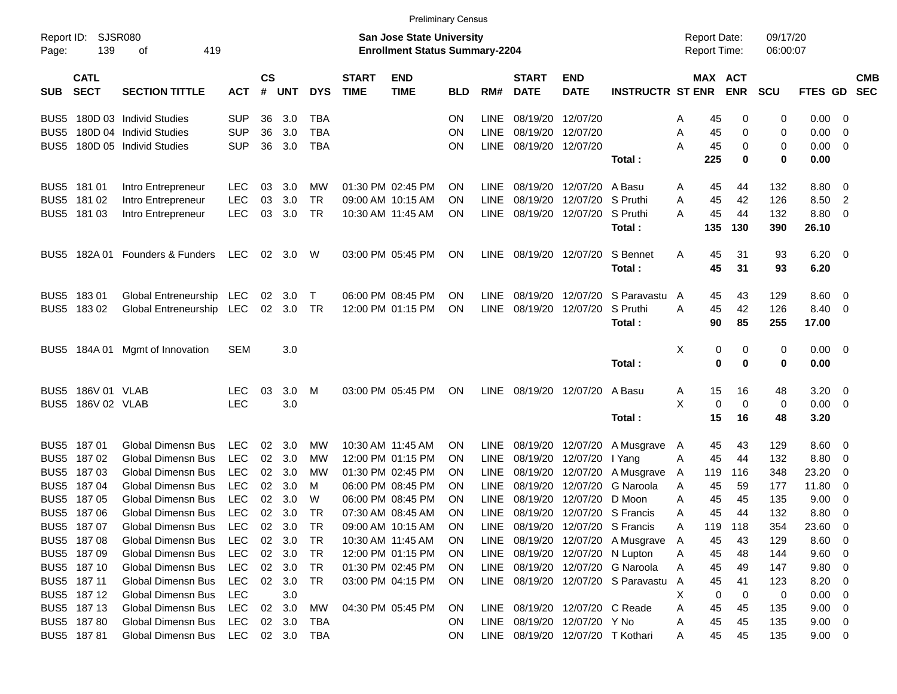|                     |                            |                            |                |                |                |            |                             |                                                                    | Preliminary Census |             |                                  |                           |                                    |                                     |             |                      |                |                           |  |
|---------------------|----------------------------|----------------------------|----------------|----------------|----------------|------------|-----------------------------|--------------------------------------------------------------------|--------------------|-------------|----------------------------------|---------------------------|------------------------------------|-------------------------------------|-------------|----------------------|----------------|---------------------------|--|
| Report ID:<br>Page: | SJSR080<br>139             | 419<br>оf                  |                |                |                |            |                             | San Jose State University<br><b>Enrollment Status Summary-2204</b> |                    |             |                                  |                           |                                    | <b>Report Date:</b><br>Report Time: |             | 09/17/20<br>06:00:07 |                |                           |  |
| <b>SUB</b>          | <b>CATL</b><br><b>SECT</b> | <b>SECTION TITTLE</b>      | <b>ACT</b>     | <b>CS</b><br># | <b>UNT</b>     | <b>DYS</b> | <b>START</b><br><b>TIME</b> | <b>END</b><br><b>TIME</b>                                          | <b>BLD</b>         | RM#         | <b>START</b><br><b>DATE</b>      | <b>END</b><br><b>DATE</b> | <b>INSTRUCTR ST ENR</b>            | MAX ACT                             | <b>ENR</b>  | <b>SCU</b>           |                | <b>CMB</b><br>FTES GD SEC |  |
| BUS5                |                            | 180D 03 Individ Studies    | <b>SUP</b>     | 36             | 3.0            | <b>TBA</b> |                             |                                                                    | <b>ON</b>          | <b>LINE</b> | 08/19/20                         | 12/07/20                  |                                    | 45<br>A                             | 0           | 0                    | 0.00           | - 0                       |  |
| BUS5                |                            | 180D 04 Individ Studies    | <b>SUP</b>     | 36             | 3.0            | <b>TBA</b> |                             |                                                                    | ON                 | <b>LINE</b> | 08/19/20 12/07/20                |                           |                                    | 45<br>A                             | 0           | 0                    | 0.00           | $\overline{\mathbf{0}}$   |  |
| BUS5                |                            | 180D 05 Individ Studies    | <b>SUP</b>     | 36             | 3.0            | <b>TBA</b> |                             |                                                                    | <b>ON</b>          | LINE        | 08/19/20 12/07/20                |                           |                                    | А<br>45                             | 0           | 0                    | 0.00           | $\overline{\mathbf{0}}$   |  |
|                     |                            |                            |                |                |                |            |                             |                                                                    |                    |             |                                  |                           | Total :                            | 225                                 | 0           | 0                    | 0.00           |                           |  |
| BUS <sub>5</sub>    | 181 01                     | Intro Entrepreneur         | <b>LEC</b>     | 03             | 3.0            | <b>MW</b>  |                             | 01:30 PM 02:45 PM                                                  | <b>ON</b>          | <b>LINE</b> | 08/19/20                         | 12/07/20                  | A Basu                             | 45<br>A                             | 44          | 132                  | 8.80           | $\overline{\mathbf{0}}$   |  |
| BUS <sub>5</sub>    | 18102                      | Intro Entrepreneur         | <b>LEC</b>     | 03             | 3.0            | TR         |                             | 09:00 AM 10:15 AM                                                  | <b>ON</b>          | <b>LINE</b> | 08/19/20                         | 12/07/20                  | S Pruthi                           | 45<br>A                             | 42          | 126                  | 8.50           | $\overline{\phantom{a}}$  |  |
|                     | BUS5 181 03                | Intro Entrepreneur         | <b>LEC</b>     | 03             | 3.0            | TR         | 10:30 AM 11:45 AM           |                                                                    | <b>ON</b>          | <b>LINE</b> |                                  | 08/19/20 12/07/20         | S Pruthi                           | 45<br>Α                             | 44          | 132                  | 8.80           | 0                         |  |
|                     |                            |                            |                |                |                |            |                             |                                                                    |                    |             |                                  |                           | Total:                             | 135                                 | 130         | 390                  | 26.10          |                           |  |
| BUS5                | 182A 01                    | Founders & Funders         | LEC.           |                | $02 \quad 3.0$ | W          |                             | 03:00 PM 05:45 PM                                                  | ON                 | LINE        | 08/19/20 12/07/20                |                           | S Bennet                           | 45<br>A                             | 31          | 93                   | 6.20           | $\overline{\phantom{0}}$  |  |
|                     |                            |                            |                |                |                |            |                             |                                                                    |                    |             |                                  |                           | Total:                             | 45                                  | 31          | 93                   | 6.20           |                           |  |
| BUS <sub>5</sub>    | 18301                      | Global Entreneurship       | LEC.           | 02             | 3.0            | Τ          |                             | 06:00 PM 08:45 PM                                                  | <b>ON</b>          | <b>LINE</b> | 08/19/20                         | 12/07/20                  | S Paravastu                        | 45<br>A                             | 43          | 129                  | 8.60           | $\overline{\mathbf{0}}$   |  |
|                     | BUS5 18302                 | Global Entreneurship       | LEC            |                | 02 3.0         | TR         |                             | 12:00 PM 01:15 PM                                                  | ON                 | LINE        | 08/19/20 12/07/20                |                           | S Pruthi                           | A<br>45                             | 42          | 126                  | 8.40           | $\overline{\mathbf{0}}$   |  |
|                     |                            |                            |                |                |                |            |                             |                                                                    |                    |             |                                  |                           | Total:                             | 90                                  | 85          | 255                  | 17.00          |                           |  |
| BUS5                |                            | 184A 01 Mgmt of Innovation | <b>SEM</b>     |                | 3.0            |            |                             |                                                                    |                    |             |                                  |                           |                                    | Χ<br>0                              | 0           | 0                    | $0.00 \quad 0$ |                           |  |
|                     |                            |                            |                |                |                |            |                             |                                                                    |                    |             |                                  |                           | Total:                             | $\mathbf 0$                         | 0           | 0                    | 0.00           |                           |  |
| BUS5                | 186V 01 VLAB               |                            | LEC.           | 03             | 3.0            | M          |                             | 03:00 PM 05:45 PM                                                  | ON                 | LINE        |                                  | 08/19/20 12/07/20         | A Basu                             | 15<br>A                             | 16          | 48                   | 3.20           | - 0                       |  |
| BUS <sub>5</sub>    | 186V 02 VLAB               |                            | <b>LEC</b>     |                | 3.0            |            |                             |                                                                    |                    |             |                                  |                           |                                    | X<br>0                              | $\mathbf 0$ | 0                    | 0.00           | $\overline{\mathbf{0}}$   |  |
|                     |                            |                            |                |                |                |            |                             |                                                                    |                    |             |                                  |                           | Total:                             | 15                                  | 16          | 48                   | 3.20           |                           |  |
| BUS <sub>5</sub>    | 18701                      | <b>Global Dimensn Bus</b>  | <b>LEC</b>     | 02             | 3.0            | <b>MW</b>  | 10:30 AM 11:45 AM           |                                                                    | <b>ON</b>          | <b>LINE</b> | 08/19/20 12/07/20                |                           | A Musgrave                         | 45<br>$\mathsf{A}$                  | 43          | 129                  | 8.60           | - 0                       |  |
| BUS <sub>5</sub>    | 18702                      | <b>Global Dimensn Bus</b>  | <b>LEC</b>     | 02             | 3.0            | МW         |                             | 12:00 PM 01:15 PM                                                  | <b>ON</b>          | LINE        | 08/19/20 12/07/20                |                           | I Yang                             | 45<br>A                             | 44          | 132                  | 8.80           | - 0                       |  |
| BUS <sub>5</sub>    | 18703                      | <b>Global Dimensn Bus</b>  | <b>LEC</b>     | 02             | 3.0            | мw         |                             | 01:30 PM 02:45 PM                                                  | <b>ON</b>          | <b>LINE</b> |                                  | 08/19/20 12/07/20         | A Musgrave                         | 119<br>A                            | 116         | 348                  | 23.20          | 0                         |  |
| BUS <sub>5</sub>    | 18704                      | <b>Global Dimensn Bus</b>  | <b>LEC</b>     | 02             | 3.0            | м          |                             | 06:00 PM 08:45 PM                                                  | <b>ON</b>          | <b>LINE</b> | 08/19/20                         | 12/07/20                  | G Naroola                          | A<br>45                             | 59          | 177                  | 11.80          | $\overline{0}$            |  |
| BUS <sub>5</sub>    | 18705                      | <b>Global Dimensn Bus</b>  | <b>LEC</b>     | 02             | 3.0            | W          |                             | 06:00 PM 08:45 PM                                                  | <b>ON</b>          | <b>LINE</b> | 08/19/20                         | 12/07/20                  | D Moon                             | 45<br>A                             | 45          | 135                  | 9.00           | - 0                       |  |
|                     | BUS5 187 06                | <b>Global Dimensn Bus</b>  | <b>LEC</b>     | 02             | 3.0            | TR         |                             | 07:30 AM 08:45 AM                                                  | <b>ON</b>          | LINE        |                                  |                           | 08/19/20 12/07/20 S Francis        | 45<br>Α                             | 44          | 132                  | 8.80           | 0                         |  |
|                     | BUS5 187 07                | Global Dimensn Bus         | LEC            |                | 02 3.0         | <b>TR</b>  |                             | 09:00 AM 10:15 AM                                                  | ON                 |             |                                  |                           | LINE 08/19/20 12/07/20 S Francis   | 119<br>A                            | 118         | 354                  | 23.60          | $\overline{\mathbf{0}}$   |  |
|                     | BUS5 187 08                | Global Dimensn Bus         | <b>LEC</b>     |                | 02 3.0         | TR         | 10:30 AM 11:45 AM           |                                                                    | <b>ON</b>          |             |                                  |                           | LINE 08/19/20 12/07/20 A Musgrave  | 45<br>A                             | 43          | 129                  | 8.60           | $\overline{\mathbf{0}}$   |  |
|                     | BUS5 187 09                | Global Dimensn Bus         | <b>LEC</b>     |                | 02 3.0         | TR         |                             | 12:00 PM 01:15 PM                                                  | <b>ON</b>          |             | LINE 08/19/20 12/07/20 N Lupton  |                           |                                    | 45<br>A                             | 48          | 144                  | 9.60 0         |                           |  |
|                     | BUS5 187 10                | Global Dimensn Bus         | <b>LEC</b>     |                | 02 3.0         | <b>TR</b>  |                             | 01:30 PM 02:45 PM                                                  | <b>ON</b>          |             |                                  |                           | LINE 08/19/20 12/07/20 G Naroola   | Α<br>45                             | 49          | 147                  | 9.80 0         |                           |  |
|                     | BUS5 187 11                | Global Dimensn Bus         | <b>LEC</b>     |                | 02 3.0         | <b>TR</b>  |                             | 03:00 PM 04:15 PM                                                  | ON                 |             |                                  |                           | LINE 08/19/20 12/07/20 S Paravastu | $\mathsf{A}$<br>45                  | 41          | 123                  | 8.20           | $\overline{\mathbf{0}}$   |  |
|                     | BUS5 187 12                | Global Dimensn Bus         | <b>LEC</b>     |                | 3.0            |            |                             |                                                                    |                    |             |                                  |                           |                                    | X<br>0                              | 0           | 0                    | $0.00 \t 0$    |                           |  |
|                     | BUS5 187 13                | Global Dimensn Bus         | <b>LEC</b>     |                | 02 3.0         | МW         |                             | 04:30 PM 05:45 PM                                                  | ON                 |             | LINE 08/19/20 12/07/20 C Reade   |                           |                                    | Α<br>45                             | 45          | 135                  | 9.00 0         |                           |  |
|                     | BUS5 187 80                | <b>Global Dimensn Bus</b>  | <b>LEC</b>     |                | 02 3.0         | TBA        |                             |                                                                    | <b>ON</b>          |             | LINE 08/19/20 12/07/20 Y No      |                           |                                    | 45<br>A                             | 45          | 135                  | $9.00 \t 0$    |                           |  |
|                     | BUS5 18781                 | <b>Global Dimensn Bus</b>  | LEC 02 3.0 TBA |                |                |            |                             |                                                                    | ON                 |             | LINE 08/19/20 12/07/20 T Kothari |                           |                                    | 45<br>A                             | 45          | 135                  | $9.00 \t 0$    |                           |  |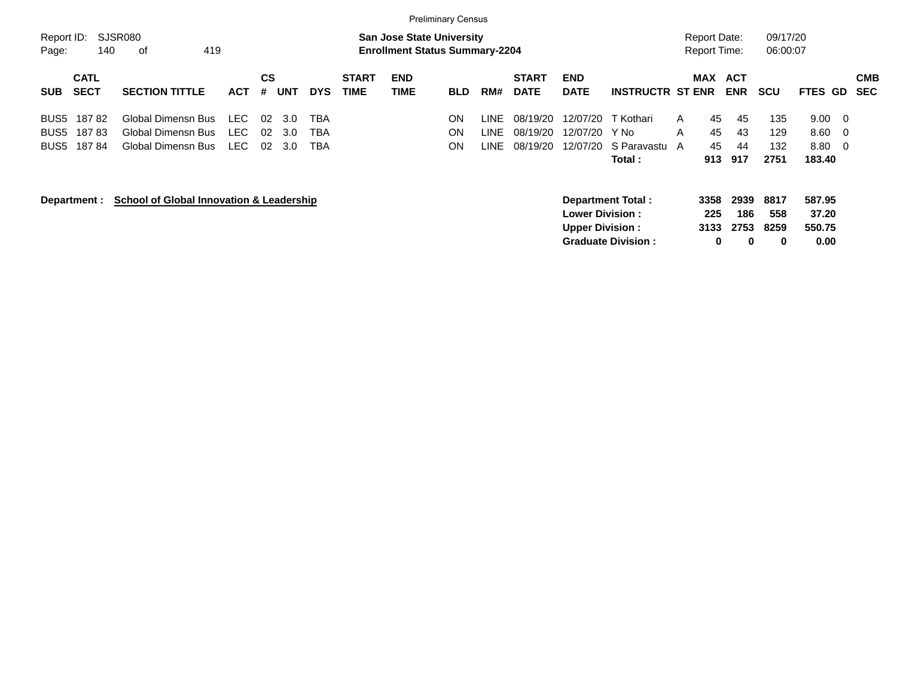|                                                                         |                                                                |                     |                                      |                   |                             |                                                                           | <b>Preliminary Census</b> |                         |                                  |                                                   |                                                       |                   |                                            |                          |                           |                                                 |                          |
|-------------------------------------------------------------------------|----------------------------------------------------------------|---------------------|--------------------------------------|-------------------|-----------------------------|---------------------------------------------------------------------------|---------------------------|-------------------------|----------------------------------|---------------------------------------------------|-------------------------------------------------------|-------------------|--------------------------------------------|--------------------------|---------------------------|-------------------------------------------------|--------------------------|
| Report ID:<br>140<br>Page:                                              | SJSR080<br>419<br>0f                                           |                     |                                      |                   |                             | <b>San Jose State University</b><br><b>Enrollment Status Summary-2204</b> |                           |                         |                                  |                                                   |                                                       |                   | <b>Report Date:</b><br><b>Report Time:</b> |                          | 09/17/20<br>06:00:07      |                                                 |                          |
| <b>CATL</b><br><b>SECT</b><br><b>SUB</b>                                | <b>SECTION TITTLE</b>                                          | <b>ACT</b>          | CS<br><b>UNT</b><br>#                | <b>DYS</b>        | <b>START</b><br><b>TIME</b> | <b>END</b><br><b>TIME</b>                                                 | <b>BLD</b>                | RM#                     | <b>START</b><br><b>DATE</b>      | <b>END</b><br><b>DATE</b>                         | <b>INSTRUCTR ST ENR</b>                               | <b>MAX</b>        |                                            | <b>ACT</b><br><b>ENR</b> | <b>SCU</b>                | <b>FTES GD</b>                                  | <b>CMB</b><br><b>SEC</b> |
| 18782<br>BUS <sub>5</sub><br>18783<br>BUS <sub>5</sub><br>18784<br>BUS5 | Global Dimensn Bus<br>Global Dimensn Bus<br>Global Dimensn Bus | LEC<br>LEC.<br>LEC. | 02<br>-3.0<br>02<br>3.0<br>02<br>3.0 | TBA<br>TBA<br>TBA |                             |                                                                           | ON<br>ON<br>ΟN            | LINE.<br>LINE.<br>LINE. | 08/19/20<br>08/19/20<br>08/19/20 | 12/07/20<br>12/07/20<br>12/07/20                  | T Kothari<br>Y No<br>S Paravastu A<br><b>Total</b> :  | $\mathsf{A}$<br>A | 45<br>45<br>45<br>913                      | 45<br>43<br>44<br>917    | 135<br>129<br>132<br>2751 | 9.00<br>- 0<br>8.60<br>0<br>8.80<br>0<br>183.40 |                          |
| Department :                                                            | <b>School of Global Innovation &amp; Leadership</b>            |                     |                                      |                   |                             |                                                                           |                           |                         |                                  | <b>Lower Division :</b><br><b>Upper Division:</b> | <b>Department Total:</b><br><b>Graduate Division:</b> |                   | 3358<br>225<br>3133<br>0                   | 2939<br>186<br>2753<br>0 | 8817<br>558<br>8259<br>0  | 587.95<br>37.20<br>550.75<br>0.00               |                          |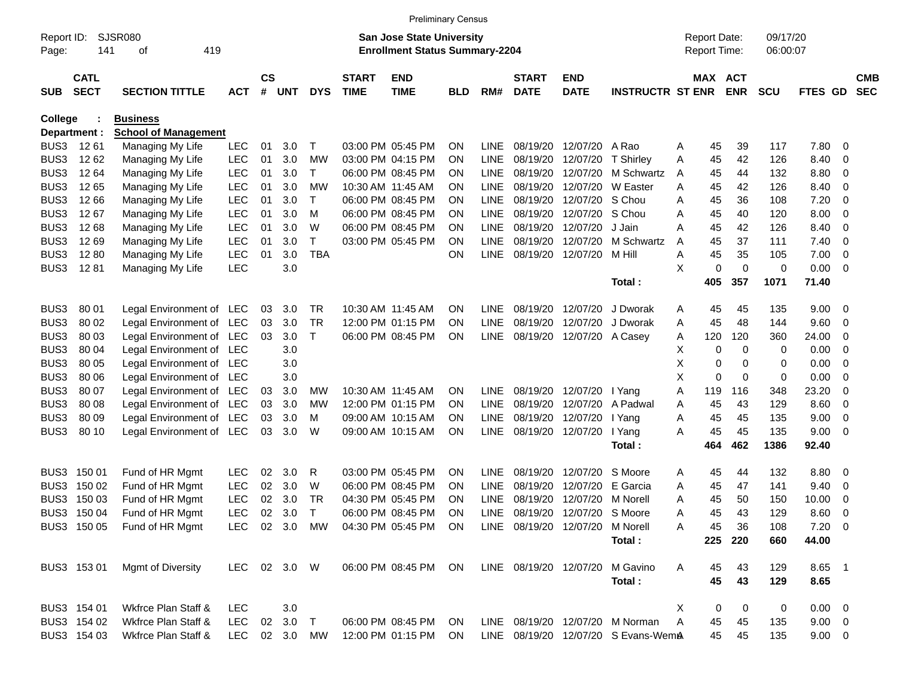|                     |                            |                             |               |                |            |              |                             | <b>Preliminary Census</b>                                                 |            |             |                             |                                 |                                     |   |                                            |            |                      |             |                         |                          |
|---------------------|----------------------------|-----------------------------|---------------|----------------|------------|--------------|-----------------------------|---------------------------------------------------------------------------|------------|-------------|-----------------------------|---------------------------------|-------------------------------------|---|--------------------------------------------|------------|----------------------|-------------|-------------------------|--------------------------|
| Report ID:<br>Page: | 141                        | <b>SJSR080</b><br>419<br>οf |               |                |            |              |                             | <b>San Jose State University</b><br><b>Enrollment Status Summary-2204</b> |            |             |                             |                                 |                                     |   | <b>Report Date:</b><br><b>Report Time:</b> |            | 09/17/20<br>06:00:07 |             |                         |                          |
| <b>SUB</b>          | <b>CATL</b><br><b>SECT</b> | <b>SECTION TITTLE</b>       | <b>ACT</b>    | <b>CS</b><br># | <b>UNT</b> | <b>DYS</b>   | <b>START</b><br><b>TIME</b> | <b>END</b><br><b>TIME</b>                                                 | <b>BLD</b> | RM#         | <b>START</b><br><b>DATE</b> | <b>END</b><br><b>DATE</b>       | <b>INSTRUCTR ST ENR</b>             |   | MAX ACT                                    | <b>ENR</b> | <b>SCU</b>           | FTES GD     |                         | <b>CMB</b><br><b>SEC</b> |
| <b>College</b>      |                            | <b>Business</b>             |               |                |            |              |                             |                                                                           |            |             |                             |                                 |                                     |   |                                            |            |                      |             |                         |                          |
|                     | Department :               | <b>School of Management</b> |               |                |            |              |                             |                                                                           |            |             |                             |                                 |                                     |   |                                            |            |                      |             |                         |                          |
| BUS3                | 1261                       | Managing My Life            | <b>LEC</b>    | 01             | 3.0        | Т            |                             | 03:00 PM 05:45 PM                                                         | ΟN         | <b>LINE</b> | 08/19/20                    | 12/07/20                        | A Rao                               | Α | 45                                         | 39         | 117                  | 7.80        | $\overline{\mathbf{0}}$ |                          |
| BUS3                | 12 62                      | Managing My Life            | <b>LEC</b>    | 01             | 3.0        | MW           |                             | 03:00 PM 04:15 PM                                                         | ON         | LINE        | 08/19/20                    | 12/07/20                        | <b>T</b> Shirley                    | Α | 45                                         | 42         | 126                  | 8.40        | $\mathbf 0$             |                          |
| BUS3                | 12 64                      | Managing My Life            | <b>LEC</b>    | 01             | 3.0        | T            |                             | 06:00 PM 08:45 PM                                                         | ON         | <b>LINE</b> | 08/19/20                    | 12/07/20                        | M Schwartz                          | A | 45                                         | 44         | 132                  | 8.80        | $\overline{\mathbf{0}}$ |                          |
| BUS3                | 1265                       | Managing My Life            | <b>LEC</b>    | 01             | 3.0        | МW           |                             | 10:30 AM 11:45 AM                                                         | ΟN         | <b>LINE</b> | 08/19/20                    | 12/07/20                        | W Easter                            | A | 45                                         | 42         | 126                  | 8.40        | $\mathbf 0$             |                          |
| BUS3                | 12 66                      | Managing My Life            | <b>LEC</b>    | 01             | 3.0        | $\mathsf{T}$ |                             | 06:00 PM 08:45 PM                                                         | ΟN         | LINE        | 08/19/20                    | 12/07/20                        | S Chou                              | A | 45                                         | 36         | 108                  | 7.20        | $\overline{0}$          |                          |
| BUS3                | 1267                       | Managing My Life            | <b>LEC</b>    | 01             | 3.0        | M            |                             | 06:00 PM 08:45 PM                                                         | ΟN         | <b>LINE</b> | 08/19/20                    | 12/07/20                        | S Chou                              | A | 45                                         | 40         | 120                  | 8.00        | 0                       |                          |
| BUS3                | 1268                       | Managing My Life            | <b>LEC</b>    | 01             | 3.0        | W            |                             | 06:00 PM 08:45 PM                                                         | ΟN         | LINE        | 08/19/20                    | 12/07/20                        | J Jain                              | A | 45                                         | 42         | 126                  | 8.40        | $\mathbf 0$             |                          |
| BUS3                | 1269                       | Managing My Life            | <b>LEC</b>    | 01             | 3.0        | $\mathsf{T}$ |                             | 03:00 PM 05:45 PM                                                         | ΟN         | <b>LINE</b> | 08/19/20                    | 12/07/20                        | M Schwartz                          | A | 45                                         | 37         | 111                  | 7.40        | $\overline{0}$          |                          |
| BUS3                | 1280                       | Managing My Life            | <b>LEC</b>    | 01             | 3.0        | <b>TBA</b>   |                             |                                                                           | ΟN         | <b>LINE</b> | 08/19/20                    | 12/07/20                        | M Hill                              | A | 45                                         | 35         | 105                  | 7.00        | $\overline{0}$          |                          |
| BUS3                | 1281                       | Managing My Life            | <b>LEC</b>    |                | 3.0        |              |                             |                                                                           |            |             |                             |                                 |                                     | X | 0                                          | 0          | 0                    | 0.00        | $\overline{0}$          |                          |
|                     |                            |                             |               |                |            |              |                             |                                                                           |            |             |                             |                                 | Total:                              |   | 405                                        | 357        | 1071                 | 71.40       |                         |                          |
| BUS3                | 80 01                      | Legal Environment of LEC    |               | 03             | 3.0        | TR           |                             | 10:30 AM 11:45 AM                                                         | ΟN         | <b>LINE</b> | 08/19/20                    | 12/07/20                        | J Dworak                            | A | 45                                         | 45         | 135                  | 9.00        | $\overline{\mathbf{0}}$ |                          |
| BUS3                | 80 02                      | Legal Environment of LEC    |               | 03             | 3.0        | <b>TR</b>    |                             | 12:00 PM 01:15 PM                                                         | <b>ON</b>  | <b>LINE</b> | 08/19/20                    | 12/07/20                        | J Dworak                            | A | 45                                         | 48         | 144                  | 9.60        | 0                       |                          |
| BUS3                | 80 03                      | Legal Environment of LEC    |               | 03             | 3.0        | $\mathsf{T}$ |                             | 06:00 PM 08:45 PM                                                         | ON         | <b>LINE</b> | 08/19/20                    | 12/07/20                        | A Casey                             | Α | 120                                        | 120        | 360                  | 24.00       | 0                       |                          |
| BUS3                | 80 04                      | Legal Environment of LEC    |               |                | 3.0        |              |                             |                                                                           |            |             |                             |                                 |                                     | х | 0                                          | 0          | 0                    | 0.00        | 0                       |                          |
| BUS3                | 80 05                      | Legal Environment of LEC    |               |                | 3.0        |              |                             |                                                                           |            |             |                             |                                 |                                     | X | 0                                          | 0          | 0                    | 0.00        | 0                       |                          |
| BUS3                | 80 06                      | Legal Environment of LEC    |               |                | 3.0        |              |                             |                                                                           |            |             |                             |                                 |                                     | X | 0                                          | 0          | 0                    | 0.00        | $\mathbf 0$             |                          |
| BUS3                | 80 07                      | Legal Environment of LEC    |               | 03             | 3.0        | MW           |                             | 10:30 AM 11:45 AM                                                         | ΟN         | <b>LINE</b> | 08/19/20                    | 12/07/20                        | I Yang                              | A | 119                                        | 116        | 348                  | 23.20       | $\mathbf 0$             |                          |
| BUS3                | 80 08                      | Legal Environment of LEC    |               | 03             | 3.0        | MW           |                             | 12:00 PM 01:15 PM                                                         | <b>ON</b>  | <b>LINE</b> | 08/19/20                    | 12/07/20                        | A Padwal                            | A | 45                                         | 43         | 129                  | 8.60        | 0                       |                          |
| BUS3                | 80 09                      | Legal Environment of LEC    |               | 03             | 3.0        | м            |                             | 09:00 AM 10:15 AM                                                         | ON         | <b>LINE</b> | 08/19/20                    | 12/07/20                        | I Yang                              | A | 45                                         | 45         | 135                  | 9.00        | $\mathbf 0$             |                          |
| BUS3                | 80 10                      | Legal Environment of LEC    |               | 03             | 3.0        | W            |                             | 09:00 AM 10:15 AM                                                         | ON         | <b>LINE</b> | 08/19/20                    | 12/07/20                        | I Yang                              | A | 45                                         | 45         | 135                  | 9.00        | 0                       |                          |
|                     |                            |                             |               |                |            |              |                             |                                                                           |            |             |                             |                                 | Total:                              |   | 464                                        | 462        | 1386                 | 92.40       |                         |                          |
| BUS3                | 150 01                     | Fund of HR Mgmt             | <b>LEC</b>    | 02             | 3.0        | R            |                             | 03:00 PM 05:45 PM                                                         | ΟN         | <b>LINE</b> | 08/19/20                    | 12/07/20                        | S Moore                             | A | 45                                         | 44         | 132                  | 8.80        | $\overline{\mathbf{0}}$ |                          |
| BUS3                | 150 02                     | Fund of HR Mgmt             | <b>LEC</b>    | 02             | 3.0        | W            |                             | 06:00 PM 08:45 PM                                                         | 0N         | LINE        | 08/19/20                    | 12/07/20                        | E Garcia                            | A | 45                                         | 47         | 141                  | 9.40        | 0                       |                          |
| BUS3                | 150 03                     | Fund of HR Mgmt             | <b>LEC</b>    | 02             | 3.0        | TR           |                             | 04:30 PM 05:45 PM                                                         | ΟN         | <b>LINE</b> | 08/19/20                    | 12/07/20                        | M Norell                            | A | 45                                         | 50         | 150                  | 10.00       | 0                       |                          |
| BUS3                | 150 04                     | Fund of HR Mgmt             | <b>LEC</b>    | 02             | 3.0        | $\mathsf{T}$ |                             | 06:00 PM 08:45 PM                                                         | ΟN         | <b>LINE</b> | 08/19/20                    | 12/07/20                        | S Moore                             | A | 45                                         | 43         | 129                  | 8.60        | 0                       |                          |
|                     |                            | BUS3 150 05 Fund of HR Mgmt |               |                |            |              |                             | LEC 02 3.0 MW 04:30 PM 05:45 PM ON                                        |            |             |                             | LINE 08/19/20 12/07/20 M Norell |                                     | A | 45                                         | 36         | 108                  | $7.20 \t 0$ |                         |                          |
|                     |                            |                             |               |                |            |              |                             |                                                                           |            |             |                             |                                 | Total:                              |   | 225                                        | 220        | 660                  | 44.00       |                         |                          |
|                     | BUS3 153 01                | Mgmt of Diversity           | LEC 02 3.0 W  |                |            |              |                             | 06:00 PM 08:45 PM ON                                                      |            |             |                             |                                 | LINE 08/19/20 12/07/20 M Gavino     | A | 45                                         | 43         | 129                  | 8.65 1      |                         |                          |
|                     |                            |                             |               |                |            |              |                             |                                                                           |            |             |                             |                                 | Total:                              |   | 45                                         | 43         | 129                  | 8.65        |                         |                          |
|                     | BUS3 154 01                | Wkfrce Plan Staff &         | LEC           |                | 3.0        |              |                             |                                                                           |            |             |                             |                                 |                                     | Χ | 0                                          | 0          | 0                    | $0.00 \t 0$ |                         |                          |
|                     | BUS3 154 02                | Wkfrce Plan Staff &         | <b>LEC</b>    |                | 02 3.0     | T            |                             | 06:00 PM 08:45 PM                                                         | ON         |             |                             |                                 | LINE 08/19/20 12/07/20 M Norman     | A | 45                                         | 45         | 135                  | $9.00 \t 0$ |                         |                          |
|                     | BUS3 154 03                | Wkfrce Plan Staff &         | LEC 02 3.0 MW |                |            |              |                             | 12:00 PM 01:15 PM                                                         | ON         |             |                             |                                 | LINE 08/19/20 12/07/20 S Evans-WemA |   | 45                                         | 45         | 135                  | $9.00 \t 0$ |                         |                          |
|                     |                            |                             |               |                |            |              |                             |                                                                           |            |             |                             |                                 |                                     |   |                                            |            |                      |             |                         |                          |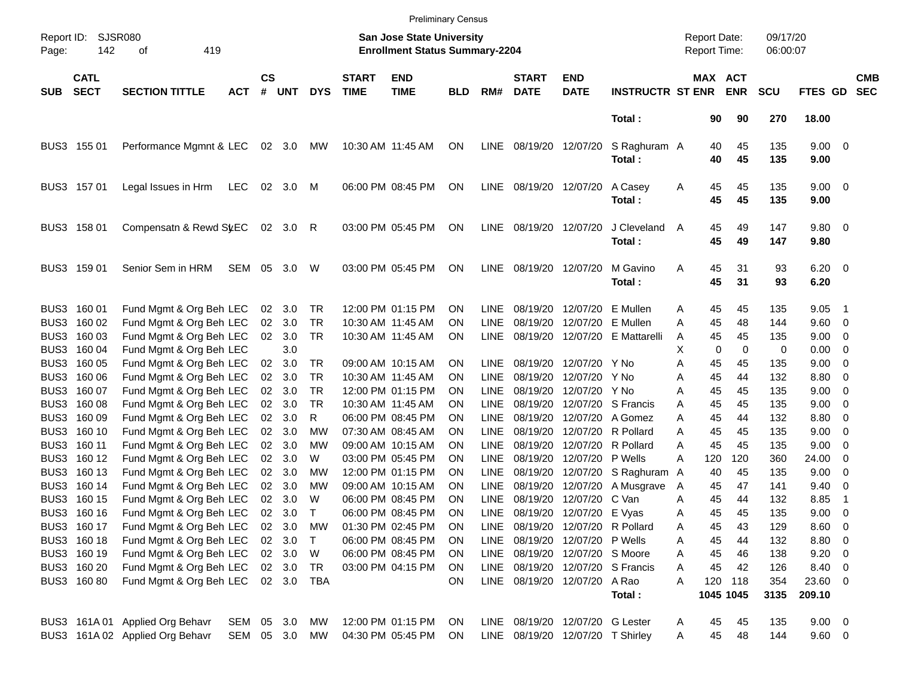|                     |                            |                                                    |            |                    |                |              |                             | <b>Preliminary Census</b>                                                 |                        |                            |                                  |                           |                             |        |          |                                     |                      |                     |                              |                          |
|---------------------|----------------------------|----------------------------------------------------|------------|--------------------|----------------|--------------|-----------------------------|---------------------------------------------------------------------------|------------------------|----------------------------|----------------------------------|---------------------------|-----------------------------|--------|----------|-------------------------------------|----------------------|---------------------|------------------------------|--------------------------|
| Report ID:<br>Page: | 142                        | SJSR080<br>419<br>οf                               |            |                    |                |              |                             | <b>San Jose State University</b><br><b>Enrollment Status Summary-2204</b> |                        |                            |                                  |                           |                             |        |          | <b>Report Date:</b><br>Report Time: | 09/17/20<br>06:00:07 |                     |                              |                          |
| <b>SUB</b>          | <b>CATL</b><br><b>SECT</b> | <b>SECTION TITTLE</b>                              | <b>ACT</b> | $\mathsf{cs}$<br># | <b>UNT</b>     | <b>DYS</b>   | <b>START</b><br><b>TIME</b> | <b>END</b><br><b>TIME</b>                                                 | <b>BLD</b>             | RM#                        | <b>START</b><br><b>DATE</b>      | <b>END</b><br><b>DATE</b> | <b>INSTRUCTR ST ENR</b>     |        |          | MAX ACT<br><b>ENR</b>               | <b>SCU</b>           | FTES GD             |                              | <b>CMB</b><br><b>SEC</b> |
|                     |                            |                                                    |            |                    |                |              |                             |                                                                           |                        |                            |                                  |                           | Total:                      |        | 90       | 90                                  | 270                  | 18.00               |                              |                          |
|                     | BUS3 155 01                | Performance Mgmnt & LEC                            |            |                    | 02 3.0         | МW           |                             | 10:30 AM 11:45 AM                                                         | ON                     | LINE                       | 08/19/20 12/07/20                |                           | S Raghuram A<br>Total:      |        | 40<br>40 | 45<br>45                            | 135<br>135           | $9.00 \t 0$<br>9.00 |                              |                          |
|                     | BUS3 157 01                | Legal Issues in Hrm                                | <b>LEC</b> | 02                 | 3.0            | M            |                             | 06:00 PM 08:45 PM                                                         | ON                     | <b>LINE</b>                | 08/19/20 12/07/20                |                           | A Casey<br>Total:           | A      | 45<br>45 | 45<br>45                            | 135<br>135           | $9.00 \t 0$<br>9.00 |                              |                          |
|                     | BUS3 158 01                | Compensatn & Rewd St.EC                            |            |                    | 02 3.0 R       |              |                             | 03:00 PM 05:45 PM                                                         | ON                     | <b>LINE</b>                | 08/19/20 12/07/20                |                           | J Cleveland<br>Total:       | A      | 45<br>45 | 49<br>49                            | 147<br>147           | 9.80 0<br>9.80      |                              |                          |
|                     | BUS3 159 01                | Senior Sem in HRM                                  | SEM        | 05                 | 3.0            | W            |                             | 03:00 PM 05:45 PM                                                         | ON                     | <b>LINE</b>                | 08/19/20 12/07/20                |                           | M Gavino<br>Total:          | Α      | 45<br>45 | 31<br>31                            | 93<br>93             | $6.20 \t 0$<br>6.20 |                              |                          |
| BUS3                | 160 01                     | Fund Mgmt & Org Beh LEC                            |            |                    | 02 3.0         | TR           |                             | 12:00 PM 01:15 PM                                                         | <b>ON</b>              | LINE                       |                                  | 08/19/20 12/07/20         | E Mullen                    | A      | 45       | 45                                  | 135                  | 9.05                | - 1                          |                          |
| BUS3                | 160 02                     | Fund Mgmt & Org Beh LEC                            |            | 02                 | 3.0            | <b>TR</b>    | 10:30 AM 11:45 AM           |                                                                           | <b>ON</b>              | <b>LINE</b>                | 08/19/20                         | 12/07/20                  | E Mullen                    | A      | 45       | 48                                  | 144                  | 9.60 0              |                              |                          |
| BUS3                | 160 03                     | Fund Mgmt & Org Beh LEC                            |            |                    | 02 3.0         | <b>TR</b>    |                             | 10:30 AM 11:45 AM                                                         | ON                     | LINE                       |                                  | 08/19/20 12/07/20         | E Mattarelli                | A      | 45       | 45                                  | 135                  | 9.00                | $\overline{\phantom{0}}$     |                          |
| BUS3                | 160 04                     | Fund Mgmt & Org Beh LEC                            |            |                    | 3.0            |              |                             |                                                                           |                        |                            |                                  |                           |                             | X      | 0        | $\Omega$                            | 0                    | 0.00                | $\overline{\phantom{0}}$     |                          |
| BUS3                | 160 05                     | Fund Mgmt & Org Beh LEC                            |            | 02                 | 3.0            | TR           |                             | 09:00 AM 10:15 AM                                                         | <b>ON</b>              | LINE                       |                                  | 08/19/20 12/07/20         | Y No                        | Α      | 45       | 45                                  | 135                  | 9.00                | $\overline{0}$               |                          |
| BUS3                | 160 06                     | Fund Mgmt & Org Beh LEC                            |            | 02                 | 3.0            | TR           | 10:30 AM 11:45 AM           |                                                                           | <b>ON</b>              | <b>LINE</b>                | 08/19/20                         | 12/07/20                  | Y No                        | Α      | 45       | 44                                  | 132                  | 8.80                | 0                            |                          |
| BUS3                | 160 07                     | Fund Mgmt & Org Beh LEC                            |            | 02                 | 3.0            | <b>TR</b>    |                             | 12:00 PM 01:15 PM                                                         | <b>ON</b>              | <b>LINE</b>                | 08/19/20                         | 12/07/20 Y No             |                             | A      | 45       | 45                                  | 135                  | 9.00                | $\overline{\mathbf{0}}$      |                          |
| BUS3<br>BUS3        | 160 08<br>160 09           | Fund Mgmt & Org Beh LEC                            |            | 02<br>02           | 3.0<br>3.0     | TR.<br>R     | 10:30 AM 11:45 AM           | 06:00 PM 08:45 PM                                                         | <b>ON</b><br><b>ON</b> | <b>LINE</b><br><b>LINE</b> | 08/19/20<br>08/19/20             | 12/07/20<br>12/07/20      | S Francis<br>A Gomez        | A      | 45<br>45 | 45<br>44                            | 135<br>132           | 9.00<br>8.80        | 0                            |                          |
| BUS3                | 160 10                     | Fund Mgmt & Org Beh LEC<br>Fund Mgmt & Org Beh LEC |            | 02                 | 3.0            | <b>MW</b>    |                             | 07:30 AM 08:45 AM                                                         | <b>ON</b>              | <b>LINE</b>                | 08/19/20                         | 12/07/20                  | R Pollard                   | A<br>A | 45       | 45                                  | 135                  | 9.00                | 0<br>$\overline{\mathbf{0}}$ |                          |
| BUS3                | 160 11                     | Fund Mgmt & Org Beh LEC                            |            | 02                 | 3.0            | МW           |                             | 09:00 AM 10:15 AM                                                         | <b>ON</b>              | <b>LINE</b>                | 08/19/20                         | 12/07/20                  | R Pollard                   | Α      | 45       | 45                                  | 135                  | 9.00                | 0                            |                          |
| BUS3                | 160 12                     | Fund Mgmt & Org Beh LEC                            |            |                    | 02 3.0         | W            |                             | 03:00 PM 05:45 PM                                                         | <b>ON</b>              | <b>LINE</b>                | 08/19/20                         | 12/07/20                  | P Wells                     | A      | 120      | 120                                 | 360                  | 24.00               | 0                            |                          |
| BUS3                | 160 13                     | Fund Mgmt & Org Beh LEC                            |            | 02                 | 3.0            | MW           |                             | 12:00 PM 01:15 PM                                                         | <b>ON</b>              | <b>LINE</b>                | 08/19/20                         | 12/07/20                  | S Raghuram A                |        | 40       | 45                                  | 135                  | 9.00                | 0                            |                          |
| BUS3                | 160 14                     | Fund Mgmt & Org Beh LEC                            |            | 02                 | 3.0            | МW           |                             | 09:00 AM 10:15 AM                                                         | <b>ON</b>              | LINE                       | 08/19/20                         | 12/07/20                  | A Musgrave                  | A      | 45       | 47                                  | 141                  | 9.40                | 0                            |                          |
| BUS3                | 160 15                     | Fund Mgmt & Org Beh LEC                            |            | 02                 | 3.0            | W            |                             | 06:00 PM 08:45 PM                                                         | <b>ON</b>              | <b>LINE</b>                | 08/19/20                         | 12/07/20                  | C Van                       | A      | 45       | 44                                  | 132                  | 8.85                | -1                           |                          |
|                     | BUS3 160 16                | Fund Mgmt & Org Beh LEC                            |            |                    | $02 \quad 3.0$ | $\mathsf{T}$ |                             | 06:00 PM 08:45 PM                                                         | ON                     | LINE                       |                                  | 08/19/20 12/07/20 E Vyas  |                             | Α      | 45       | 45                                  | 135                  | 9.00                | $\overline{\phantom{0}}$     |                          |
|                     | BUS3 160 17                | Fund Mgmt & Org Beh LEC                            |            |                    | 02 3.0         | MW           |                             | 01:30 PM 02:45 PM                                                         | ON                     | LINE                       |                                  |                           | 08/19/20 12/07/20 R Pollard | A      | 45       | 43                                  | 129                  | 8.60 0              |                              |                          |
|                     | BUS3 160 18                | Fund Mgmt & Org Beh LEC                            |            |                    | 02 3.0         | T            |                             | 06:00 PM 08:45 PM                                                         | <b>ON</b>              | <b>LINE</b>                |                                  | 08/19/20 12/07/20 P Wells |                             | Α      | 45       | 44                                  | 132                  | 8.80 0              |                              |                          |
|                     | BUS3 160 19                | Fund Mgmt & Org Beh LEC                            |            |                    | 02 3.0         | W            |                             | 06:00 PM 08:45 PM                                                         | ON.                    | LINE                       |                                  | 08/19/20 12/07/20 S Moore |                             | Α      | 45       | 46                                  | 138                  | $9.20 \ 0$          |                              |                          |
|                     | BUS3 160 20                | Fund Mgmt & Org Beh LEC                            |            |                    | 02 3.0         | TR           |                             | 03:00 PM 04:15 PM                                                         | ON.                    | LINE                       |                                  |                           | 08/19/20 12/07/20 S Francis | A      | 45       | 42                                  | 126                  | 8.40 0              |                              |                          |
|                     | BUS3 160 80                | Fund Mgmt & Org Beh LEC                            |            |                    | 02 3.0 TBA     |              |                             |                                                                           | ON                     |                            | LINE 08/19/20 12/07/20 A Rao     |                           | Total:                      | A      | 120      | 118<br>1045 1045                    | 354<br>3135          | 23.60 0<br>209.10   |                              |                          |
|                     |                            | BUS3 161A 01 Applied Org Behavr                    | SEM 05 3.0 |                    |                | MW           |                             | 12:00 PM 01:15 PM                                                         | ON.                    |                            | LINE 08/19/20 12/07/20 G Lester  |                           |                             | A      | 45       | 45                                  | 135                  | $9.00 \t 0$         |                              |                          |
|                     |                            | BUS3 161A 02 Applied Org Behavr                    | SEM 05 3.0 |                    |                | MW           |                             | 04:30 PM 05:45 PM                                                         | ON                     |                            | LINE 08/19/20 12/07/20 T Shirley |                           |                             | Α      | 45       | 48                                  | 144                  | $9.60 \quad 0$      |                              |                          |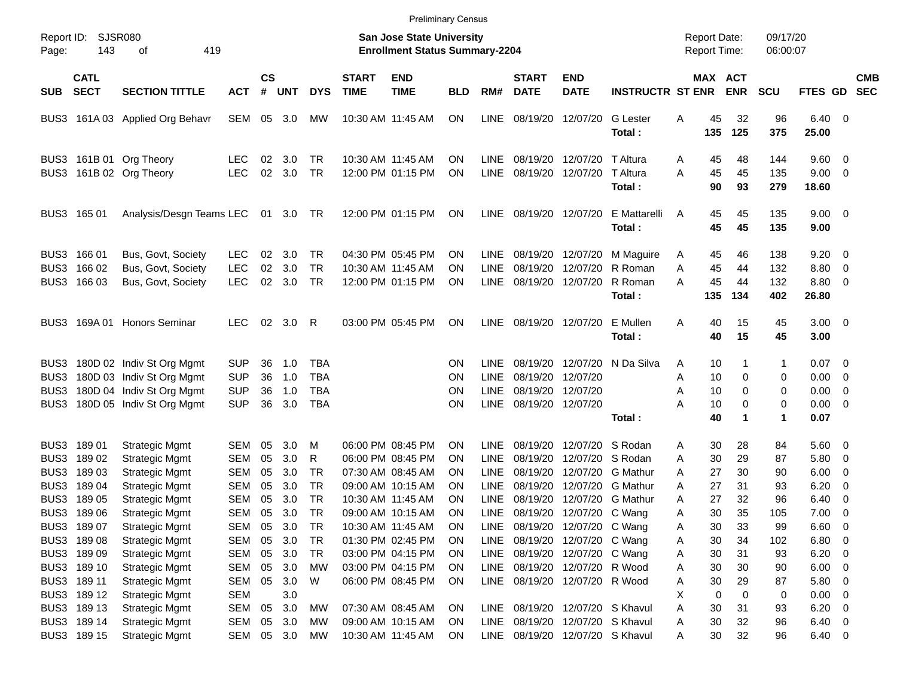|                      |                                                                         |                                                                                                                           |                                                      |                      |                                          |                                                      |                             | <b>Preliminary Census</b>                                                        |                             |                                              |                                                                                             |                                                                                                              |                                                                      |                                                |                                |                            |                                                                 |                                                                                                            |                          |
|----------------------|-------------------------------------------------------------------------|---------------------------------------------------------------------------------------------------------------------------|------------------------------------------------------|----------------------|------------------------------------------|------------------------------------------------------|-----------------------------|----------------------------------------------------------------------------------|-----------------------------|----------------------------------------------|---------------------------------------------------------------------------------------------|--------------------------------------------------------------------------------------------------------------|----------------------------------------------------------------------|------------------------------------------------|--------------------------------|----------------------------|-----------------------------------------------------------------|------------------------------------------------------------------------------------------------------------|--------------------------|
| Report ID:<br>Page:  | 143                                                                     | SJSR080<br>419<br>οf                                                                                                      |                                                      |                      |                                          |                                                      |                             | <b>San Jose State University</b><br><b>Enrollment Status Summary-2204</b>        |                             |                                              |                                                                                             |                                                                                                              |                                                                      | <b>Report Date:</b><br><b>Report Time:</b>     |                                | 09/17/20<br>06:00:07       |                                                                 |                                                                                                            |                          |
| <b>SUB</b>           | <b>CATL</b><br><b>SECT</b>                                              | <b>SECTION TITTLE</b>                                                                                                     | <b>ACT</b>                                           | <b>CS</b><br>#       | <b>UNT</b>                               | <b>DYS</b>                                           | <b>START</b><br><b>TIME</b> | <b>END</b><br><b>TIME</b>                                                        | <b>BLD</b>                  | RM#                                          | <b>START</b><br><b>DATE</b>                                                                 | <b>END</b><br><b>DATE</b>                                                                                    | <b>INSTRUCTR ST ENR</b>                                              |                                                | MAX ACT<br><b>ENR</b>          | <b>SCU</b>                 | <b>FTES GD</b>                                                  |                                                                                                            | <b>CMB</b><br><b>SEC</b> |
|                      |                                                                         | BUS3 161A 03 Applied Org Behavr                                                                                           | SEM                                                  |                      | 05 3.0                                   | <b>MW</b>                                            |                             | 10:30 AM 11:45 AM                                                                | ON                          | <b>LINE</b>                                  | 08/19/20                                                                                    | 12/07/20                                                                                                     | <b>G</b> Lester<br>Total:                                            | 45<br>Α<br>135                                 | 32<br>125                      | 96<br>375                  | $6.40 \quad 0$<br>25.00                                         |                                                                                                            |                          |
|                      |                                                                         | BUS3 161B 01 Org Theory<br>BUS3 161B 02 Org Theory                                                                        | <b>LEC</b><br><b>LEC</b>                             | 02<br>02             | 3.0<br>3.0                               | TR<br>TR                                             |                             | 10:30 AM 11:45 AM<br>12:00 PM 01:15 PM                                           | ΟN<br>ΟN                    | <b>LINE</b><br><b>LINE</b>                   | 08/19/20<br>08/19/20                                                                        | 12/07/20<br>12/07/20                                                                                         | T Altura<br>T Altura<br>Total:                                       | 45<br>A<br>A<br>45<br>90                       | 48<br>45<br>93                 | 144<br>135<br>279          | $9.60 \quad 0$<br>$9.00 \t 0$<br>18.60                          |                                                                                                            |                          |
|                      | BUS3 165 01                                                             | Analysis/Desgn Teams LEC                                                                                                  |                                                      |                      | 01 3.0 TR                                |                                                      |                             | 12:00 PM 01:15 PM                                                                | ON                          | <b>LINE</b>                                  |                                                                                             | 08/19/20 12/07/20                                                                                            | E Mattarelli<br>Total:                                               | 45<br>A<br>45                                  | 45<br>45                       | 135<br>135                 | $9.00 \t 0$<br>9.00                                             |                                                                                                            |                          |
|                      | BUS3 166 01<br>BUS3 166 02<br>BUS3 166 03                               | Bus, Govt, Society<br>Bus, Govt, Society<br>Bus, Govt, Society                                                            | <b>LEC</b><br><b>LEC</b><br><b>LEC</b>               | 02<br>02<br>02       | 3.0<br>3.0<br>3.0                        | TR<br>TR<br>TR                                       |                             | 04:30 PM 05:45 PM<br>10:30 AM 11:45 AM<br>12:00 PM 01:15 PM                      | ON<br>ON<br>ΟN              | LINE.<br>LINE.<br><b>LINE</b>                | 08/19/20<br>08/19/20                                                                        | 12/07/20                                                                                                     | M Maguire<br>12/07/20 R Roman<br>08/19/20 12/07/20 R Roman<br>Total: | 45<br>A<br>45<br>A<br>45<br>Α<br>135           | 46<br>44<br>44<br>134          | 138<br>132<br>132<br>402   | $9.20 \ 0$<br>8.80<br>8.80 0<br>26.80                           | $\overline{\mathbf{0}}$                                                                                    |                          |
|                      |                                                                         | BUS3 169A 01 Honors Seminar                                                                                               | <b>LEC</b>                                           |                      | 02 3.0                                   | R                                                    |                             | 03:00 PM 05:45 PM                                                                | ΟN                          | <b>LINE</b>                                  |                                                                                             | 08/19/20 12/07/20                                                                                            | E Mullen<br>Total:                                                   | Α<br>40<br>40                                  | 15<br>15                       | 45<br>45                   | $3.00 \ 0$<br>3.00                                              |                                                                                                            |                          |
| BUS3<br>BUS3<br>BUS3 |                                                                         | BUS3 180D 02 Indiv St Org Mgmt<br>180D 03 Indiv St Org Mgmt<br>180D 04 Indiv St Org Mgmt<br>180D 05 Indiv St Org Mgmt     | <b>SUP</b><br><b>SUP</b><br><b>SUP</b><br><b>SUP</b> | 36<br>36<br>36<br>36 | 1.0<br>1.0<br>1.0<br>3.0                 | <b>TBA</b><br><b>TBA</b><br><b>TBA</b><br><b>TBA</b> |                             |                                                                                  | ΟN<br>ΟN<br>ΟN<br>ΟN        | <b>LINE</b><br>LINE.<br>LINE.<br><b>LINE</b> | 08/19/20<br>08/19/20<br>08/19/20                                                            | 12/07/20<br>12/07/20<br>08/19/20 12/07/20                                                                    | 12/07/20 N Da Silva<br>Total:                                        | 10<br>A<br>10<br>Α<br>10<br>Α<br>Α<br>10<br>40 | 1<br>0<br>0<br>0<br>1          | 1<br>0<br>0<br>0<br>1      | $0.07 \quad 0$<br>0.00<br>$0.00 \t 0$<br>$0.00 \t 0$<br>0.07    | $\overline{\phantom{0}}$                                                                                   |                          |
|                      | BUS3 189 01<br>BUS3 189 02<br>BUS3 189 03                               | <b>Strategic Mgmt</b><br><b>Strategic Mgmt</b><br><b>Strategic Mgmt</b>                                                   | SEM<br>SEM<br>SEM                                    | 05<br>05<br>05       | 3.0<br>3.0<br>3.0                        | M<br>R<br><b>TR</b>                                  |                             | 06:00 PM 08:45 PM<br>06:00 PM 08:45 PM<br>07:30 AM 08:45 AM                      | ON<br>ΟN<br>ΟN              | <b>LINE</b><br>LINE<br>LINE.                 | 08/19/20<br>08/19/20<br>08/19/20                                                            | 12/07/20 S Rodan                                                                                             | 12/07/20 S Rodan<br>12/07/20 G Mathur                                | 30<br>Α<br>30<br>A<br>27<br>A                  | 28<br>29<br>30                 | 84<br>87<br>90             | 5.60 0<br>5.80<br>6.00                                          | $\overline{\phantom{0}}$<br>$\overline{\phantom{0}}$                                                       |                          |
|                      | BUS3 189 04<br>BUS3 189 05<br>BUS3 189 06<br>BUS3 189 07                | <b>Strategic Mgmt</b><br><b>Strategic Mgmt</b><br><b>Strategic Mgmt</b><br><b>Strategic Mgmt</b>                          | SEM<br><b>SEM</b><br>SEM<br>SEM                      | 05<br>05<br>05<br>05 | 3.0<br>3.0<br>3.0<br>3.0                 | TR<br><b>TR</b><br>TR<br>TR                          |                             | 09:00 AM 10:15 AM<br>10:30 AM 11:45 AM<br>09:00 AM 10:15 AM<br>10:30 AM 11:45 AM | ΟN<br>ON<br>ON<br>ON        | <b>LINE</b><br>LINE.<br><b>LINE</b><br>LINE. | 08/19/20<br>08/19/20                                                                        | 08/19/20 12/07/20 C Wang<br>08/19/20 12/07/20 C Wang                                                         | 12/07/20 G Mathur<br>12/07/20 G Mathur                               | 27<br>Α<br>27<br>A<br>30<br>A<br>30<br>Α       | 31<br>32<br>35<br>33           | 93<br>96<br>105<br>99      | 6.20<br>6.40<br>7.00<br>6.60                                    | $\overline{\mathbf{0}}$<br>$\overline{\mathbf{0}}$<br>$\overline{\phantom{0}}$<br>$\overline{\phantom{0}}$ |                          |
|                      | BUS3 189 08<br>BUS3 189 09<br>BUS3 189 10<br>BUS3 189 11<br>BUS3 189 12 | <b>Strategic Mgmt</b><br><b>Strategic Mgmt</b><br><b>Strategic Mgmt</b><br><b>Strategic Mgmt</b><br><b>Strategic Mgmt</b> | SEM<br>SEM<br>SEM<br>SEM<br><b>SEM</b>               | 05                   | 3.0<br>05 3.0<br>05 3.0<br>05 3.0<br>3.0 | TR<br>TR<br><b>MW</b><br>W                           |                             | 01:30 PM 02:45 PM<br>03:00 PM 04:15 PM<br>03:00 PM 04:15 PM<br>06:00 PM 08:45 PM | ON<br>ON<br><b>ON</b><br>ON | LINE<br>LINE<br>LINE<br>LINE                 |                                                                                             | 08/19/20 12/07/20 C Wang<br>08/19/20 12/07/20 C Wang<br>08/19/20 12/07/20 R Wood<br>08/19/20 12/07/20 R Wood |                                                                      | 30<br>Α<br>30<br>Α<br>30<br>Α<br>30<br>Α<br>X  | 34<br>31<br>30<br>29<br>0<br>0 | 102<br>93<br>90<br>87<br>0 | $6.80$ 0<br>$6.20 \t 0$<br>$6.00 \t 0$<br>5.80 0<br>$0.00 \t 0$ |                                                                                                            |                          |
|                      | BUS3 189 13<br>BUS3 189 14<br>BUS3 189 15                               | <b>Strategic Mgmt</b><br><b>Strategic Mgmt</b><br><b>Strategic Mgmt</b>                                                   | <b>SEM</b><br>SEM                                    | 05                   | 3.0<br>05 3.0<br>SEM 05 3.0              | <b>MW</b><br>МW<br>МW                                |                             | 07:30 AM 08:45 AM<br>09:00 AM 10:15 AM<br>10:30 AM 11:45 AM                      | ON<br>ON<br>ON              | LINE<br>LINE                                 | 08/19/20 12/07/20 S Khavul<br>08/19/20 12/07/20 S Khavul<br>LINE 08/19/20 12/07/20 S Khavul |                                                                                                              |                                                                      | 30<br>Α<br>30<br>Α<br>30<br>Α                  | 31<br>32<br>32                 | 93<br>96<br>96             | $6.20 \t 0$<br>$6.40\ 0$<br>$6.40\quad 0$                       |                                                                                                            |                          |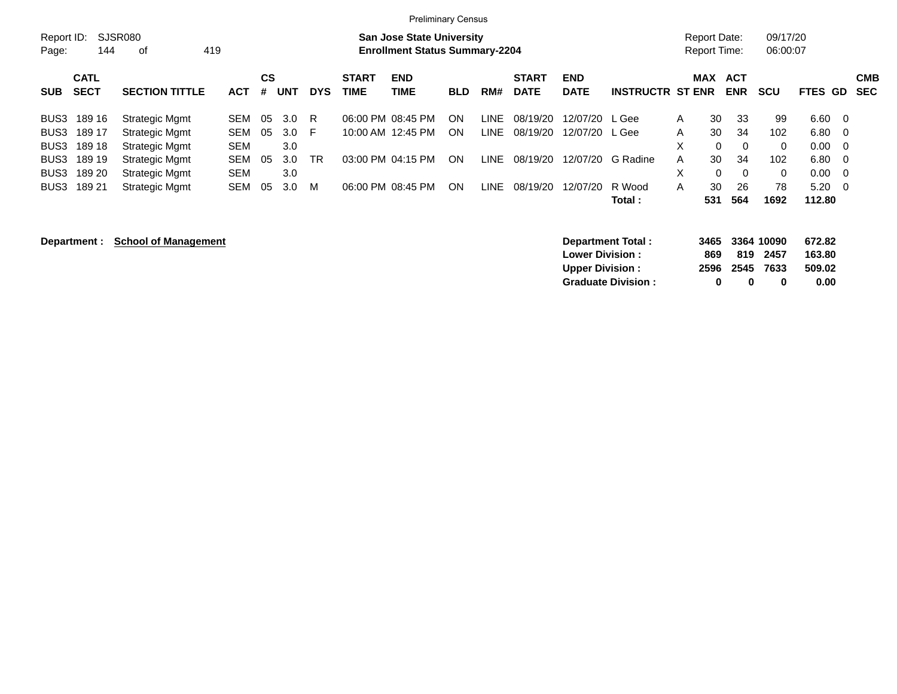|                     |                            |                       |            |                |            |            |                      | <b>Preliminary Census</b>                                                 |            |             |                             |                           |                         |                                            |                          |                      |                |                          |
|---------------------|----------------------------|-----------------------|------------|----------------|------------|------------|----------------------|---------------------------------------------------------------------------|------------|-------------|-----------------------------|---------------------------|-------------------------|--------------------------------------------|--------------------------|----------------------|----------------|--------------------------|
| Report ID:<br>Page: | 144                        | SJSR080<br>0f         | 419        |                |            |            |                      | <b>San Jose State University</b><br><b>Enrollment Status Summary-2204</b> |            |             |                             |                           |                         | <b>Report Date:</b><br><b>Report Time:</b> |                          | 09/17/20<br>06:00:07 |                |                          |
| <b>SUB</b>          | <b>CATL</b><br><b>SECT</b> | <b>SECTION TITTLE</b> | <b>ACT</b> | <b>CS</b><br># | <b>UNT</b> | <b>DYS</b> | <b>START</b><br>TIME | <b>END</b><br><b>TIME</b>                                                 | <b>BLD</b> | RM#         | <b>START</b><br><b>DATE</b> | <b>END</b><br><b>DATE</b> | <b>INSTRUCTR ST ENR</b> | <b>MAX</b>                                 | <b>ACT</b><br><b>ENR</b> | <b>SCU</b>           | <b>FTES GD</b> | <b>CMB</b><br><b>SEC</b> |
| BUS3                | 189 16                     | Strategic Mgmt        | SEM        | 05             | 3.0        | R          |                      | 06:00 PM 08:45 PM                                                         | ON         | LINE        | 08/19/20                    | 12/07/20 L Gee            |                         | 30<br>A                                    | 33                       | 99                   | $6.60 \quad 0$ |                          |
| BUS3                | 189 17                     | Strategic Mgmt        | <b>SEM</b> | 05             | 3.0        | -F         |                      | 10:00 AM 12:45 PM                                                         | <b>ON</b>  | LINE.       | 08/19/20                    | 12/07/20 L Gee            |                         | 30<br>A                                    | 34                       | 102                  | $6.80\quad 0$  |                          |
| BUS3                | 189 18                     | Strategic Mgmt        | <b>SEM</b> |                | 3.0        |            |                      |                                                                           |            |             |                             |                           |                         | X                                          | $\mathbf{0}$<br>$\Omega$ | $\Omega$             | $0.00 \quad 0$ |                          |
| BUS3                | 189 19                     | Strategic Mgmt        | <b>SEM</b> | 05             | 3.0        | <b>TR</b>  |                      | 03:00 PM 04:15 PM                                                         | ON         | LINE.       | 08/19/20                    | 12/07/20                  | G Radine                | 30<br>A                                    | 34                       | 102                  | $6.80\quad 0$  |                          |
| BUS3                | 189 20                     | Strategic Mgmt        | <b>SEM</b> |                | 3.0        |            |                      |                                                                           |            |             |                             |                           |                         | X                                          | $\Omega$<br>$\Omega$     | $\Omega$             | $0.00 \quad 0$ |                          |
| BUS3                | 189 21                     | <b>Strategic Mgmt</b> | <b>SEM</b> | 05             | 3.0        | м          |                      | 06:00 PM 08:45 PM                                                         | <b>ON</b>  | <b>LINE</b> | 08/19/20                    | 12/07/20                  | R Wood                  | 30<br>A                                    | 26                       | 78                   | $5.20 \ 0$     |                          |
|                     |                            |                       |            |                |            |            |                      |                                                                           |            |             |                             |                           | Total:                  | 531                                        | 564                      | 1692                 | 112.80         |                          |

## **Department :** School of Management **3466 3364 1000 6736 1000 6736 1000 6736 1000 6736 3364 100 8364 100 873.82**

| Department Total:         |      | 3465 3364 10090 |          | 672.82 |
|---------------------------|------|-----------------|----------|--------|
| <b>Lower Division:</b>    | 869. |                 | 819 2457 | 163.80 |
| <b>Upper Division:</b>    |      | 2596 2545 7633  |          | 509.02 |
| <b>Graduate Division:</b> | o    | n               | o        | 0.00   |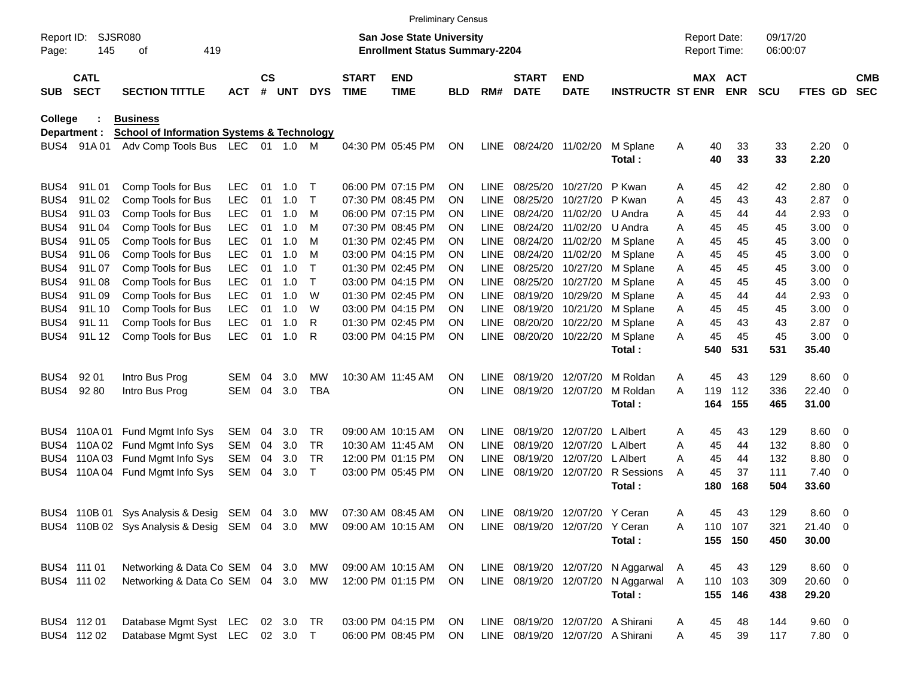|                     |                            |                                                       |            |                    |            |              |                             | <b>Preliminary Census</b>                                                 |            |             |                                |                           |                                     |   |                                     |            |                      |                     |                          |                          |
|---------------------|----------------------------|-------------------------------------------------------|------------|--------------------|------------|--------------|-----------------------------|---------------------------------------------------------------------------|------------|-------------|--------------------------------|---------------------------|-------------------------------------|---|-------------------------------------|------------|----------------------|---------------------|--------------------------|--------------------------|
| Report ID:<br>Page: | 145                        | <b>SJSR080</b><br>419<br>οf                           |            |                    |            |              |                             | <b>San Jose State University</b><br><b>Enrollment Status Summary-2204</b> |            |             |                                |                           |                                     |   | <b>Report Date:</b><br>Report Time: |            | 09/17/20<br>06:00:07 |                     |                          |                          |
| <b>SUB</b>          | <b>CATL</b><br><b>SECT</b> | <b>SECTION TITTLE</b>                                 | <b>ACT</b> | $\mathsf{cs}$<br># | <b>UNT</b> | <b>DYS</b>   | <b>START</b><br><b>TIME</b> | <b>END</b><br><b>TIME</b>                                                 | <b>BLD</b> | RM#         | <b>START</b><br><b>DATE</b>    | <b>END</b><br><b>DATE</b> | <b>INSTRUCTR ST ENR</b>             |   | MAX ACT                             | <b>ENR</b> | <b>SCU</b>           | FTES GD             |                          | <b>CMB</b><br><b>SEC</b> |
| <b>College</b>      |                            | <b>Business</b>                                       |            |                    |            |              |                             |                                                                           |            |             |                                |                           |                                     |   |                                     |            |                      |                     |                          |                          |
|                     | Department :               | <b>School of Information Systems &amp; Technology</b> |            |                    |            |              |                             |                                                                           |            |             |                                |                           |                                     |   |                                     |            |                      |                     |                          |                          |
| BUS4                | 91A 01                     | Adv Comp Tools Bus LEC                                |            |                    | 01 1.0     | M            |                             | 04:30 PM 05:45 PM                                                         | ON         | LINE        | 08/24/20 11/02/20              |                           | M Splane<br>Total:                  | A | 40<br>40                            | 33<br>33   | 33<br>33             | $2.20 \t 0$<br>2.20 |                          |                          |
| BUS4                | 91L01                      | Comp Tools for Bus                                    | <b>LEC</b> | 01                 | 1.0        | Т            |                             | 06:00 PM 07:15 PM                                                         | <b>ON</b>  | <b>LINE</b> | 08/25/20                       | 10/27/20                  | P Kwan                              | Α | 45                                  | 42         | 42                   | 2.80                | - 0                      |                          |
| BUS4                | 91L02                      | Comp Tools for Bus                                    | <b>LEC</b> | 01                 | 1.0        | Т            |                             | 07:30 PM 08:45 PM                                                         | <b>ON</b>  | LINE        | 08/25/20                       | 10/27/20                  | P Kwan                              | A | 45                                  | 43         | 43                   | 2.87                | - 0                      |                          |
| BUS4                | 91L03                      | Comp Tools for Bus                                    | <b>LEC</b> | 01                 | 1.0        | M            |                             | 06:00 PM 07:15 PM                                                         | <b>ON</b>  | <b>LINE</b> | 08/24/20                       | 11/02/20                  | U Andra                             | Α | 45                                  | 44         | 44                   | 2.93                | - 0                      |                          |
| BUS4                | 91L04                      | Comp Tools for Bus                                    | <b>LEC</b> | 01                 | 1.0        | M            |                             | 07:30 PM 08:45 PM                                                         | <b>ON</b>  | <b>LINE</b> | 08/24/20                       | 11/02/20                  | U Andra                             | Α | 45                                  | 45         | 45                   | 3.00                | - 0                      |                          |
| BUS4                | 91L05                      | Comp Tools for Bus                                    | <b>LEC</b> | 01                 | 1.0        | M            |                             | 01:30 PM 02:45 PM                                                         | ON         | <b>LINE</b> | 08/24/20                       | 11/02/20                  | M Splane                            | Α | 45                                  | 45         | 45                   | 3.00                | - 0                      |                          |
| BUS4                | 91L06                      | Comp Tools for Bus                                    | <b>LEC</b> | 01                 | 1.0        | M            |                             | 03:00 PM 04:15 PM                                                         | ON         | <b>LINE</b> | 08/24/20                       | 11/02/20                  | M Splane                            | A | 45                                  | 45         | 45                   | 3.00                | - 0                      |                          |
| BUS4                | 91L07                      | Comp Tools for Bus                                    | <b>LEC</b> | 01                 | 1.0        | Т            |                             | 01:30 PM 02:45 PM                                                         | <b>ON</b>  | <b>LINE</b> | 08/25/20                       | 10/27/20                  | M Splane                            | Α | 45                                  | 45         | 45                   | 3.00                | - 0                      |                          |
| BUS4                | 91L08                      | Comp Tools for Bus                                    | <b>LEC</b> | 01                 | 1.0        | $\mathsf T$  |                             | 03:00 PM 04:15 PM                                                         | ON         | <b>LINE</b> | 08/25/20                       | 10/27/20                  | M Splane                            | Α | 45                                  | 45         | 45                   | 3.00                | - 0                      |                          |
| BUS4                | 91L09                      | Comp Tools for Bus                                    | <b>LEC</b> | 01                 | 1.0        | W            |                             | 01:30 PM 02:45 PM                                                         | <b>ON</b>  | <b>LINE</b> | 08/19/20                       | 10/29/20                  | M Splane                            | A | 45                                  | 44         | 44                   | 2.93                | - 0                      |                          |
| BUS4                | 91L 10                     | Comp Tools for Bus                                    | <b>LEC</b> | 01                 | 1.0        | W            |                             | 03:00 PM 04:15 PM                                                         | ON         | <b>LINE</b> | 08/19/20                       | 10/21/20                  | M Splane                            | Α | 45                                  | 45         | 45                   | 3.00                | - 0                      |                          |
| BUS4                | 91L 11                     | Comp Tools for Bus                                    | <b>LEC</b> | 01                 | 1.0        | R            |                             | 01:30 PM 02:45 PM                                                         | <b>ON</b>  | <b>LINE</b> | 08/20/20                       | 10/22/20                  | M Splane                            | A | 45                                  | 43         | 43                   | 2.87                | - 0                      |                          |
| BUS4                | 91L 12                     | Comp Tools for Bus                                    | <b>LEC</b> | 01                 | 1.0        | R            |                             | 03:00 PM 04:15 PM                                                         | ON         | <b>LINE</b> | 08/20/20                       | 10/22/20                  | M Splane                            | A | 45                                  | 45         | 45                   | 3.00                | - 0                      |                          |
|                     |                            |                                                       |            |                    |            |              |                             |                                                                           |            |             |                                |                           | Total:                              |   | 540                                 | 531        | 531                  | 35.40               |                          |                          |
| BUS4                | 92 01                      | Intro Bus Prog                                        | SEM        | 04                 | 3.0        | MW           |                             | 10:30 AM 11:45 AM                                                         | <b>ON</b>  | <b>LINE</b> | 08/19/20                       | 12/07/20                  | M Roldan                            | A | 45                                  | 43         | 129                  | 8.60                | $\overline{\phantom{0}}$ |                          |
| BUS4                | 92 80                      | Intro Bus Prog                                        | <b>SEM</b> | 04                 | 3.0        | <b>TBA</b>   |                             |                                                                           | <b>ON</b>  | <b>LINE</b> | 08/19/20                       | 12/07/20                  | M Roldan                            | A | 119                                 | 112        | 336                  | 22.40               | - 0                      |                          |
|                     |                            |                                                       |            |                    |            |              |                             |                                                                           |            |             |                                |                           | Total:                              |   | 164                                 | 155        | 465                  | 31.00               |                          |                          |
| BUS4                | 110A 01                    | Fund Mgmt Info Sys                                    | SEM        | 04                 | 3.0        | TR           |                             | 09:00 AM 10:15 AM                                                         | <b>ON</b>  | <b>LINE</b> | 08/19/20                       | 12/07/20                  | L Albert                            | Α | 45                                  | 43         | 129                  | 8.60                | $\overline{\phantom{0}}$ |                          |
| BUS4                | 110A 02                    | Fund Mgmt Info Sys                                    | SEM        | 04                 | 3.0        | <b>TR</b>    |                             | 10:30 AM 11:45 AM                                                         | <b>ON</b>  | <b>LINE</b> | 08/19/20                       | 12/07/20                  | L Albert                            | A | 45                                  | 44         | 132                  | 8.80                | $\overline{\mathbf{0}}$  |                          |
| BUS4                | 110A 03                    | Fund Mgmt Info Sys                                    | SEM        | 04                 | 3.0        | <b>TR</b>    |                             | 12:00 PM 01:15 PM                                                         | <b>ON</b>  | <b>LINE</b> | 08/19/20                       | 12/07/20                  | L Albert                            | A | 45                                  | 44         | 132                  | 8.80                | $\mathbf 0$              |                          |
| BUS4                | 110A 04                    | Fund Mgmt Info Sys                                    | <b>SEM</b> | 04                 | 3.0        | $\mathsf{T}$ |                             | 03:00 PM 05:45 PM                                                         | ON         | <b>LINE</b> |                                | 08/19/20 12/07/20         | R Sessions                          | A | 45                                  | 37         | 111                  | 7.40                | $\overline{\phantom{0}}$ |                          |
|                     |                            |                                                       |            |                    |            |              |                             |                                                                           |            |             |                                |                           | Total:                              |   | 180                                 | 168        | 504                  | 33.60               |                          |                          |
|                     |                            | BUS4 110B 01 Sys Analysis & Desig SEM 04              |            |                    | 3.0        | МW           |                             | 07:30 AM 08:45 AM                                                         | ON         | LINE        |                                | 08/19/20 12/07/20         | Y Ceran                             | A | 45                                  | 43         | 129                  | $8.60 \ 0$          |                          |                          |
|                     |                            | BUS4 110B 02 Sys Analysis & Desig SEM 04 3.0 MW       |            |                    |            |              |                             | 09:00 AM 10:15 AM ON                                                      |            |             | LINE 08/19/20 12/07/20 Y Ceran |                           |                                     | Α |                                     | 110 107    | 321                  | 21.40 0             |                          |                          |
|                     |                            |                                                       |            |                    |            |              |                             |                                                                           |            |             |                                |                           | Total:                              |   |                                     | 155 150    | 450                  | 30.00               |                          |                          |
|                     | BUS4 111 01                | Networking & Data Co SEM 04 3.0                       |            |                    |            | MW           |                             | 09:00 AM 10:15 AM                                                         | ON         |             |                                |                           | LINE 08/19/20 12/07/20 N Aggarwal A |   | 45                                  | 43         | 129                  | 8.60 0              |                          |                          |
|                     | BUS4 111 02                | Networking & Data Co SEM 04 3.0                       |            |                    |            | MW           |                             | 12:00 PM 01:15 PM                                                         | ON         |             |                                |                           | LINE 08/19/20 12/07/20 N Aggarwal A |   | 110                                 | 103        | 309                  | $20.60$ 0           |                          |                          |
|                     |                            |                                                       |            |                    |            |              |                             |                                                                           |            |             |                                |                           | Total:                              |   |                                     | 155 146    | 438                  | 29.20               |                          |                          |
|                     | BUS4 112 01                | Database Mgmt Syst LEC 02 3.0                         |            |                    |            | TR           |                             | 03:00 PM 04:15 PM                                                         | ON         |             | LINE 08/19/20 12/07/20         |                           | A Shirani                           | A | 45                                  | 48         | 144                  | 9.60 0              |                          |                          |
|                     | BUS4 112 02                | Database Mgmt Syst LEC 02 3.0 T                       |            |                    |            |              |                             | 06:00 PM 08:45 PM                                                         | ON         |             |                                |                           | LINE 08/19/20 12/07/20 A Shirani    | Α | 45                                  | 39         | 117                  | 7.80 0              |                          |                          |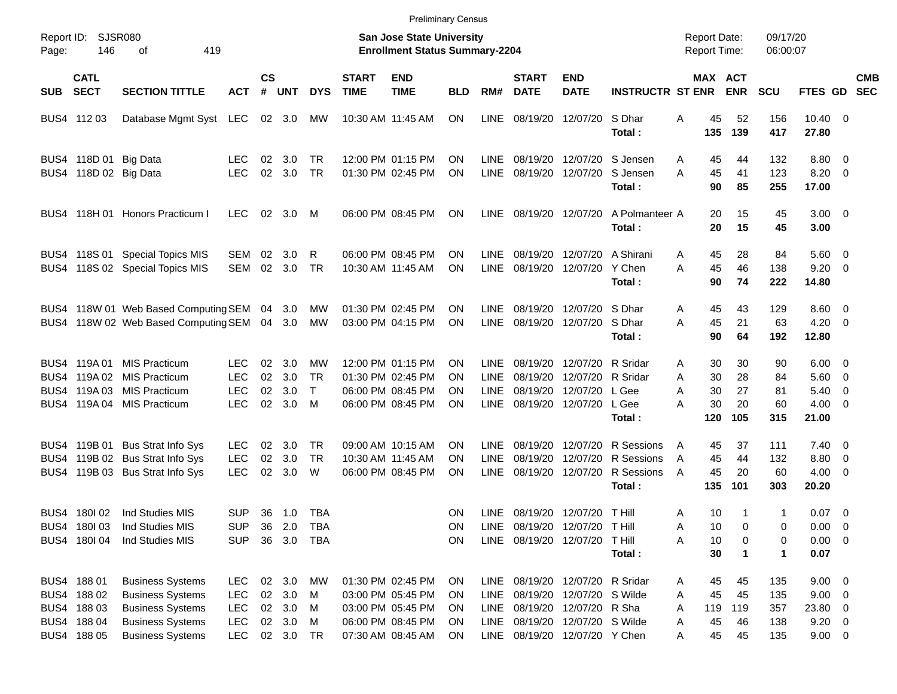|            |                                                                         |                                                                                                                                     |                                                      |                                   |                                                   |                                |                             | <b>Preliminary Census</b>                                                                             |                                                  |                                                   |                                                                                            |                                                                                              |                                                                                      |                                                      |                             |                                 |                                                                    |                          |            |
|------------|-------------------------------------------------------------------------|-------------------------------------------------------------------------------------------------------------------------------------|------------------------------------------------------|-----------------------------------|---------------------------------------------------|--------------------------------|-----------------------------|-------------------------------------------------------------------------------------------------------|--------------------------------------------------|---------------------------------------------------|--------------------------------------------------------------------------------------------|----------------------------------------------------------------------------------------------|--------------------------------------------------------------------------------------|------------------------------------------------------|-----------------------------|---------------------------------|--------------------------------------------------------------------|--------------------------|------------|
| Page:      | Report ID:<br>146                                                       | SJSR080<br>419<br>οf                                                                                                                |                                                      |                                   |                                                   |                                |                             | <b>San Jose State University</b><br><b>Enrollment Status Summary-2204</b>                             |                                                  |                                                   |                                                                                            |                                                                                              |                                                                                      | <b>Report Date:</b><br><b>Report Time:</b>           |                             | 09/17/20<br>06:00:07            |                                                                    |                          |            |
| <b>SUB</b> | <b>CATL</b><br><b>SECT</b>                                              | <b>SECTION TITTLE</b>                                                                                                               | <b>ACT</b>                                           | $\mathsf{cs}$<br>#                | UNT                                               | <b>DYS</b>                     | <b>START</b><br><b>TIME</b> | <b>END</b><br><b>TIME</b>                                                                             | <b>BLD</b>                                       | RM#                                               | <b>START</b><br><b>DATE</b>                                                                | <b>END</b><br><b>DATE</b>                                                                    | <b>INSTRUCTR ST ENR</b>                                                              | MAX ACT                                              | <b>ENR</b>                  | <b>SCU</b>                      | FTES GD SEC                                                        |                          | <b>CMB</b> |
|            | BUS4 112 03                                                             | Database Mgmt Syst LEC                                                                                                              |                                                      |                                   | 02 3.0                                            | МW                             |                             | 10:30 AM 11:45 AM                                                                                     | ON                                               | <b>LINE</b>                                       |                                                                                            | 08/19/20 12/07/20 SDhar                                                                      | Total:                                                                               | A<br>45<br>135                                       | 52<br>139                   | 156<br>417                      | $10.40 \t 0$<br>27.80                                              |                          |            |
|            | BUS4 118D 01 Big Data<br>BUS4 118D 02 Big Data                          |                                                                                                                                     | <b>LEC</b><br><b>LEC</b>                             | 02<br>02 <sub>2</sub>             | 3.0<br>3.0                                        | <b>TR</b><br><b>TR</b>         |                             | 12:00 PM 01:15 PM<br>01:30 PM 02:45 PM                                                                | <b>ON</b><br>ON                                  | <b>LINE</b><br><b>LINE</b>                        |                                                                                            |                                                                                              | 08/19/20 12/07/20 S Jensen<br>08/19/20 12/07/20 S Jensen<br>Total:                   | 45<br>A<br>A<br>45<br>90                             | 44<br>41<br>85              | 132<br>123<br>255               | 8.80 0<br>$8.20 \ 0$<br>17.00                                      |                          |            |
|            |                                                                         | BUS4 118H 01 Honors Practicum I                                                                                                     | <b>LEC</b>                                           | 02                                | 3.0                                               | M                              |                             | 06:00 PM 08:45 PM                                                                                     | <b>ON</b>                                        | <b>LINE</b>                                       | 08/19/20 12/07/20                                                                          |                                                                                              | A Polmanteer A<br>Total:                                                             | 20<br>20                                             | 15<br>15                    | 45<br>45                        | $3.00 \ 0$<br>3.00                                                 |                          |            |
|            |                                                                         | BUS4 118S 01 Special Topics MIS<br>BUS4 118S 02 Special Topics MIS                                                                  | SEM<br>SEM                                           | 02<br>02                          | 3.0<br>3.0                                        | R<br>TR                        |                             | 06:00 PM 08:45 PM<br>10:30 AM 11:45 AM                                                                | <b>ON</b><br><b>ON</b>                           | <b>LINE</b><br><b>LINE</b>                        |                                                                                            | 08/19/20 12/07/20 A Shirani<br>08/19/20 12/07/20 Y Chen                                      | Total:                                                                               | 45<br>A<br>A<br>45<br>90                             | 28<br>46<br>74              | 84<br>138<br>222                | 5.60 0<br>$9.20 \ 0$<br>14.80                                      |                          |            |
|            |                                                                         | BUS4 118W 01 Web Based Computing SEM 04 3.0<br>BUS4 118W 02 Web Based Computing SEM 04 3.0                                          |                                                      |                                   |                                                   | МW<br>MW                       |                             | 01:30 PM 02:45 PM<br>03:00 PM 04:15 PM                                                                | <b>ON</b><br><b>ON</b>                           | <b>LINE</b><br><b>LINE</b>                        |                                                                                            | 08/19/20 12/07/20 S Dhar<br>08/19/20 12/07/20 S Dhar                                         | Total:                                                                               | 45<br>A<br>A<br>45<br>90                             | 43<br>21<br>64              | 129<br>63<br>192                | $8.60 \quad 0$<br>$4.20 \ 0$<br>12.80                              |                          |            |
|            | BUS4 119A01<br>BUS4 119A 02<br>BUS4 119A03                              | <b>MIS Practicum</b><br><b>MIS Practicum</b><br><b>MIS Practicum</b><br>BUS4 119A 04 MIS Practicum                                  | <b>LEC</b><br><b>LEC</b><br><b>LEC</b><br><b>LEC</b> | 02<br>02 <sub>2</sub><br>02<br>02 | 3.0<br>3.0<br>3.0<br>3.0                          | МW<br><b>TR</b><br>$\top$<br>M |                             | 12:00 PM 01:15 PM<br>01:30 PM 02:45 PM<br>06:00 PM 08:45 PM<br>06:00 PM 08:45 PM                      | <b>ON</b><br><b>ON</b><br><b>ON</b><br><b>ON</b> | LINE<br><b>LINE</b><br><b>LINE</b><br><b>LINE</b> | 08/19/20<br>08/19/20                                                                       | 08/19/20 12/07/20 R Sridar<br>12/07/20 R Sridar<br>12/07/20 L Gee<br>08/19/20 12/07/20 L Gee | Total:                                                                               | 30<br>A<br>A<br>30<br>A<br>30<br>30<br>A<br>120      | 30<br>28<br>27<br>20<br>105 | 90<br>84<br>81<br>60<br>315     | $6.00 \quad 0$<br>5.60 0<br>5.40<br>$4.00 \ 0$<br>21.00            | $\overline{\phantom{0}}$ |            |
|            |                                                                         | BUS4 119B 01 Bus Strat Info Sys<br>BUS4 119B 02 Bus Strat Info Sys<br>BUS4 119B 03 Bus Strat Info Sys                               | <b>LEC</b><br><b>LEC</b><br><b>LEC</b>               | 02<br>02<br>02                    | 3.0<br>3.0<br>3.0                                 | TR.<br><b>TR</b><br>W          |                             | 09:00 AM 10:15 AM<br>10:30 AM 11:45 AM<br>06:00 PM 08:45 PM                                           | <b>ON</b><br><b>ON</b><br>ON                     | <b>LINE</b><br><b>LINE</b><br><b>LINE</b>         | 08/19/20<br>08/19/20                                                                       |                                                                                              | 08/19/20 12/07/20 R Sessions<br>12/07/20 R Sessions<br>12/07/20 R Sessions<br>Total: | 45<br>A<br>45<br>A<br>45<br>A<br>135                 | 37<br>44<br>20<br>101       | 111<br>132<br>60<br>303         | $7.40 \quad 0$<br>8.80<br>$4.00 \ 0$<br>20.20                      | $\overline{\phantom{0}}$ |            |
|            | BUS4 180102<br>BUS4 180103<br>BUS4 180104                               | Ind Studies MIS<br>Ind Studies MIS<br>Ind Studies MIS                                                                               | SUP.<br><b>SUP</b><br><b>SUP</b>                     |                                   | 36 1.0<br>36 2.0<br>36 3.0                        | TBA<br>TBA<br>TBA              |                             |                                                                                                       | ON.<br>ON<br>ON                                  | <b>LINE</b>                                       | 08/19/20 12/07/20 T Hill<br>LINE 08/19/20 12/07/20 T Hill<br>LINE 08/19/20 12/07/20 T Hill |                                                                                              | Total:                                                                               | Α<br>10<br>Α<br>10<br>10<br>Α<br>30                  | -1<br>0<br>0<br>1           | 1<br>0<br>0<br>1                | $0.07$ 0<br>$0.00 \t 0$<br>$0.00 \t 0$<br>0.07                     |                          |            |
|            | BUS4 188 01<br>BUS4 188 02<br>BUS4 188 03<br>BUS4 188 04<br>BUS4 188 05 | <b>Business Systems</b><br><b>Business Systems</b><br><b>Business Systems</b><br><b>Business Systems</b><br><b>Business Systems</b> | LEC<br><b>LEC</b><br><b>LEC</b><br><b>LEC</b><br>LEC |                                   | 02 3.0<br>02 3.0<br>02 3.0<br>02 3.0<br>02 3.0 TR | MW<br>M<br><b>M</b><br>M       |                             | 01:30 PM 02:45 PM<br>03:00 PM 05:45 PM<br>03:00 PM 05:45 PM<br>06:00 PM 08:45 PM<br>07:30 AM 08:45 AM | ON<br>ON<br>ON<br>ON<br>ON                       | <b>LINE</b><br><b>LINE</b><br>LINE<br><b>LINE</b> | 08/19/20 12/07/20 R Sridar<br>LINE 08/19/20 12/07/20 Y Chen                                | 08/19/20 12/07/20 S Wilde<br>08/19/20 12/07/20 R Sha<br>08/19/20 12/07/20 S Wilde            |                                                                                      | 45<br>A<br>45<br>Α<br>Α<br>119<br>45<br>A<br>45<br>Α | 45<br>45<br>119<br>46<br>45 | 135<br>135<br>357<br>138<br>135 | $9.00 \t 0$<br>$9.00 \t 0$<br>23.80 0<br>$9.20 \ 0$<br>$9.00 \t 0$ |                          |            |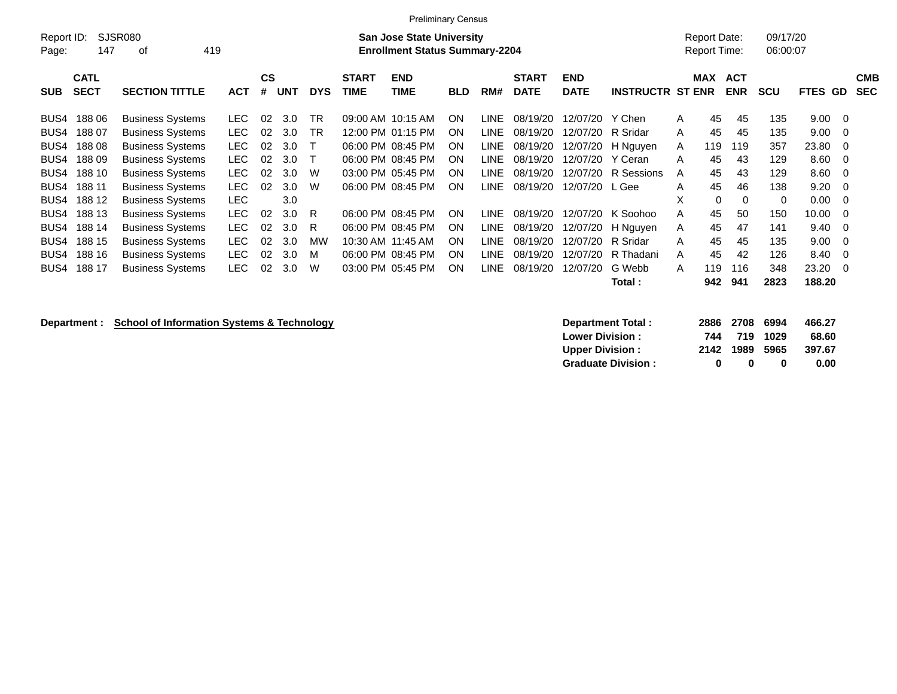|            |             |                                             |            |           |            |            |              | <b>Preliminary Census</b>             |            |             |              |                  |                         |   |                     |                     |            |                |            |
|------------|-------------|---------------------------------------------|------------|-----------|------------|------------|--------------|---------------------------------------|------------|-------------|--------------|------------------|-------------------------|---|---------------------|---------------------|------------|----------------|------------|
| Report ID: |             | SJSR080<br><b>San Jose State University</b> |            |           |            |            |              |                                       |            |             |              |                  |                         |   |                     | <b>Report Date:</b> | 09/17/20   |                |            |
| Page:      | 147         | 419<br>οf                                   |            |           |            |            |              | <b>Enrollment Status Summary-2204</b> |            |             |              |                  |                         |   | <b>Report Time:</b> |                     | 06:00:07   |                |            |
|            |             |                                             |            |           |            |            |              |                                       |            |             |              |                  |                         |   |                     |                     |            |                |            |
|            | <b>CATL</b> |                                             |            | <b>CS</b> |            |            | <b>START</b> | <b>END</b>                            |            |             | <b>START</b> | <b>END</b>       |                         |   | <b>MAX</b>          | <b>ACT</b>          |            |                | <b>CMB</b> |
| <b>SUB</b> | <b>SECT</b> | <b>SECTION TITTLE</b>                       | <b>ACT</b> | #         | <b>UNT</b> | <b>DYS</b> | TIME         | <b>TIME</b>                           | <b>BLD</b> | RM#         | <b>DATE</b>  | <b>DATE</b>      | <b>INSTRUCTR ST ENR</b> |   |                     | <b>ENR</b>          | <b>SCU</b> | FTES GD        | <b>SEC</b> |
|            |             |                                             |            |           |            |            |              |                                       |            |             |              |                  |                         |   |                     |                     |            |                |            |
| BUS4       | 18806       | <b>Business Systems</b>                     | LEC.       | 02        | 3.0        | <b>TR</b>  |              | 09:00 AM 10:15 AM                     | <b>ON</b>  | <b>LINE</b> | 08/19/20     | 12/07/20         | Y Chen                  | A | 45                  | 45                  | 135        | $9.00 \quad 0$ |            |
| BUS4       | 18807       | <b>Business Systems</b>                     | <b>LEC</b> | 02        | 3.0        | <b>TR</b>  |              | 12:00 PM 01:15 PM                     | <b>ON</b>  | LINE.       | 08/19/20     | 12/07/20         | R Sridar                | A | 45                  | 45                  | 135        | $9.00 \quad 0$ |            |
| BUS4       | 18808       | <b>Business Systems</b>                     | <b>LEC</b> | 02        | 3.0        |            |              | 06:00 PM 08:45 PM                     | <b>ON</b>  | LINE.       | 08/19/20     |                  | 12/07/20 H Nguyen       | A | 119                 | 119                 | 357        | 23.80 0        |            |
| BUS4       | 18809       | <b>Business Systems</b>                     | <b>LEC</b> | 02        | 3.0        |            |              | 06:00 PM 08:45 PM                     | <b>ON</b>  | LINE.       | 08/19/20     | 12/07/20 Y Ceran |                         | A | 45                  | 43                  | 129        | $8.60 \quad 0$ |            |
| BUS4       | 188 10      | <b>Business Systems</b>                     | <b>LEC</b> | 02        | 3.0        | W          |              | 03:00 PM 05:45 PM                     | ON.        | <b>LINE</b> | 08/19/20     |                  | 12/07/20 R Sessions     | A | 45                  | 43                  | 129        | $8.60 \quad 0$ |            |
| BUS4       | 188 11      | <b>Business Systems</b>                     | <b>LEC</b> | 02        | 3.0        | W          |              | 06:00 PM 08:45 PM                     | <b>ON</b>  | <b>LINE</b> | 08/19/20     | 12/07/20         | L Gee                   | A | 45                  | 46                  | 138        | $9.20 \ 0$     |            |
| BUS4       | 188 12      | <b>Business Systems</b>                     | <b>LEC</b> |           | 3.0        |            |              |                                       |            |             |              |                  |                         | X | $\Omega$            | $\Omega$            | 0          | $0.00 \t 0$    |            |
| BUS4       | 188 13      | <b>Business Systems</b>                     | <b>LEC</b> | 02        | 3.0        | R          |              | 06:00 PM 08:45 PM                     | <b>ON</b>  | LINE.       | 08/19/20     | 12/07/20         | K Soohoo                | А | 45                  | 50                  | 150        | $10.00 \t 0$   |            |
| BUS4       | 188 14      | <b>Business Systems</b>                     | <b>LEC</b> | 02        | 3.0        | R          |              | 06:00 PM 08:45 PM                     | <b>ON</b>  | <b>LINE</b> | 08/19/20     | 12/07/20         | H Nguyen                | A | 45                  | 47                  | 141        | $9.40 \quad 0$ |            |
| BUS4       | 188 15      | <b>Business Systems</b>                     | <b>LEC</b> | 02        | 3.0        | MW         |              | 10:30 AM 11:45 AM                     | <b>ON</b>  | LINE.       | 08/19/20     | 12/07/20         | R Sridar                | A | 45                  | 45                  | 135        | $9.00 \t 0$    |            |
| BUS4       | 188 16      | <b>Business Systems</b>                     | <b>LEC</b> | 02        | 3.0        | M          |              | 06:00 PM 08:45 PM                     | <b>ON</b>  | LINE.       | 08/19/20     | 12/07/20         | R Thadani               | A | 45                  | 42                  | 126        | 8.40 0         |            |
| BUS4       | 188 17      | <b>Business Systems</b>                     | <b>LEC</b> | 02        | 3.0        | W          |              | 03:00 PM 05:45 PM                     | <b>ON</b>  | LINE.       | 08/19/20     | 12/07/20         | G Webb                  | A | 119                 | 116                 | 348        | 23.20 0        |            |
|            |             |                                             |            |           |            |            |              |                                       |            |             |              |                  | Total :                 |   | 942                 | 941                 | 2823       | 188.20         |            |

**Department : School of Information Systems & Technology Department Total : 2886 2708 6994 466.27**<br>Lower Division : 2886 2708 6994 68.60 **Lower Division : 744 719 1029 68.60 Upper Division : 2142 1989 5965 397.67 Graduate Division : 0 0 0 0.00**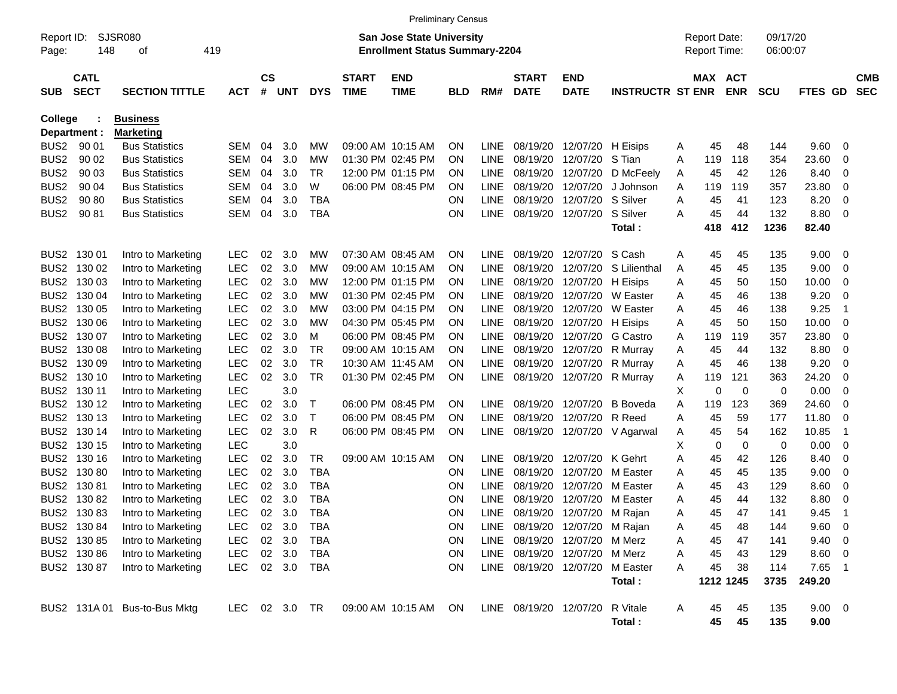|                     |                            |                              |            |                |            |             |                             | <b>Preliminary Census</b>                                                 |           |             |                             |                                 |                         |   |                                     |            |                      |             |                |                          |
|---------------------|----------------------------|------------------------------|------------|----------------|------------|-------------|-----------------------------|---------------------------------------------------------------------------|-----------|-------------|-----------------------------|---------------------------------|-------------------------|---|-------------------------------------|------------|----------------------|-------------|----------------|--------------------------|
| Report ID:<br>Page: | 148                        | <b>SJSR080</b><br>οf         | 419        |                |            |             |                             | <b>San Jose State University</b><br><b>Enrollment Status Summary-2204</b> |           |             |                             |                                 |                         |   | <b>Report Date:</b><br>Report Time: |            | 09/17/20<br>06:00:07 |             |                |                          |
| <b>SUB</b>          | <b>CATL</b><br><b>SECT</b> | <b>SECTION TITTLE</b>        | <b>ACT</b> | <b>CS</b><br># | <b>UNT</b> | <b>DYS</b>  | <b>START</b><br><b>TIME</b> | <b>END</b><br><b>TIME</b>                                                 | BLD       | RM#         | <b>START</b><br><b>DATE</b> | <b>END</b><br><b>DATE</b>       | <b>INSTRUCTR ST ENR</b> |   | MAX ACT                             | <b>ENR</b> | <b>SCU</b>           | <b>FTES</b> | GD             | <b>CMB</b><br><b>SEC</b> |
| <b>College</b>      |                            | <b>Business</b>              |            |                |            |             |                             |                                                                           |           |             |                             |                                 |                         |   |                                     |            |                      |             |                |                          |
|                     | Department :               | <b>Marketing</b>             |            |                |            |             |                             |                                                                           |           |             |                             |                                 |                         |   |                                     |            |                      |             |                |                          |
| BUS <sub>2</sub>    | 90 01                      | <b>Bus Statistics</b>        | SEM        | 04             | 3.0        | МW          |                             | 09:00 AM 10:15 AM                                                         | 0N        | <b>LINE</b> | 08/19/20                    | 12/07/20                        | H Eisips                | A | 45                                  | 48         | 144                  | 9.60        | 0              |                          |
| BUS <sub>2</sub>    | 90 02                      | <b>Bus Statistics</b>        | SEM        | 04             | 3.0        | МW          |                             | 01:30 PM 02:45 PM                                                         | ON        | <b>LINE</b> | 08/19/20                    | 12/07/20                        | S Tian                  | A | 119                                 | 118        | 354                  | 23.60       | 0              |                          |
| BUS <sub>2</sub>    | 90 03                      | <b>Bus Statistics</b>        | SEM        | 04             | 3.0        | <b>TR</b>   |                             | 12:00 PM 01:15 PM                                                         | 0N        | <b>LINE</b> | 08/19/20                    | 12/07/20                        | D McFeelv               | Α | 45                                  | 42         | 126                  | 8.40        | 0              |                          |
| BUS <sub>2</sub>    | 90 04                      | <b>Bus Statistics</b>        | SEM        | 04             | 3.0        | W           |                             | 06:00 PM 08:45 PM                                                         | 0N        | <b>LINE</b> | 08/19/20                    | 12/07/20                        | J Johnson               | Α | 119                                 | 119        | 357                  | 23.80       | 0              |                          |
| BUS <sub>2</sub>    | 90 80                      | <b>Bus Statistics</b>        | SEM        | 04             | 3.0        | <b>TBA</b>  |                             |                                                                           | ΟN        | <b>LINE</b> | 08/19/20                    | 12/07/20                        | S Silver                | A | 45                                  | 41         | 123                  | 8.20        | 0              |                          |
| BUS <sub>2</sub>    | 90 81                      | <b>Bus Statistics</b>        | SEM        | 04             | 3.0        | <b>TBA</b>  |                             |                                                                           | ΟN        | <b>LINE</b> | 08/19/20                    | 12/07/20                        | S Silver                | A | 45                                  | 44         | 132                  | 8.80        | 0              |                          |
|                     |                            |                              |            |                |            |             |                             |                                                                           |           |             |                             |                                 | Total:                  |   | 418                                 | 412        | 1236                 | 82.40       |                |                          |
| BUS <sub>2</sub>    | 130 01                     | Intro to Marketing           | <b>LEC</b> | 02             | 3.0        | MW          |                             | 07:30 AM 08:45 AM                                                         | ON        | <b>LINE</b> | 08/19/20                    | 12/07/20                        | S Cash                  | A | 45                                  | 45         | 135                  | 9.00        | 0              |                          |
| BUS <sub>2</sub>    | 130 02                     | Intro to Marketing           | <b>LEC</b> | 02             | 3.0        | МW          |                             | 09:00 AM 10:15 AM                                                         | 0N        | <b>LINE</b> | 08/19/20                    | 12/07/20                        | S Lilienthal            | A | 45                                  | 45         | 135                  | 9.00        | 0              |                          |
| BUS <sub>2</sub>    | 130 03                     | Intro to Marketing           | <b>LEC</b> | 02             | 3.0        | MW          |                             | 12:00 PM 01:15 PM                                                         | 0N        | <b>LINE</b> | 08/19/20                    | 12/07/20                        | H Eisips                | Α | 45                                  | 50         | 150                  | 10.00       | 0              |                          |
| BUS <sub>2</sub>    | 130 04                     | Intro to Marketing           | <b>LEC</b> | 02             | 3.0        | MW          |                             | 01:30 PM 02:45 PM                                                         | 0N        | <b>LINE</b> | 08/19/20                    | 12/07/20                        | W Easter                | A | 45                                  | 46         | 138                  | 9.20        | 0              |                          |
| BUS <sub>2</sub>    | 130 05                     | Intro to Marketing           | <b>LEC</b> | 02             | 3.0        | МW          |                             | 03:00 PM 04:15 PM                                                         | ON        | <b>LINE</b> | 08/19/20                    | 12/07/20                        | W Easter                | A | 45                                  | 46         | 138                  | 9.25        | $\overline{1}$ |                          |
| BUS <sub>2</sub>    | 130 06                     | Intro to Marketing           | <b>LEC</b> | 02             | 3.0        | МW          |                             | 04:30 PM 05:45 PM                                                         | 0N        | <b>LINE</b> | 08/19/20                    | 12/07/20                        | H Eisips                | Α | 45                                  | 50         | 150                  | 10.00       | 0              |                          |
| BUS <sub>2</sub>    | 130 07                     | Intro to Marketing           | <b>LEC</b> | 02             | 3.0        | м           |                             | 06:00 PM 08:45 PM                                                         | ON        | <b>LINE</b> | 08/19/20                    | 12/07/20                        | G Castro                | A | 119                                 | 119        | 357                  | 23.80       | 0              |                          |
| BUS <sub>2</sub>    | 130 08                     | Intro to Marketing           | <b>LEC</b> | 02             | 3.0        | <b>TR</b>   |                             | 09:00 AM 10:15 AM                                                         | 0N        | <b>LINE</b> | 08/19/20                    | 12/07/20                        | R Murray                | A | 45                                  | 44         | 132                  | 8.80        | 0              |                          |
| BUS <sub>2</sub>    | 130 09                     | Intro to Marketing           | <b>LEC</b> | 02             | 3.0        | TR          |                             | 10:30 AM 11:45 AM                                                         | 0N        | <b>LINE</b> | 08/19/20                    | 12/07/20                        | R Murray                | Α | 45                                  | 46         | 138                  | 9.20        | 0              |                          |
| BUS <sub>2</sub>    | 130 10                     | Intro to Marketing           | <b>LEC</b> | 02             | 3.0        | TR          |                             | 01:30 PM 02:45 PM                                                         | ON        | <b>LINE</b> | 08/19/20                    | 12/07/20                        | R Murray                | A | 119                                 | 121        | 363                  | 24.20       | 0              |                          |
| BUS <sub>2</sub>    | 130 11                     | Intro to Marketing           | <b>LEC</b> |                | 3.0        |             |                             |                                                                           |           |             |                             |                                 |                         | X | 0                                   | 0          | 0                    | 0.00        | 0              |                          |
| BUS <sub>2</sub>    | 130 12                     | Intro to Marketing           | <b>LEC</b> | 02             | 3.0        | Т           |                             | 06:00 PM 08:45 PM                                                         | ON        | <b>LINE</b> | 08/19/20                    | 12/07/20                        | <b>B</b> Boveda         | A | 119                                 | 123        | 369                  | 24.60       | 0              |                          |
| BUS <sub>2</sub>    | 130 13                     | Intro to Marketing           | <b>LEC</b> | 02             | 3.0        | $\mathsf T$ |                             | 06:00 PM 08:45 PM                                                         | ON        | <b>LINE</b> | 08/19/20                    | 12/07/20                        | R Reed                  | A | 45                                  | 59         | 177                  | 11.80       | 0              |                          |
| BUS <sub>2</sub>    | 130 14                     | Intro to Marketing           | <b>LEC</b> | 02             | 3.0        | R           |                             | 06:00 PM 08:45 PM                                                         | 0N        | <b>LINE</b> | 08/19/20                    | 12/07/20                        | V Agarwal               | A | 45                                  | 54         | 162                  | 10.85       | $\overline{1}$ |                          |
| BUS <sub>2</sub>    | 130 15                     | Intro to Marketing           | <b>LEC</b> |                | 3.0        |             |                             |                                                                           |           |             |                             |                                 |                         | Х | 0                                   | 0          | 0                    | 0.00        | 0              |                          |
| BUS <sub>2</sub>    | 130 16                     | Intro to Marketing           | <b>LEC</b> | 02             | 3.0        | <b>TR</b>   |                             | 09:00 AM 10:15 AM                                                         | 0N        | <b>LINE</b> | 08/19/20                    | 12/07/20                        | K Gehrt                 | Α | 45                                  | 42         | 126                  | 8.40        | 0              |                          |
| BUS <sub>2</sub>    | 13080                      | Intro to Marketing           | <b>LEC</b> | 02             | 3.0        | <b>TBA</b>  |                             |                                                                           | ON        | <b>LINE</b> | 08/19/20                    | 12/07/20                        | M Easter                | A | 45                                  | 45         | 135                  | 9.00        | 0              |                          |
| BUS <sub>2</sub>    | 13081                      | Intro to Marketing           | <b>LEC</b> | 02             | 3.0        | <b>TBA</b>  |                             |                                                                           | ON        | <b>LINE</b> | 08/19/20                    | 12/07/20                        | M Easter                | A | 45                                  | 43         | 129                  | 8.60        | 0              |                          |
| BUS <sub>2</sub>    | 13082                      | Intro to Marketing           | <b>LEC</b> | 02             | 3.0        | <b>TBA</b>  |                             |                                                                           | ON        | LINE        | 08/19/20                    | 12/07/20                        | M Easter                | A | 45                                  | 44         | 132                  | 8.80        | 0              |                          |
| BUS <sub>2</sub>    | 13083                      | Intro to Marketing           | <b>LEC</b> | 02             | 3.0        | <b>TBA</b>  |                             |                                                                           | ΟN        | <b>LINE</b> | 08/19/20                    | 12/07/20                        | M Rajan                 | A | 45                                  | 47         | 141                  | 9.45        | $\mathbf 1$    |                          |
|                     | BUS2 130 84                | Intro to Marketing           | <b>LEC</b> | 02             | 3.0        | TBA         |                             |                                                                           | ON        |             |                             | LINE 08/19/20 12/07/20 M Rajan  |                         | Α | 45                                  | 48         | 144                  | 9.60        | 0              |                          |
|                     | BUS2 130 85                | Intro to Marketing           | <b>LEC</b> |                | 02 3.0     | <b>TBA</b>  |                             |                                                                           | <b>ON</b> | LINE        |                             | 08/19/20 12/07/20               | M Merz                  | Α | 45                                  | 47         | 141                  | 9.40        | 0              |                          |
|                     | BUS2 130 86                | Intro to Marketing           | <b>LEC</b> |                | 02 3.0     | TBA         |                             |                                                                           | <b>ON</b> |             | LINE 08/19/20 12/07/20      |                                 | M Merz                  | Α | 45                                  | 43         | 129                  | 8.60        | 0              |                          |
|                     | BUS2 130 87                | Intro to Marketing           | <b>LEC</b> |                | 02 3.0     | TBA         |                             |                                                                           | ON        |             |                             | LINE 08/19/20 12/07/20 M Easter |                         | A | 45                                  | 38         | 114                  | 7.65        | $\overline{1}$ |                          |
|                     |                            |                              |            |                |            |             |                             |                                                                           |           |             |                             |                                 | Total:                  |   | 1212 1245                           |            | 3735                 | 249.20      |                |                          |
|                     |                            | BUS2 131A 01 Bus-to-Bus Mktg |            |                | LEC 02 3.0 | TR.         |                             | 09:00 AM 10:15 AM                                                         | ON        |             | LINE 08/19/20 12/07/20      |                                 | R Vitale                | A | 45                                  | 45         | 135                  | $9.00 \t 0$ |                |                          |
|                     |                            |                              |            |                |            |             |                             |                                                                           |           |             |                             |                                 | Total:                  |   | 45                                  | 45         | 135                  | 9.00        |                |                          |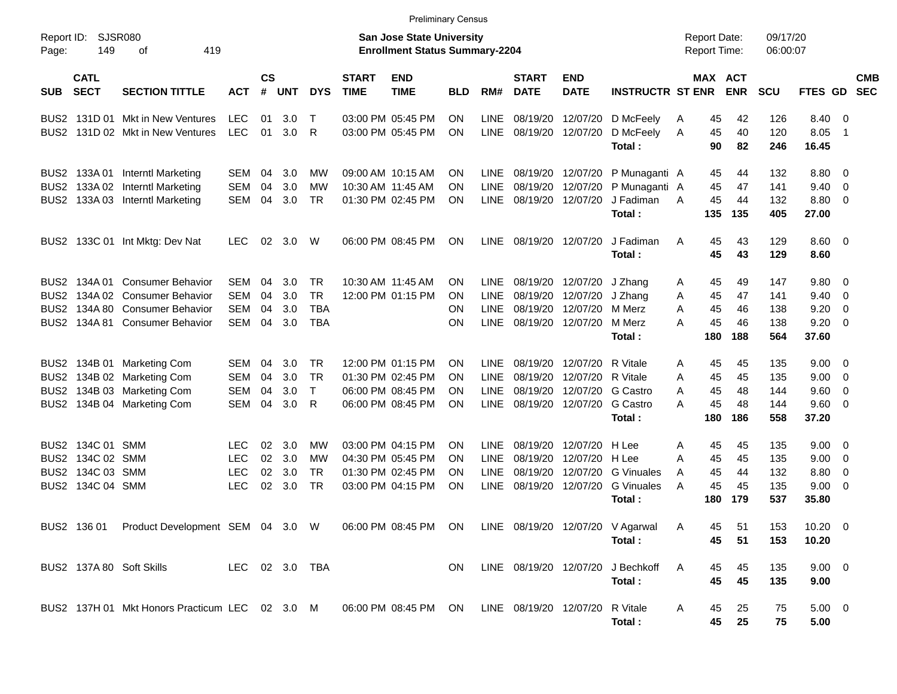|                                                                              |                                                                                                                               |                                                                                                               |                                                      |                      |                          |                                                    |                             | <b>Preliminary Census</b>                                                        |                                                  |                                                          |                                              |                                                            |                                                                      |                  |                                     |                             |                                 |                                       |                        |                          |
|------------------------------------------------------------------------------|-------------------------------------------------------------------------------------------------------------------------------|---------------------------------------------------------------------------------------------------------------|------------------------------------------------------|----------------------|--------------------------|----------------------------------------------------|-----------------------------|----------------------------------------------------------------------------------|--------------------------------------------------|----------------------------------------------------------|----------------------------------------------|------------------------------------------------------------|----------------------------------------------------------------------|------------------|-------------------------------------|-----------------------------|---------------------------------|---------------------------------------|------------------------|--------------------------|
| Page:                                                                        | <b>SJSR080</b><br>Report ID:<br><b>San Jose State University</b><br>149<br>419<br><b>Enrollment Status Summary-2204</b><br>οf |                                                                                                               |                                                      |                      |                          |                                                    |                             |                                                                                  |                                                  |                                                          |                                              |                                                            |                                                                      |                  | <b>Report Date:</b><br>Report Time: |                             | 09/17/20<br>06:00:07            |                                       |                        |                          |
| <b>SUB</b>                                                                   | <b>CATL</b><br><b>SECT</b>                                                                                                    | <b>SECTION TITTLE</b>                                                                                         | <b>ACT</b>                                           | $\mathsf{cs}$<br>#   | <b>UNT</b>               | <b>DYS</b>                                         | <b>START</b><br><b>TIME</b> | <b>END</b><br><b>TIME</b>                                                        | <b>BLD</b>                                       | RM#                                                      | <b>START</b><br><b>DATE</b>                  | <b>END</b><br><b>DATE</b>                                  | <b>INSTRUCTR ST ENR</b>                                              |                  | <b>MAX ACT</b>                      | <b>ENR</b>                  | SCU                             | FTES GD                               |                        | <b>CMB</b><br><b>SEC</b> |
| BUS2<br>BUS2                                                                 |                                                                                                                               | 131D 01 Mkt in New Ventures<br>131D 02 Mkt in New Ventures                                                    | <b>LEC</b><br><b>LEC</b>                             | 01<br>01             | 3.0<br>3.0               | $\top$<br>$\mathsf{R}$                             |                             | 03:00 PM 05:45 PM<br>03:00 PM 05:45 PM                                           | ON<br>ON                                         | <b>LINE</b><br><b>LINE</b>                               | 08/19/20<br>08/19/20                         | 12/07/20                                                   | 12/07/20 D McFeely<br>D McFeely<br>Total:                            | A<br>A           | 45<br>45<br>90                      | 42<br>40<br>82              | 126<br>120<br>246               | 8.40<br>8.05<br>16.45                 | - 0<br>$\overline{1}$  |                          |
| BUS2<br>BUS <sub>2</sub><br>BUS <sub>2</sub>                                 | 133A 02<br>133A 03                                                                                                            | 133A 01 Interntl Marketing<br><b>Interntl Marketing</b><br>Interntl Marketing                                 | SEM<br><b>SEM</b><br><b>SEM</b>                      | 04<br>04<br>04       | 3.0<br>3.0<br>3.0        | МW<br><b>MW</b><br><b>TR</b>                       |                             | 09:00 AM 10:15 AM<br>10:30 AM 11:45 AM<br>01:30 PM 02:45 PM                      | <b>ON</b><br><b>ON</b><br><b>ON</b>              | <b>LINE</b><br><b>LINE</b><br><b>LINE</b>                | 08/19/20<br>08/19/20                         | 08/19/20 12/07/20<br>12/07/20<br>12/07/20                  | P Munaganti A<br>P Munaganti A<br>J Fadiman<br>Total:                | A                | 45<br>45<br>45<br>135               | 44<br>47<br>44<br>135       | 132<br>141<br>132<br>405        | 8.80<br>9.40<br>8.80<br>27.00         | - 0<br>- 0<br>- 0      |                          |
|                                                                              |                                                                                                                               | BUS2 133C 01 Int Mktg: Dev Nat                                                                                | <b>LEC</b>                                           | 02                   | 3.0                      | W                                                  |                             | 06:00 PM 08:45 PM                                                                | ON                                               | <b>LINE</b>                                              | 08/19/20 12/07/20                            |                                                            | J Fadiman<br>Total:                                                  | A                | 45<br>45                            | 43<br>43                    | 129<br>129                      | $8.60 \quad 0$<br>8.60                |                        |                          |
| BUS2<br>BUS <sub>2</sub><br>BUS <sub>2</sub><br>BUS <sub>2</sub>             | 134A 01<br>134A 02<br>134A 80                                                                                                 | <b>Consumer Behavior</b><br><b>Consumer Behavior</b><br><b>Consumer Behavior</b><br>134A 81 Consumer Behavior | <b>SEM</b><br><b>SEM</b><br><b>SEM</b><br><b>SEM</b> | 04<br>04<br>04<br>04 | 3.0<br>3.0<br>3.0<br>3.0 | <b>TR</b><br><b>TR</b><br><b>TBA</b><br><b>TBA</b> |                             | 10:30 AM 11:45 AM<br>12:00 PM 01:15 PM                                           | <b>ON</b><br>ON<br><b>ON</b><br><b>ON</b>        | <b>LINE</b><br><b>LINE</b><br><b>LINE</b><br><b>LINE</b> | 08/19/20<br>08/19/20<br>08/19/20<br>08/19/20 | 12/07/20<br>12/07/20<br>12/07/20 M Merz<br>12/07/20 M Merz | J Zhang<br>J Zhang<br>Total:                                         | A<br>A<br>A<br>A | 45<br>45<br>45<br>45<br>180         | 49<br>47<br>46<br>46<br>188 | 147<br>141<br>138<br>138<br>564 | 9.80<br>9.40<br>9.20<br>9.20<br>37.60 | - 0<br>0<br>- 0<br>- 0 |                          |
| BUS <sub>2</sub><br>BUS <sub>2</sub><br>BUS <sub>2</sub><br>BUS <sub>2</sub> |                                                                                                                               | 134B 01 Marketing Com<br>134B 02 Marketing Com<br>134B 03 Marketing Com<br>134B 04 Marketing Com              | <b>SEM</b><br><b>SEM</b><br><b>SEM</b><br><b>SEM</b> | 04<br>04<br>04<br>04 | 3.0<br>3.0<br>3.0<br>3.0 | TR<br><b>TR</b><br>$\top$<br>$\mathsf{R}$          |                             | 12:00 PM 01:15 PM<br>01:30 PM 02:45 PM<br>06:00 PM 08:45 PM<br>06:00 PM 08:45 PM | <b>ON</b><br><b>ON</b><br><b>ON</b><br><b>ON</b> | <b>LINE</b><br><b>LINE</b><br><b>LINE</b><br><b>LINE</b> | 08/19/20<br>08/19/20<br>08/19/20<br>08/19/20 | 12/07/20<br>12/07/20<br>12/07/20 G Castro                  | R Vitale<br>R Vitale<br>12/07/20 G Castro<br>Total:                  | A<br>A<br>A<br>A | 45<br>45<br>45<br>45<br>180         | 45<br>45<br>48<br>48<br>186 | 135<br>135<br>144<br>144<br>558 | 9.00<br>9.00<br>9.60<br>9.60<br>37.20 | - 0<br>0<br>0<br>- 0   |                          |
| BUS2<br>BUS <sub>2</sub><br>BUS <sub>2</sub><br>BUS <sub>2</sub>             | 134C 01<br>134C 02 SMM<br>134C 03 SMM<br>134C 04 SMM                                                                          | SMM                                                                                                           | <b>LEC</b><br><b>LEC</b><br><b>LEC</b><br><b>LEC</b> | 02<br>02<br>02<br>02 | 3.0<br>3.0<br>3.0<br>3.0 | МW<br>МW<br><b>TR</b><br><b>TR</b>                 |                             | 03:00 PM 04:15 PM<br>04:30 PM 05:45 PM<br>01:30 PM 02:45 PM<br>03:00 PM 04:15 PM | <b>ON</b><br><b>ON</b><br><b>ON</b><br><b>ON</b> | <b>LINE</b><br><b>LINE</b><br><b>LINE</b><br><b>LINE</b> | 08/19/20<br>08/19/20<br>08/19/20<br>08/19/20 | 12/07/20<br>12/07/20<br>12/07/20                           | H Lee<br>H Lee<br><b>G</b> Vinuales<br>12/07/20 G Vinuales<br>Total: | A<br>A<br>A<br>A | 45<br>45<br>45<br>45<br>180         | 45<br>45<br>44<br>45<br>179 | 135<br>135<br>132<br>135<br>537 | 9.00<br>9.00<br>8.80<br>9.00<br>35.80 | - 0<br>0<br>0<br>0     |                          |
|                                                                              |                                                                                                                               | BUS2 136 01 Product Development SEM 04 3.0 W 06:00 PM 08:45 PM ON LINE 08/19/20 12/07/20 V Agarwal            |                                                      |                      |                          |                                                    |                             |                                                                                  |                                                  |                                                          |                                              |                                                            | Total:                                                               | A                | 45<br>45                            | 51<br>51                    | 153<br>153                      | $10.20 \t 0$<br>10.20                 |                        |                          |
|                                                                              |                                                                                                                               | BUS2 137A 80 Soft Skills                                                                                      | LEC 02 3.0 TBA                                       |                      |                          |                                                    |                             |                                                                                  | <b>ON</b>                                        |                                                          |                                              |                                                            | LINE 08/19/20 12/07/20 J Bechkoff<br>Total:                          | A                | 45<br>45                            | 45<br>45                    | 135<br>135                      | 9.00 0<br>9.00                        |                        |                          |
|                                                                              |                                                                                                                               | BUS2 137H 01 Mkt Honors Practicum LEC 02 3.0 M 06:00 PM 08:45 PM ON LINE 08/19/20 12/07/20 R Vitale           |                                                      |                      |                          |                                                    |                             |                                                                                  |                                                  |                                                          |                                              |                                                            | Total:                                                               | A                | 45<br>45                            | 25<br>25                    | 75<br>75                        | $5.00 \t 0$<br>5.00                   |                        |                          |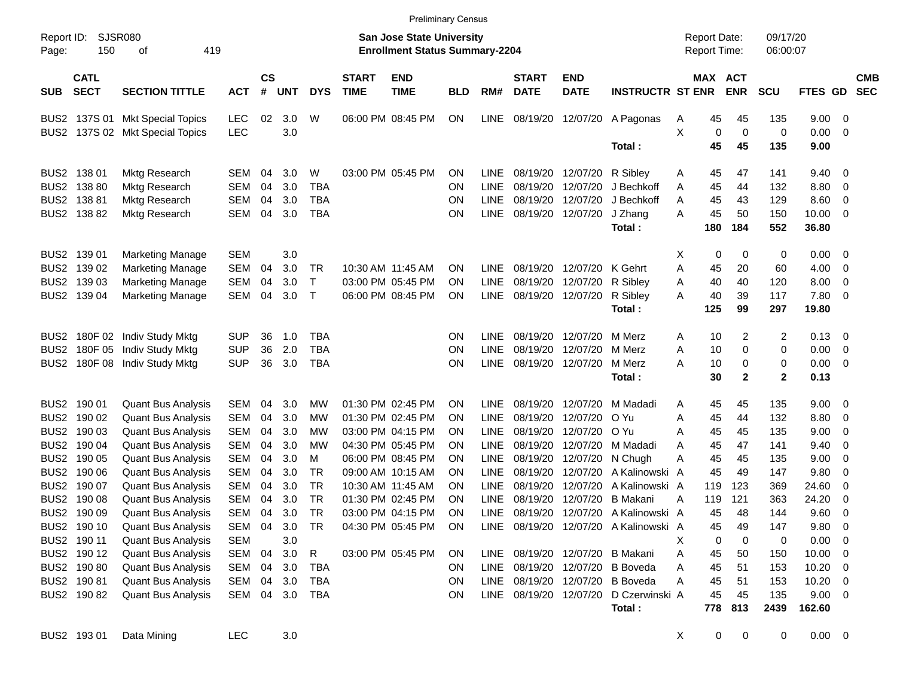|                     |                            |                                 |            |                |            |              |                             | <b>Preliminary Census</b>                                          |            |             |                             |                           |                                       |   |                                     |              |                      |                |                          |                          |
|---------------------|----------------------------|---------------------------------|------------|----------------|------------|--------------|-----------------------------|--------------------------------------------------------------------|------------|-------------|-----------------------------|---------------------------|---------------------------------------|---|-------------------------------------|--------------|----------------------|----------------|--------------------------|--------------------------|
| Report ID:<br>Page: | 150                        | SJSR080<br>419<br>οf            |            |                |            |              |                             | San Jose State University<br><b>Enrollment Status Summary-2204</b> |            |             |                             |                           |                                       |   | <b>Report Date:</b><br>Report Time: |              | 09/17/20<br>06:00:07 |                |                          |                          |
| <b>SUB</b>          | <b>CATL</b><br><b>SECT</b> | <b>SECTION TITTLE</b>           | <b>ACT</b> | <b>CS</b><br># | <b>UNT</b> | <b>DYS</b>   | <b>START</b><br><b>TIME</b> | <b>END</b><br><b>TIME</b>                                          | <b>BLD</b> | RM#         | <b>START</b><br><b>DATE</b> | <b>END</b><br><b>DATE</b> | <b>INSTRUCTR ST ENR</b>               |   | MAX ACT                             | <b>ENR</b>   | <b>SCU</b>           | <b>FTES GD</b> |                          | <b>CMB</b><br><b>SEC</b> |
|                     | BUS2 137S 01               | <b>Mkt Special Topics</b>       | <b>LEC</b> | 02             | 3.0        | W            |                             | 06:00 PM 08:45 PM                                                  | ON         | LINE        | 08/19/20                    | 12/07/20                  | A Pagonas                             | A | 45                                  | 45           | 135                  | 9.00           | - 0                      |                          |
|                     |                            | BUS2 137S 02 Mkt Special Topics | <b>LEC</b> |                | 3.0        |              |                             |                                                                    |            |             |                             |                           |                                       | X | 0                                   | $\mathbf 0$  | 0                    | 0.00           | - 0                      |                          |
|                     |                            |                                 |            |                |            |              |                             |                                                                    |            |             |                             |                           | Total:                                |   | 45                                  | 45           | 135                  | 9.00           |                          |                          |
|                     | BUS2 138 01                | <b>Mktg Research</b>            | <b>SEM</b> | 04             | 3.0        | W            |                             | 03:00 PM 05:45 PM                                                  | OΝ         | <b>LINE</b> | 08/19/20                    | 12/07/20                  | R Sibley                              | A | 45                                  | 47           | 141                  | 9.40           | - 0                      |                          |
|                     | BUS2 138 80                | <b>Mktg Research</b>            | <b>SEM</b> | 04             | 3.0        | <b>TBA</b>   |                             |                                                                    | <b>ON</b>  | <b>LINE</b> | 08/19/20                    | 12/07/20                  | J Bechkoff                            | A | 45                                  | 44           | 132                  | 8.80           | 0                        |                          |
|                     | BUS2 138 81                | <b>Mktg Research</b>            | <b>SEM</b> | 04             | 3.0        | <b>TBA</b>   |                             |                                                                    | <b>ON</b>  | <b>LINE</b> | 08/19/20                    | 12/07/20                  | J Bechkoff                            | A | 45                                  | 43           | 129                  | 8.60           | 0                        |                          |
|                     | BUS2 138 82                | <b>Mktg Research</b>            | <b>SEM</b> | 04             | 3.0        | <b>TBA</b>   |                             |                                                                    | ON         | LINE        | 08/19/20                    | 12/07/20                  | J Zhang                               | A | 45                                  | 50           | 150                  | 10.00          | - 0                      |                          |
|                     |                            |                                 |            |                |            |              |                             |                                                                    |            |             |                             |                           | Total:                                |   | 180                                 | 184          | 552                  | 36.80          |                          |                          |
|                     | BUS2 139 01                | Marketing Manage                | <b>SEM</b> |                | 3.0        |              |                             |                                                                    |            |             |                             |                           |                                       | Х | 0                                   | 0            | 0                    | 0.00           | - 0                      |                          |
|                     | BUS2 139 02                | <b>Marketing Manage</b>         | <b>SEM</b> | 04             | 3.0        | TR           |                             | 10:30 AM 11:45 AM                                                  | OΝ         | <b>LINE</b> | 08/19/20                    | 12/07/20                  | K Gehrt                               | A | 45                                  | 20           | 60                   | 4.00           | 0                        |                          |
|                     | BUS2 139 03                | <b>Marketing Manage</b>         | <b>SEM</b> | 04             | 3.0        | $\top$       |                             | 03:00 PM 05:45 PM                                                  | OΝ         | <b>LINE</b> | 08/19/20                    | 12/07/20                  | R Sibley                              | Α | 40                                  | 40           | 120                  | 8.00           | 0                        |                          |
|                     | BUS2 139 04                | <b>Marketing Manage</b>         | <b>SEM</b> | 04             | 3.0        | $\mathsf{T}$ |                             | 06:00 PM 08:45 PM                                                  | <b>ON</b>  | <b>LINE</b> | 08/19/20                    | 12/07/20                  | R Sibley                              | А | 40                                  | 39           | 117                  | 7.80           | - 0                      |                          |
|                     |                            |                                 |            |                |            |              |                             |                                                                    |            |             |                             |                           | Total:                                |   | 125                                 | 99           | 297                  | 19.80          |                          |                          |
|                     | BUS2 180F 02               | Indiv Study Mktg                | <b>SUP</b> | 36             | 1.0        | <b>TBA</b>   |                             |                                                                    | <b>ON</b>  | <b>LINE</b> | 08/19/20                    | 12/07/20                  | M Merz                                | A | 10                                  | 2            | 2                    | 0.13           | $\overline{\phantom{0}}$ |                          |
|                     | BUS2 180F 05               | Indiv Study Mktg                | <b>SUP</b> | 36             | 2.0        | <b>TBA</b>   |                             |                                                                    | <b>ON</b>  | LINE        | 08/19/20                    | 12/07/20                  | M Merz                                | Α | 10                                  | 0            | 0                    | 0.00           | 0                        |                          |
|                     | BUS2 180F 08               | Indiv Study Mktg                | <b>SUP</b> | 36             | 3.0        | <b>TBA</b>   |                             |                                                                    | OΝ         | <b>LINE</b> | 08/19/20                    | 12/07/20                  | M Merz                                | А | 10                                  | 0            | 0                    | 0.00           | - 0                      |                          |
|                     |                            |                                 |            |                |            |              |                             |                                                                    |            |             |                             |                           | Total:                                |   | 30                                  | $\mathbf{2}$ | $\mathbf{2}$         | 0.13           |                          |                          |
|                     | BUS2 190 01                | <b>Quant Bus Analysis</b>       | <b>SEM</b> | 04             | 3.0        | МW           |                             | 01:30 PM 02:45 PM                                                  | OΝ         | <b>LINE</b> | 08/19/20                    | 12/07/20                  | M Madadi                              | A | 45                                  | 45           | 135                  | 9.00           | - 0                      |                          |
|                     | BUS2 190 02                | <b>Quant Bus Analysis</b>       | <b>SEM</b> | 04             | 3.0        | МW           |                             | 01:30 PM 02:45 PM                                                  | OΝ         | <b>LINE</b> | 08/19/20                    | 12/07/20                  | O Yu                                  | Α | 45                                  | 44           | 132                  | 8.80           | 0                        |                          |
|                     | BUS2 190 03                | <b>Quant Bus Analysis</b>       | <b>SEM</b> | 04             | 3.0        | МW           |                             | 03:00 PM 04:15 PM                                                  | OΝ         | <b>LINE</b> | 08/19/20                    | 12/07/20                  | -O Yu                                 | A | 45                                  | 45           | 135                  | 9.00           | 0                        |                          |
|                     | BUS2 190 04                | <b>Quant Bus Analysis</b>       | <b>SEM</b> | 04             | 3.0        | МW           |                             | 04:30 PM 05:45 PM                                                  | OΝ         | <b>LINE</b> | 08/19/20                    | 12/07/20                  | M Madadi                              | A | 45                                  | 47           | 141                  | 9.40           | 0                        |                          |
|                     | BUS2 190 05                | <b>Quant Bus Analysis</b>       | <b>SEM</b> | 04             | 3.0        | М            |                             | 06:00 PM 08:45 PM                                                  | OΝ         | <b>LINE</b> | 08/19/20                    | 12/07/20                  | N Chugh                               | A | 45                                  | 45           | 135                  | 9.00           | 0                        |                          |
|                     | BUS2 190 06                | <b>Quant Bus Analysis</b>       | <b>SEM</b> | 04             | 3.0        | <b>TR</b>    |                             | 09:00 AM 10:15 AM                                                  | OΝ         | <b>LINE</b> | 08/19/20                    | 12/07/20                  | A Kalinowski A                        |   | 45                                  | 49           | 147                  | 9.80           | 0                        |                          |
|                     | BUS2 190 07                | <b>Quant Bus Analysis</b>       | <b>SEM</b> | 04             | 3.0        | <b>TR</b>    |                             | 10:30 AM 11:45 AM                                                  | OΝ         | <b>LINE</b> | 08/19/20                    | 12/07/20                  | A Kalinowski A                        |   | 119                                 | 123          | 369                  | 24.60          | 0                        |                          |
|                     | BUS2 190 08                | <b>Quant Bus Analysis</b>       | <b>SEM</b> | 04             | 3.0        | <b>TR</b>    |                             | 01:30 PM 02:45 PM                                                  | OΝ         | <b>LINE</b> | 08/19/20                    | 12/07/20                  | <b>B</b> Makani                       | A | 119                                 | 121          | 363                  | 24.20          | 0                        |                          |
|                     | BUS2 190 09                | <b>Quant Bus Analysis</b>       | <b>SEM</b> | 04             | 3.0        | <b>TR</b>    |                             | 03:00 PM 04:15 PM                                                  | <b>ON</b>  | <b>LINE</b> | 08/19/20                    |                           | 12/07/20 A Kalinowski A               |   | 45                                  | 48           | 144                  | 9.60           | $\mathbf 0$              |                          |
|                     | BUS2 190 10                | <b>Quant Bus Analysis</b>       | SEM        | 04             | 3.0        | <b>TR</b>    |                             | 04:30 PM 05:45 PM                                                  | ON         |             |                             |                           | LINE 08/19/20 12/07/20 A Kalinowski A |   | 45                                  | 49           | 147                  | 9.80           | - 0                      |                          |
|                     | BUS2 190 11                | <b>Quant Bus Analysis</b>       | <b>SEM</b> |                | 3.0        |              |                             |                                                                    |            |             |                             |                           |                                       | Х | 0                                   | 0            | 0                    | 0.00           | - 0                      |                          |
|                     | BUS2 190 12                | <b>Quant Bus Analysis</b>       | SEM        | 04             | 3.0        | R            |                             | 03:00 PM 05:45 PM                                                  | <b>ON</b>  |             |                             |                           | LINE 08/19/20 12/07/20 B Makani       | Α | 45                                  | 50           | 150                  | 10.00          | - 0                      |                          |
|                     | BUS2 190 80                | <b>Quant Bus Analysis</b>       | SEM        | 04             | 3.0        | TBA          |                             |                                                                    | ON         |             |                             |                           | LINE 08/19/20 12/07/20 B Boveda       | A | 45                                  | 51           | 153                  | $10.20 \t 0$   |                          |                          |
|                     | BUS2 190 81                | <b>Quant Bus Analysis</b>       | SEM        | 04             | 3.0        | TBA          |                             |                                                                    | ON         | LINE        |                             |                           | 08/19/20 12/07/20 B Boveda            | Α | 45                                  | 51           | 153                  | $10.20 \t 0$   |                          |                          |
|                     | BUS2 190 82                | <b>Quant Bus Analysis</b>       | SEM        |                | 04 3.0     | TBA          |                             |                                                                    | ON         | LINE        |                             |                           | 08/19/20 12/07/20 D Czerwinski A      |   | 45                                  | 45           | 135                  | $9.00 \t 0$    |                          |                          |
|                     |                            |                                 |            |                |            |              |                             |                                                                    |            |             |                             |                           | Total:                                |   | 778                                 | 813          | 2439                 | 162.60         |                          |                          |

BUS2 193 01 Data Mining LEC 3.0 X 0 0 0 0.00 0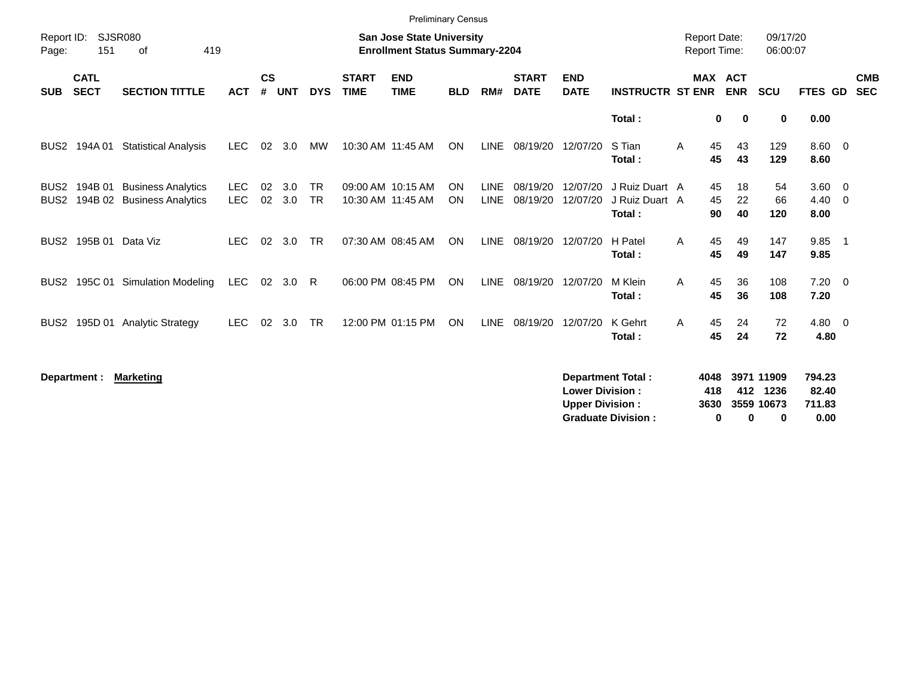|                                      |                            |                                                        |                          |                    |            |                        |                             | <b>Preliminary Census</b>                                                 |                 |                            |                             |                           |                                            |                                            |                |                |                        |                            |                |            |
|--------------------------------------|----------------------------|--------------------------------------------------------|--------------------------|--------------------|------------|------------------------|-----------------------------|---------------------------------------------------------------------------|-----------------|----------------------------|-----------------------------|---------------------------|--------------------------------------------|--------------------------------------------|----------------|----------------|------------------------|----------------------------|----------------|------------|
| Report ID:<br>Page:                  | 151                        | <b>SJSR080</b><br>419<br>of                            |                          |                    |            |                        |                             | <b>San Jose State University</b><br><b>Enrollment Status Summary-2204</b> |                 |                            |                             |                           |                                            | <b>Report Date:</b><br><b>Report Time:</b> |                |                | 09/17/20<br>06:00:07   |                            |                |            |
| <b>SUB</b>                           | <b>CATL</b><br><b>SECT</b> | <b>SECTION TITTLE</b>                                  | <b>ACT</b>               | $\mathsf{cs}$<br># | <b>UNT</b> | <b>DYS</b>             | <b>START</b><br><b>TIME</b> | <b>END</b><br><b>TIME</b>                                                 | <b>BLD</b>      | RM#                        | <b>START</b><br><b>DATE</b> | <b>END</b><br><b>DATE</b> | <b>INSTRUCTR ST ENR</b>                    |                                            | MAX ACT        | <b>ENR</b>     | <b>SCU</b>             | FTES GD                    | <b>SEC</b>     | <b>CMB</b> |
|                                      |                            |                                                        |                          |                    |            |                        |                             |                                                                           |                 |                            |                             |                           | Total:                                     |                                            | 0              | 0              | $\bf{0}$               | 0.00                       |                |            |
| BUS2                                 | 194A 01                    | <b>Statistical Analysis</b>                            | <b>LEC</b>               | 02                 | 3.0        | МW                     |                             | 10:30 AM 11:45 AM                                                         | <b>ON</b>       | <b>LINE</b>                | 08/19/20                    | 12/07/20                  | S Tian<br>Total:                           | A                                          | 45<br>45       | 43<br>43       | 129<br>129             | $8.60 \quad 0$<br>8.60     |                |            |
| BUS <sub>2</sub><br>BUS <sub>2</sub> | 194B 01<br>194B 02         | <b>Business Analytics</b><br><b>Business Analytics</b> | <b>LEC</b><br><b>LEC</b> | 02<br>02           | 3.0<br>3.0 | <b>TR</b><br><b>TR</b> |                             | 09:00 AM 10:15 AM<br>10:30 AM 11:45 AM                                    | <b>ON</b><br>ON | <b>LINE</b><br><b>LINE</b> | 08/19/20<br>08/19/20        | 12/07/20<br>12/07/20      | J Ruiz Duart A<br>J Ruiz Duart A<br>Total: |                                            | 45<br>45<br>90 | 18<br>22<br>40 | 54<br>66<br>120        | $3.60 \ 0$<br>4.40<br>8.00 | $\overline{0}$ |            |
| BUS <sub>2</sub>                     | 195B 01                    | Data Viz                                               | <b>LEC</b>               | 02                 | 3.0        | <b>TR</b>              |                             | 07:30 AM 08:45 AM                                                         | ON              | <b>LINE</b>                | 08/19/20                    | 12/07/20                  | H Patel<br>Total:                          | A                                          | 45<br>45       | 49<br>49       | 147<br>147             | 9.85<br>9.85               | - 1            |            |
| BUS2                                 | 195C 01                    | <b>Simulation Modeling</b>                             | <b>LEC</b>               | 02                 | 3.0        | R                      |                             | 06:00 PM 08:45 PM                                                         | <b>ON</b>       | <b>LINE</b>                | 08/19/20                    | 12/07/20                  | M Klein<br>Total:                          | A                                          | 45<br>45       | 36<br>36       | 108<br>108             | $7.20 \t 0$<br>7.20        |                |            |
| BUS2                                 | 195D 01                    | <b>Analytic Strategy</b>                               | <b>LEC</b>               | 02                 | 3.0        | <b>TR</b>              |                             | 12:00 PM 01:15 PM                                                         | ON              | <b>LINE</b>                | 08/19/20                    | 12/07/20                  | K Gehrt<br>Total:                          | A                                          | 45<br>45       | 24<br>24       | 72<br>72               | $4.80\ 0$<br>4.80          |                |            |
|                                      | Department :               | <b>Marketing</b>                                       |                          |                    |            |                        |                             |                                                                           |                 |                            |                             | <b>Lower Division:</b>    | <b>Department Total:</b>                   |                                            | 4048<br>418    |                | 3971 11909<br>412 1236 | 794.23<br>82.40            |                |            |

**Upper Division : 3630 3559 10673 711.83 Graduate Division : 0 0 0 0.00**